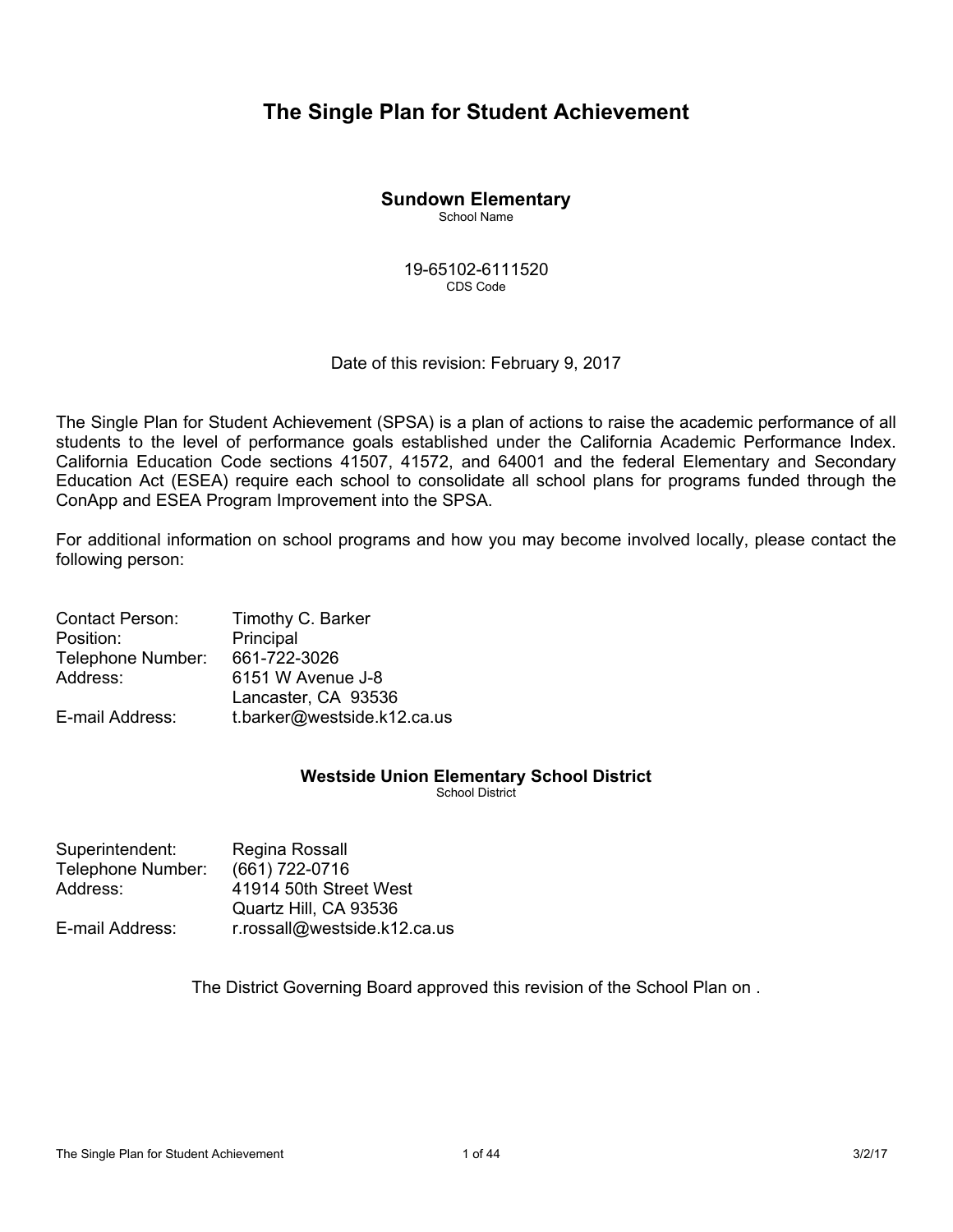# **The Single Plan for Student Achievement**

# **Sundown Elementary**

School Name

19-65102-6111520 CDS Code

Date of this revision: February 9, 2017

The Single Plan for Student Achievement (SPSA) is a plan of actions to raise the academic performance of all students to the level of performance goals established under the California Academic Performance Index. California Education Code sections 41507, 41572, and 64001 and the federal Elementary and Secondary Education Act (ESEA) require each school to consolidate all school plans for programs funded through the ConApp and ESEA Program Improvement into the SPSA.

For additional information on school programs and how you may become involved locally, please contact the following person:

| <b>Contact Person:</b> | Timothy C. Barker           |
|------------------------|-----------------------------|
| Position:              | Principal                   |
| Telephone Number:      | 661-722-3026                |
| Address:               | 6151 W Avenue J-8           |
|                        | Lancaster, CA 93536         |
| E-mail Address:        | t.barker@westside.k12.ca.us |

# **Westside Union Elementary School District**

School District

| Regina Rossall               |
|------------------------------|
| (661) 722-0716               |
| 41914 50th Street West       |
| Quartz Hill, CA 93536        |
| r.rossall@westside.k12.ca.us |
|                              |

The District Governing Board approved this revision of the School Plan on .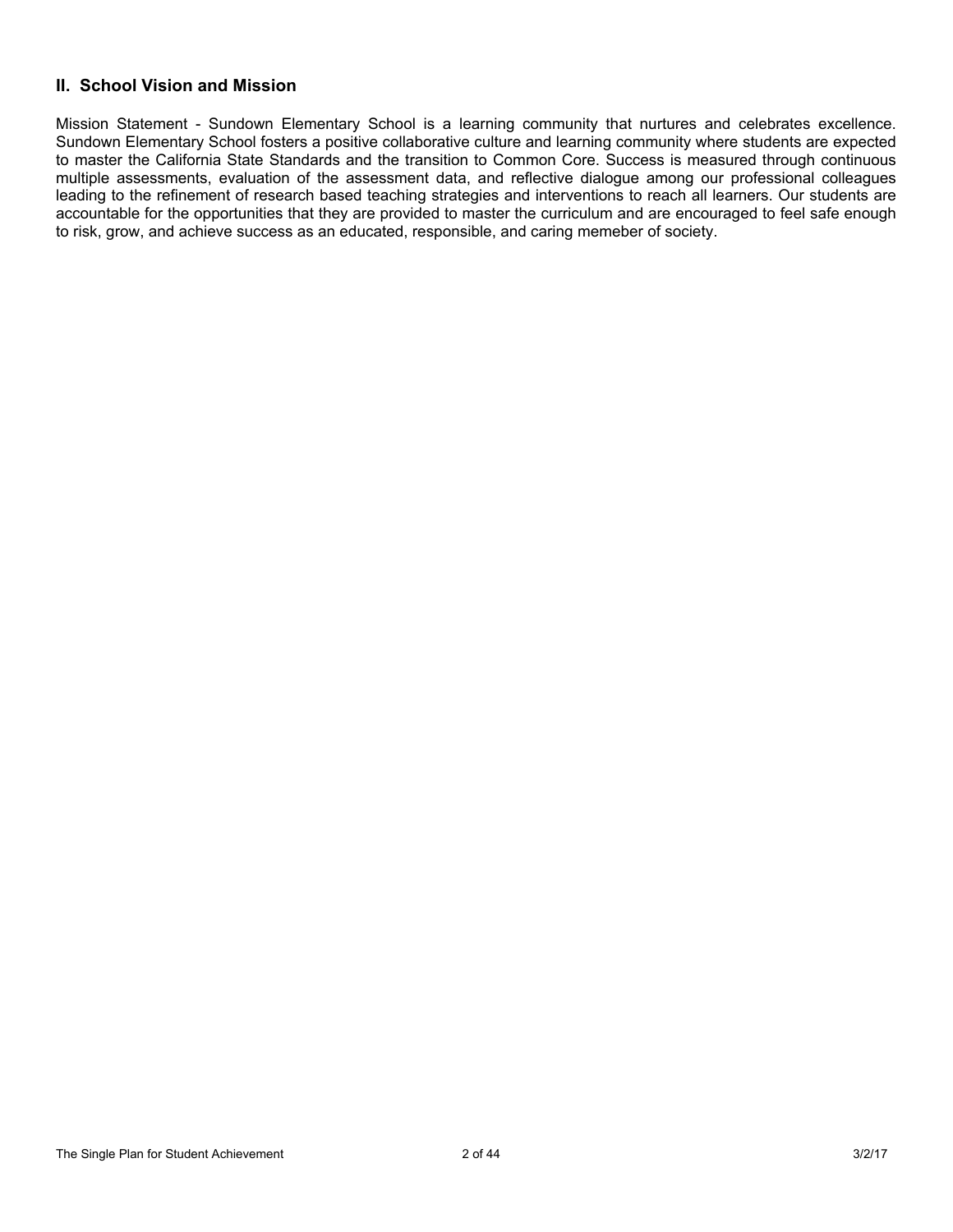# **II. School Vision and Mission**

Mission Statement - Sundown Elementary School is a learning community that nurtures and celebrates excellence. Sundown Elementary School fosters a positive collaborative culture and learning community where students are expected to master the California State Standards and the transition to Common Core. Success is measured through continuous multiple assessments, evaluation of the assessment data, and reflective dialogue among our professional colleagues leading to the refinement of research based teaching strategies and interventions to reach all learners. Our students are accountable for the opportunities that they are provided to master the curriculum and are encouraged to feel safe enough to risk, grow, and achieve success as an educated, responsible, and caring memeber of society.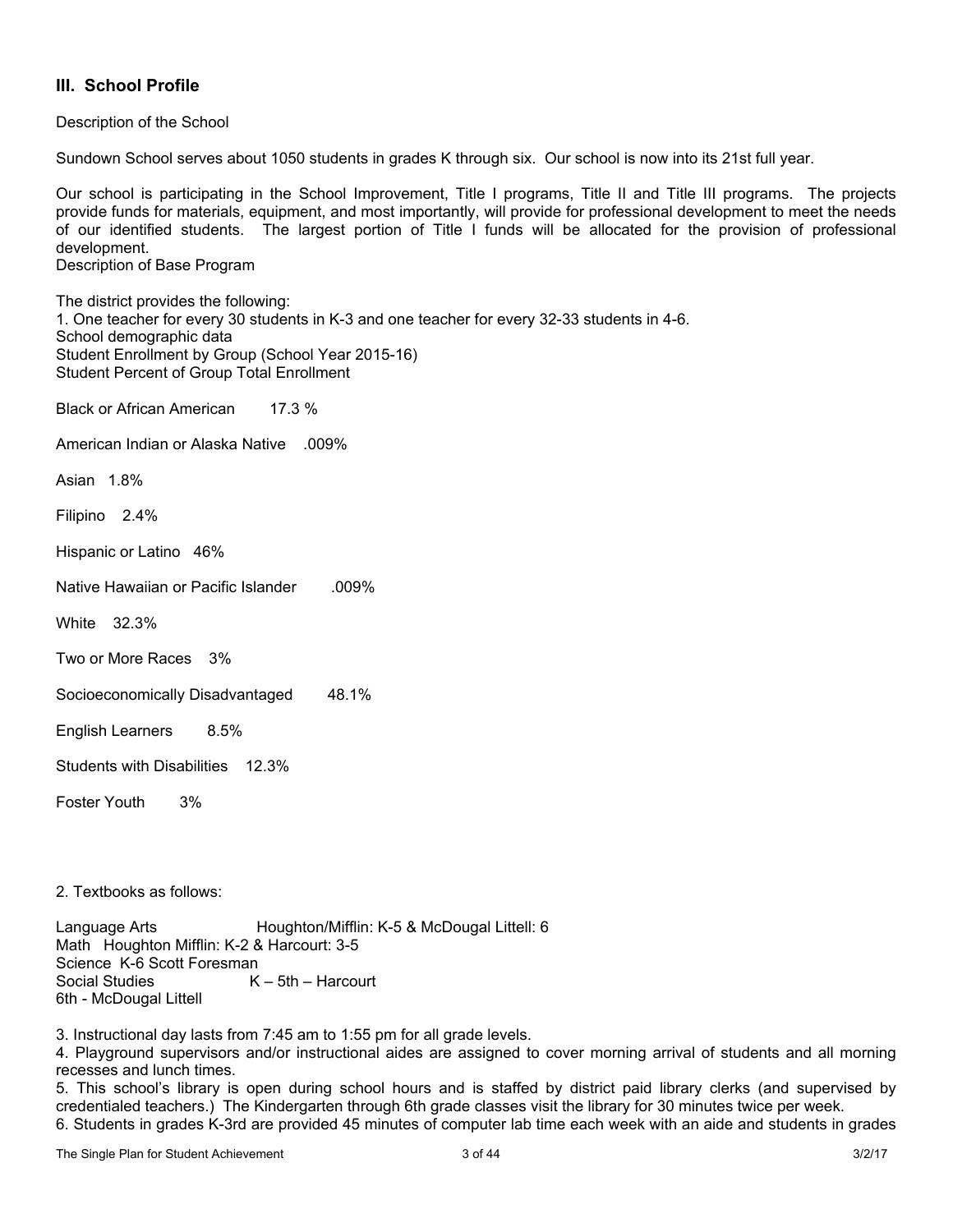## **III. School Profile**

Description of the School

Sundown School serves about 1050 students in grades K through six. Our school is now into its 21st full year.

Our school is participating in the School Improvement, Title I programs, Title II and Title III programs. The projects provide funds for materials, equipment, and most importantly, will provide for professional development to meet the needs of our identified students. The largest portion of Title I funds will be allocated for the provision of professional development.

Description of Base Program

The district provides the following: 1. One teacher for every 30 students in K-3 and one teacher for every 32-33 students in 4-6. School demographic data Student Enrollment by Group (School Year 2015-16) Student Percent of Group Total Enrollment

Black or African American 17.3 %

American Indian or Alaska Native .009%

Asian 1.8%

Filipino 2.4%

Hispanic or Latino 46%

Native Hawaiian or Pacific Islander .009%

White 32.3%

Two or More Races 3%

Socioeconomically Disadvantaged 48.1%

English Learners 8.5%

Students with Disabilities 12.3%

Foster Youth 3%

2. Textbooks as follows:

Language Arts **Houghton/Mifflin: K-5 & McDougal Littell: 6** Math Houghton Mifflin: K-2 & Harcourt: 3-5 Science K-6 Scott Foresman Social Studies K – 5th – Harcourt 6th - McDougal Littell

3. Instructional day lasts from 7:45 am to 1:55 pm for all grade levels.

4. Playground supervisors and/or instructional aides are assigned to cover morning arrival of students and all morning recesses and lunch times.

5. This school's library is open during school hours and is staffed by district paid library clerks (and supervised by credentialed teachers.) The Kindergarten through 6th grade classes visit the library for 30 minutes twice per week.

6. Students in grades K-3rd are provided 45 minutes of computer lab time each week with an aide and students in grades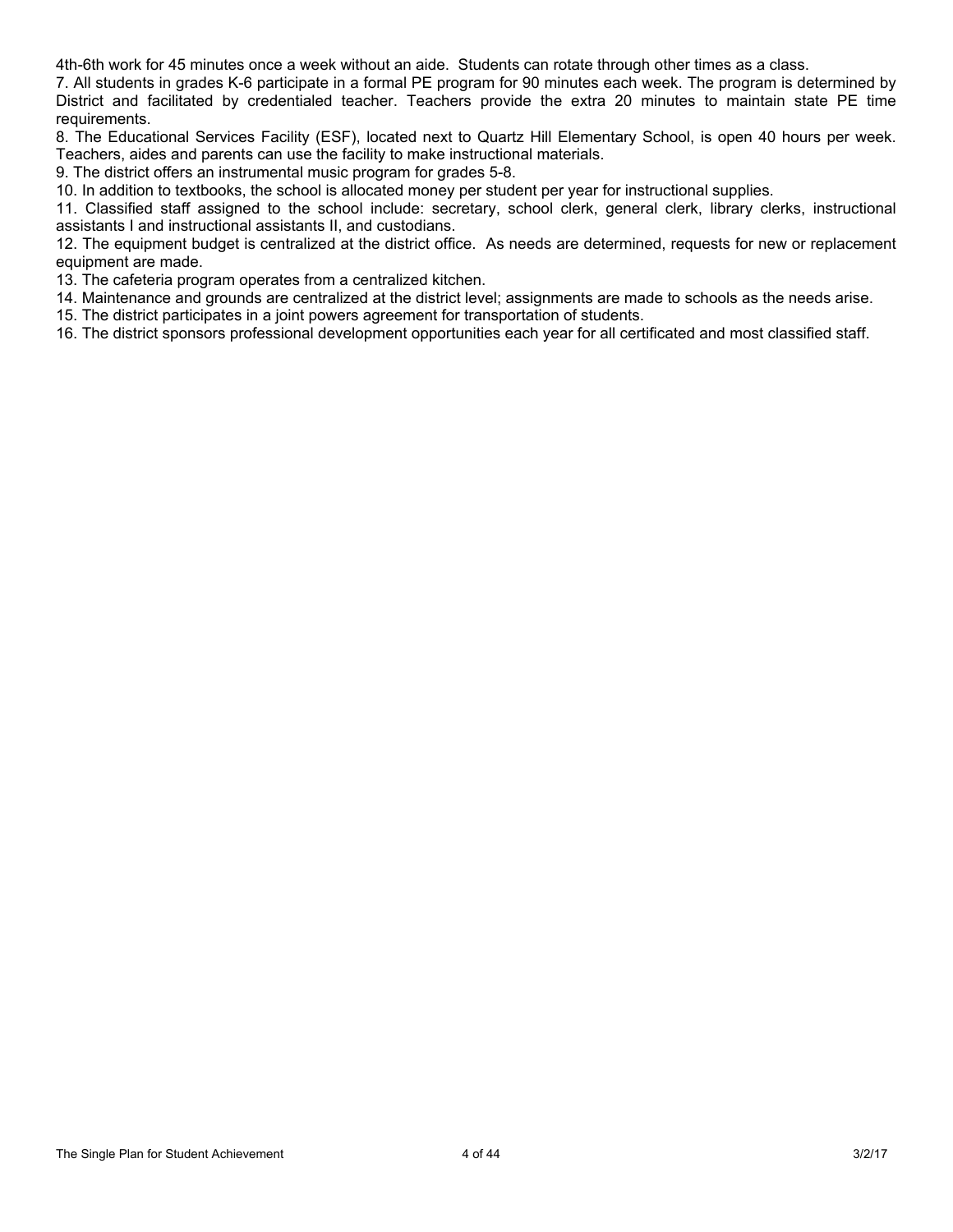4th-6th work for 45 minutes once a week without an aide. Students can rotate through other times as a class.

7. All students in grades K-6 participate in a formal PE program for 90 minutes each week. The program is determined by District and facilitated by credentialed teacher. Teachers provide the extra 20 minutes to maintain state PE time requirements.

8. The Educational Services Facility (ESF), located next to Quartz Hill Elementary School, is open 40 hours per week. Teachers, aides and parents can use the facility to make instructional materials.

9. The district offers an instrumental music program for grades 5-8.

10. In addition to textbooks, the school is allocated money per student per year for instructional supplies.

11. Classified staff assigned to the school include: secretary, school clerk, general clerk, library clerks, instructional assistants I and instructional assistants II, and custodians.

12. The equipment budget is centralized at the district office. As needs are determined, requests for new or replacement equipment are made.

13. The cafeteria program operates from a centralized kitchen.

14. Maintenance and grounds are centralized at the district level; assignments are made to schools as the needs arise.

15. The district participates in a joint powers agreement for transportation of students.

16. The district sponsors professional development opportunities each year for all certificated and most classified staff.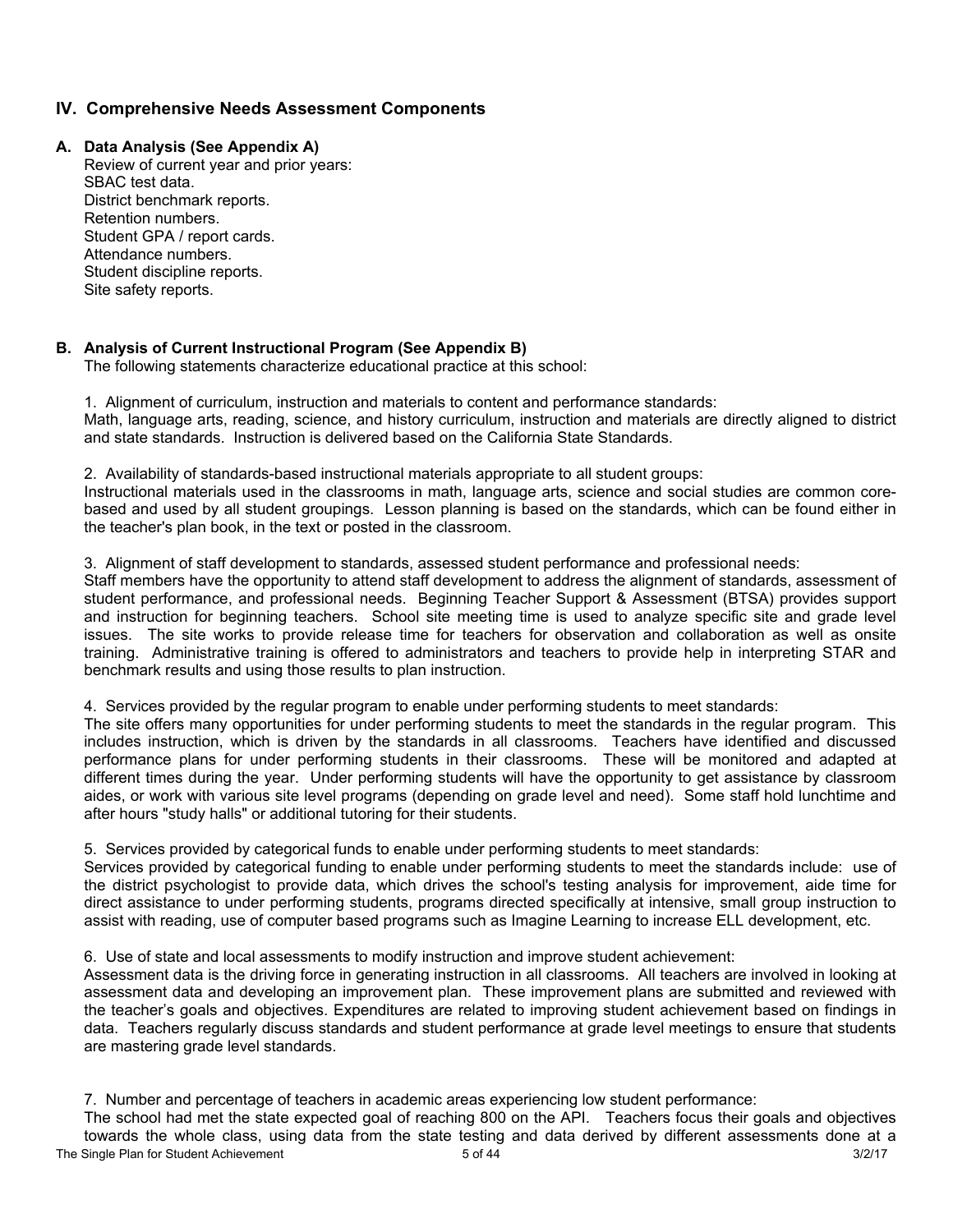## **IV. Comprehensive Needs Assessment Components**

### **A. Data Analysis (See Appendix A)**

Review of current year and prior years: SBAC test data. District benchmark reports. Retention numbers. Student GPA / report cards. Attendance numbers. Student discipline reports. Site safety reports.

### **B. Analysis of Current Instructional Program (See Appendix B)**

The following statements characterize educational practice at this school:

1. Alignment of curriculum, instruction and materials to content and performance standards: Math, language arts, reading, science, and history curriculum, instruction and materials are directly aligned to district and state standards. Instruction is delivered based on the California State Standards.

2. Availability of standards-based instructional materials appropriate to all student groups:

Instructional materials used in the classrooms in math, language arts, science and social studies are common corebased and used by all student groupings. Lesson planning is based on the standards, which can be found either in the teacher's plan book, in the text or posted in the classroom.

3. Alignment of staff development to standards, assessed student performance and professional needs:

Staff members have the opportunity to attend staff development to address the alignment of standards, assessment of student performance, and professional needs. Beginning Teacher Support & Assessment (BTSA) provides support and instruction for beginning teachers. School site meeting time is used to analyze specific site and grade level issues. The site works to provide release time for teachers for observation and collaboration as well as onsite training. Administrative training is offered to administrators and teachers to provide help in interpreting STAR and benchmark results and using those results to plan instruction.

### 4. Services provided by the regular program to enable under performing students to meet standards:

The site offers many opportunities for under performing students to meet the standards in the regular program. This includes instruction, which is driven by the standards in all classrooms. Teachers have identified and discussed performance plans for under performing students in their classrooms. These will be monitored and adapted at different times during the year. Under performing students will have the opportunity to get assistance by classroom aides, or work with various site level programs (depending on grade level and need). Some staff hold lunchtime and after hours "study halls" or additional tutoring for their students.

5. Services provided by categorical funds to enable under performing students to meet standards:

Services provided by categorical funding to enable under performing students to meet the standards include: use of the district psychologist to provide data, which drives the school's testing analysis for improvement, aide time for direct assistance to under performing students, programs directed specifically at intensive, small group instruction to assist with reading, use of computer based programs such as Imagine Learning to increase ELL development, etc.

6. Use of state and local assessments to modify instruction and improve student achievement:

Assessment data is the driving force in generating instruction in all classrooms. All teachers are involved in looking at assessment data and developing an improvement plan. These improvement plans are submitted and reviewed with the teacher's goals and objectives. Expenditures are related to improving student achievement based on findings in data. Teachers regularly discuss standards and student performance at grade level meetings to ensure that students are mastering grade level standards.

7. Number and percentage of teachers in academic areas experiencing low student performance:

The Single Plan for Student Achievement 6 of 44 3/2/17 3/2/17 The school had met the state expected goal of reaching 800 on the API. Teachers focus their goals and objectives towards the whole class, using data from the state testing and data derived by different assessments done at a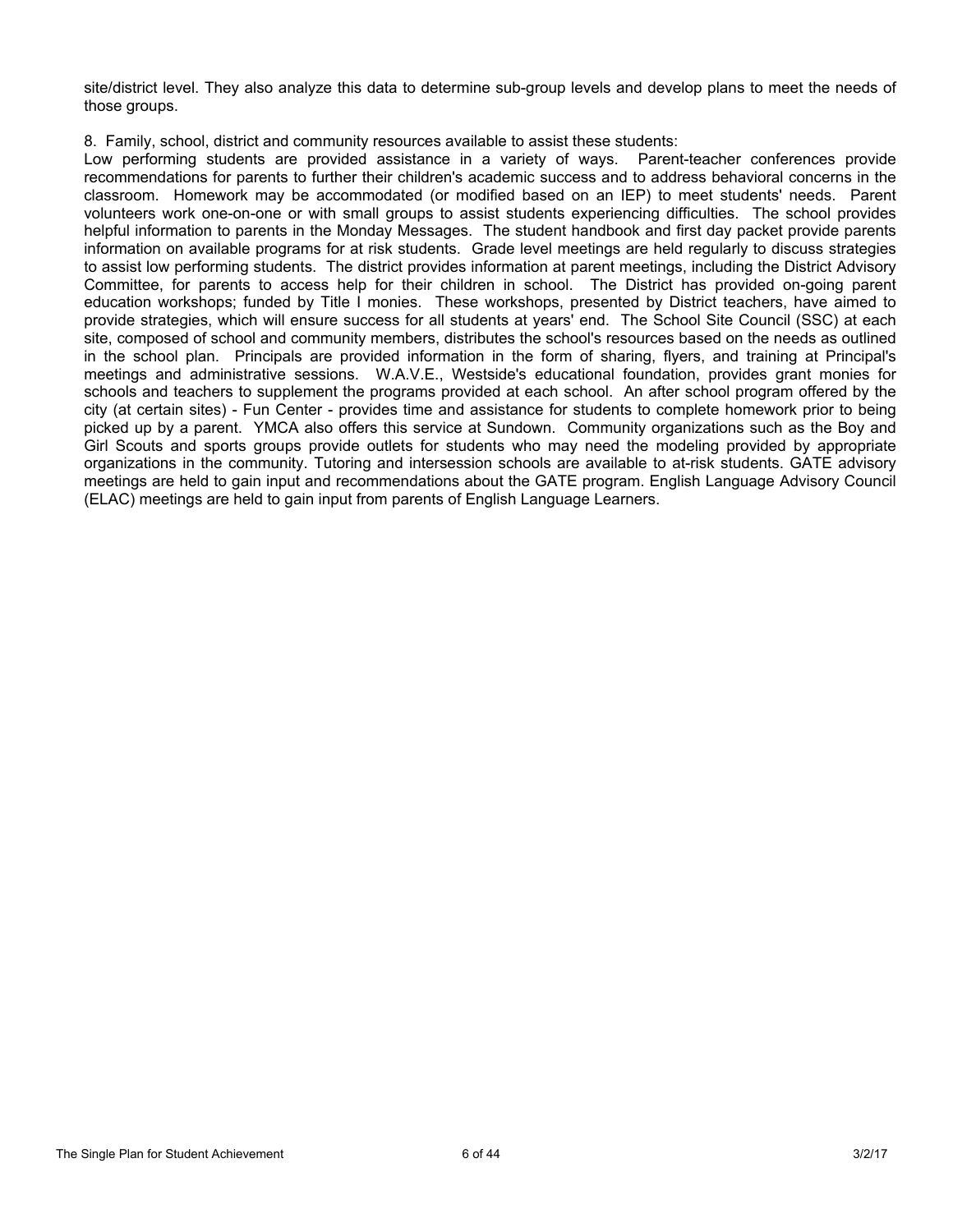site/district level. They also analyze this data to determine sub-group levels and develop plans to meet the needs of those groups.

### 8. Family, school, district and community resources available to assist these students:

Low performing students are provided assistance in a variety of ways. Parent-teacher conferences provide recommendations for parents to further their children's academic success and to address behavioral concerns in the classroom. Homework may be accommodated (or modified based on an IEP) to meet students' needs. Parent volunteers work one-on-one or with small groups to assist students experiencing difficulties. The school provides helpful information to parents in the Monday Messages. The student handbook and first day packet provide parents information on available programs for at risk students. Grade level meetings are held regularly to discuss strategies to assist low performing students. The district provides information at parent meetings, including the District Advisory Committee, for parents to access help for their children in school. The District has provided on-going parent education workshops; funded by Title I monies. These workshops, presented by District teachers, have aimed to provide strategies, which will ensure success for all students at years' end. The School Site Council (SSC) at each site, composed of school and community members, distributes the school's resources based on the needs as outlined in the school plan. Principals are provided information in the form of sharing, flyers, and training at Principal's meetings and administrative sessions. W.A.V.E., Westside's educational foundation, provides grant monies for schools and teachers to supplement the programs provided at each school. An after school program offered by the city (at certain sites) - Fun Center - provides time and assistance for students to complete homework prior to being picked up by a parent. YMCA also offers this service at Sundown. Community organizations such as the Boy and Girl Scouts and sports groups provide outlets for students who may need the modeling provided by appropriate organizations in the community. Tutoring and intersession schools are available to at-risk students. GATE advisory meetings are held to gain input and recommendations about the GATE program. English Language Advisory Council (ELAC) meetings are held to gain input from parents of English Language Learners.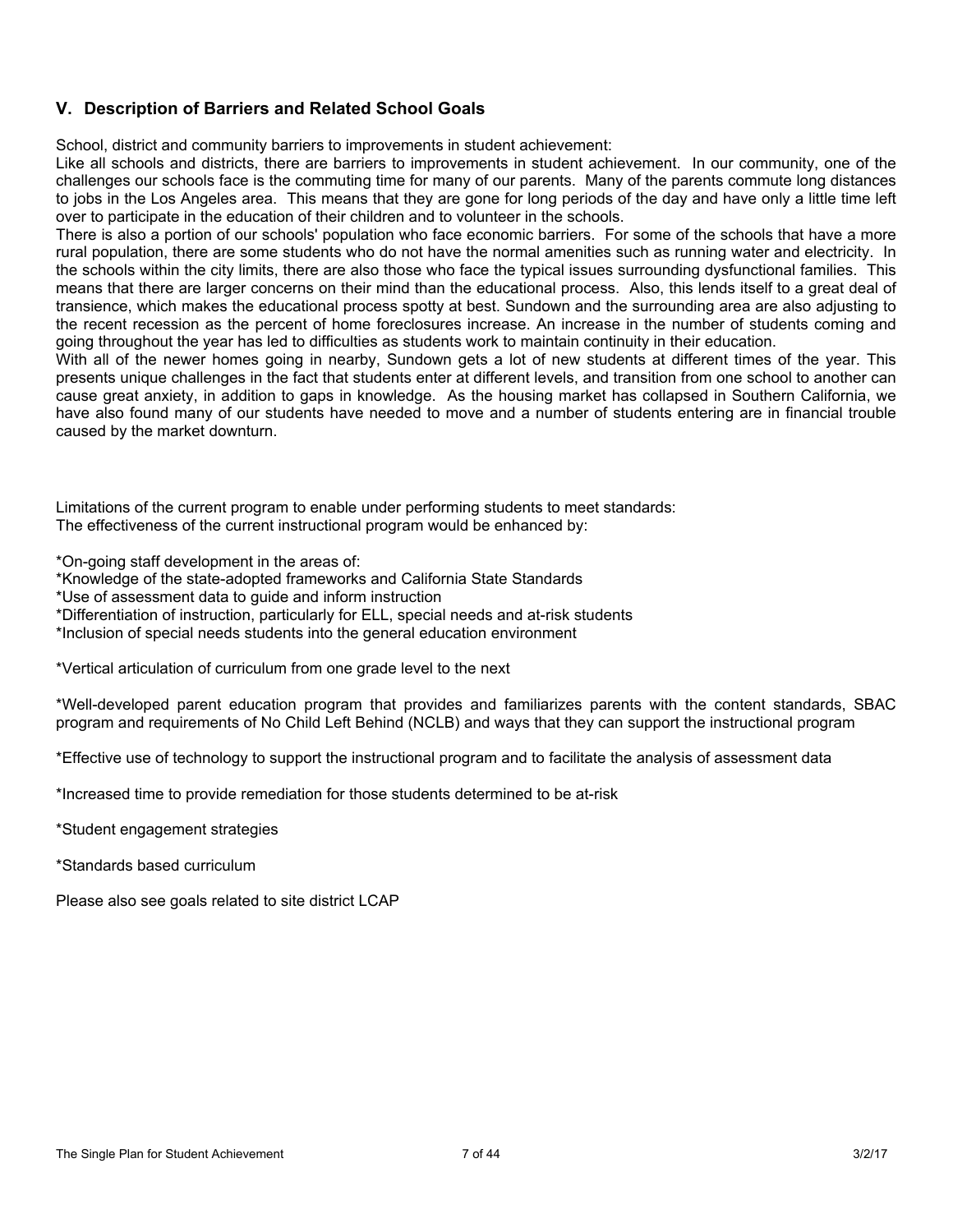## **V. Description of Barriers and Related School Goals**

School, district and community barriers to improvements in student achievement:

Like all schools and districts, there are barriers to improvements in student achievement. In our community, one of the challenges our schools face is the commuting time for many of our parents. Many of the parents commute long distances to jobs in the Los Angeles area. This means that they are gone for long periods of the day and have only a little time left over to participate in the education of their children and to volunteer in the schools.

There is also a portion of our schools' population who face economic barriers. For some of the schools that have a more rural population, there are some students who do not have the normal amenities such as running water and electricity. In the schools within the city limits, there are also those who face the typical issues surrounding dysfunctional families. This means that there are larger concerns on their mind than the educational process. Also, this lends itself to a great deal of transience, which makes the educational process spotty at best. Sundown and the surrounding area are also adjusting to the recent recession as the percent of home foreclosures increase. An increase in the number of students coming and going throughout the year has led to difficulties as students work to maintain continuity in their education.

With all of the newer homes going in nearby, Sundown gets a lot of new students at different times of the year. This presents unique challenges in the fact that students enter at different levels, and transition from one school to another can cause great anxiety, in addition to gaps in knowledge. As the housing market has collapsed in Southern California, we have also found many of our students have needed to move and a number of students entering are in financial trouble caused by the market downturn.

Limitations of the current program to enable under performing students to meet standards: The effectiveness of the current instructional program would be enhanced by:

\*On-going staff development in the areas of:

\*Knowledge of the state-adopted frameworks and California State Standards

\*Use of assessment data to guide and inform instruction

\*Differentiation of instruction, particularly for ELL, special needs and at-risk students

\*Inclusion of special needs students into the general education environment

\*Vertical articulation of curriculum from one grade level to the next

\*Well-developed parent education program that provides and familiarizes parents with the content standards, SBAC program and requirements of No Child Left Behind (NCLB) and ways that they can support the instructional program

\*Effective use of technology to support the instructional program and to facilitate the analysis of assessment data

\*Increased time to provide remediation for those students determined to be at-risk

\*Student engagement strategies

\*Standards based curriculum

Please also see goals related to site district LCAP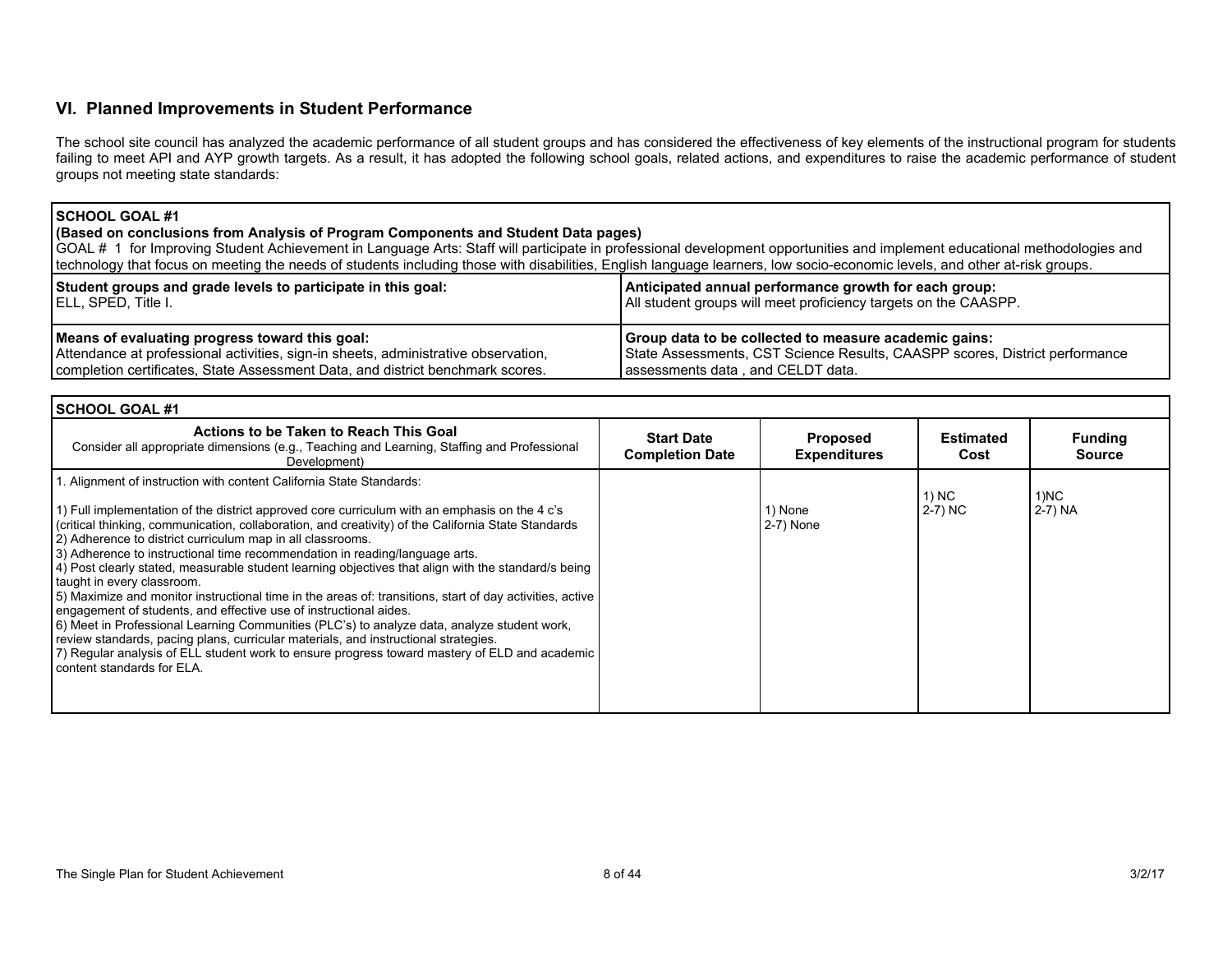## **VI. Planned Improvements in Student Performance**

The school site council has analyzed the academic performance of all student groups and has considered the effectiveness of key elements of the instructional program for students failing to meet API and AYP growth targets. As a result, it has adopted the following school goals, related actions, and expenditures to raise the academic performance of student groups not meeting state standards:

### **SCHOOL GOAL #1**

**(Based on conclusions from Analysis of Program Components and Student Data pages)**

GOAL # 1 for Improving Student Achievement in Language Arts: Staff will participate in professional development opportunities and implement educational methodologies and technology that focus on meeting the needs of students including those with disabilities, English language learners, low socio-economic levels, and other at-risk groups.

| Student groups and grade levels to participate in this goal:<br>ELL, SPED, Title I. | Anticipated annual performance growth for each group:<br>All student groups will meet proficiency targets on the CAASPP. |
|-------------------------------------------------------------------------------------|--------------------------------------------------------------------------------------------------------------------------|
| Means of evaluating progress toward this goal:                                      | Group data to be collected to measure academic gains:                                                                    |
| Attendance at professional activities, sign-in sheets, administrative observation,  | State Assessments, CST Science Results, CAASPP scores, District performance                                              |
| completion certificates, State Assessment Data, and district benchmark scores.      | assessments data, and CELDT data.                                                                                        |

| l SCHOOL GOAL #1                                                                                                                                                                                                                                                                                                                                                                                                                                                                                                                                                                                                                                                                                                                                                                                                                                                                                                                                                                                                                                                     |                                             |                                        |                    |                                 |
|----------------------------------------------------------------------------------------------------------------------------------------------------------------------------------------------------------------------------------------------------------------------------------------------------------------------------------------------------------------------------------------------------------------------------------------------------------------------------------------------------------------------------------------------------------------------------------------------------------------------------------------------------------------------------------------------------------------------------------------------------------------------------------------------------------------------------------------------------------------------------------------------------------------------------------------------------------------------------------------------------------------------------------------------------------------------|---------------------------------------------|----------------------------------------|--------------------|---------------------------------|
| Actions to be Taken to Reach This Goal<br>Consider all appropriate dimensions (e.g., Teaching and Learning, Staffing and Professional<br>Development)                                                                                                                                                                                                                                                                                                                                                                                                                                                                                                                                                                                                                                                                                                                                                                                                                                                                                                                | <b>Start Date</b><br><b>Completion Date</b> | <b>Proposed</b><br><b>Expenditures</b> | Estimated<br>Cost  | <b>Funding</b><br><b>Source</b> |
| I. Alignment of instruction with content California State Standards:<br>1) Full implementation of the district approved core curriculum with an emphasis on the 4 c's<br>(critical thinking, communication, collaboration, and creativity) of the California State Standards<br>2) Adherence to district curriculum map in all classrooms.<br>3) Adherence to instructional time recommendation in reading/language arts.<br>4) Post clearly stated, measurable student learning objectives that align with the standard/s being<br>taught in every classroom.<br>5) Maximize and monitor instructional time in the areas of: transitions, start of day activities, active<br>engagement of students, and effective use of instructional aides.<br>6) Meet in Professional Learning Communities (PLC's) to analyze data, analyze student work,<br>review standards, pacing plans, curricular materials, and instructional strategies.<br>7) Regular analysis of ELL student work to ensure progress toward mastery of ELD and academic<br>content standards for ELA. |                                             | 1) None<br>$2-7)$ None                 | 1) NC<br>$2-7)$ NC | 1)NC<br>  2-7) NA               |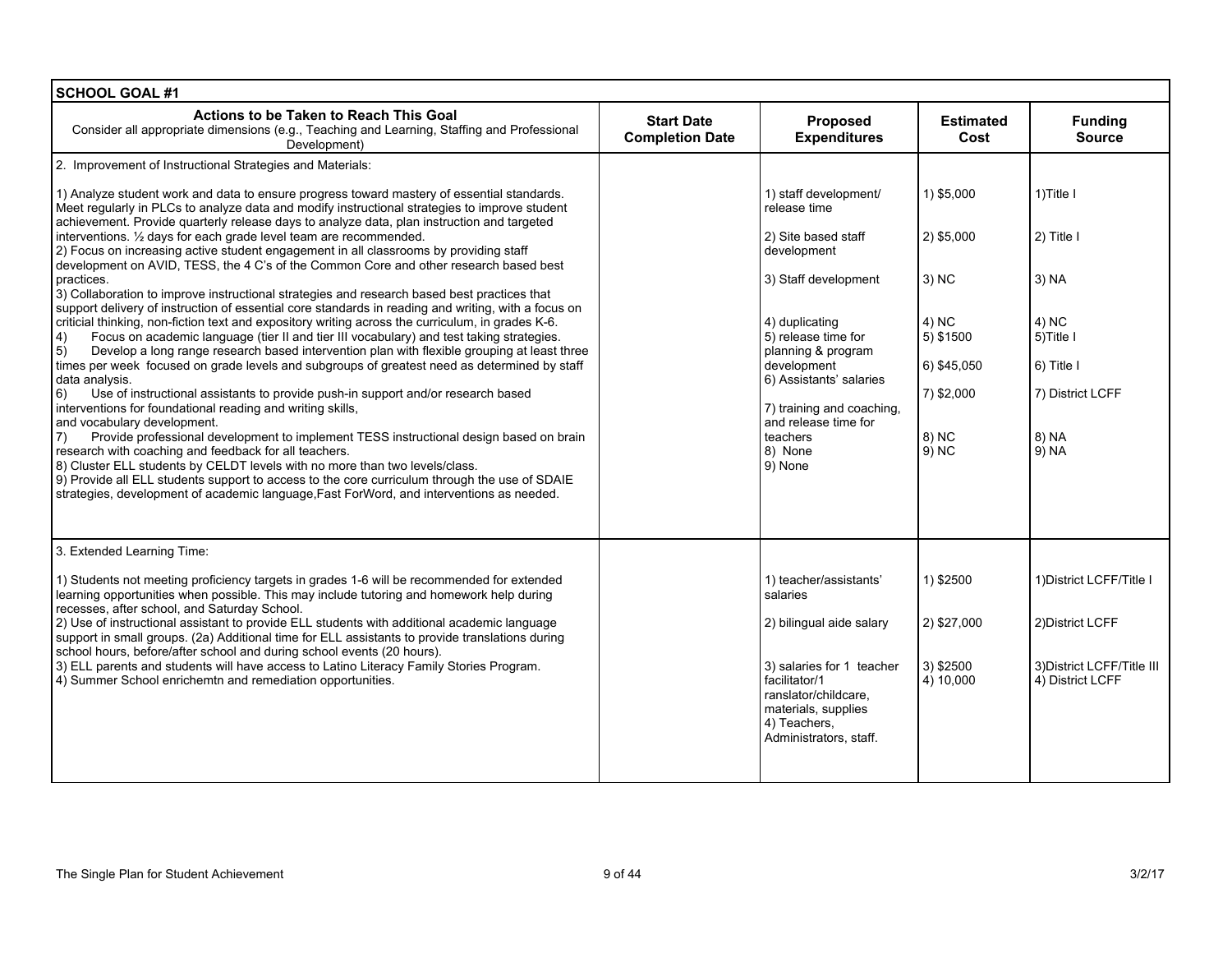| <b>SCHOOL GOAL #1</b>                                                                                                                                                                                                                                                                                                                                                                                                                                                                                                                                                                                                                                                                                                                                                                                                                                                                                                                                                                                                                                                                                                                                                                                                                                                                                                                                                                                                                                                                                                                                                                                                                                                                                                                                                                                                            |                                             |                                                                                                                                                                                                                                                                                                     |                                                                                                          |                                                                                                                |
|----------------------------------------------------------------------------------------------------------------------------------------------------------------------------------------------------------------------------------------------------------------------------------------------------------------------------------------------------------------------------------------------------------------------------------------------------------------------------------------------------------------------------------------------------------------------------------------------------------------------------------------------------------------------------------------------------------------------------------------------------------------------------------------------------------------------------------------------------------------------------------------------------------------------------------------------------------------------------------------------------------------------------------------------------------------------------------------------------------------------------------------------------------------------------------------------------------------------------------------------------------------------------------------------------------------------------------------------------------------------------------------------------------------------------------------------------------------------------------------------------------------------------------------------------------------------------------------------------------------------------------------------------------------------------------------------------------------------------------------------------------------------------------------------------------------------------------|---------------------------------------------|-----------------------------------------------------------------------------------------------------------------------------------------------------------------------------------------------------------------------------------------------------------------------------------------------------|----------------------------------------------------------------------------------------------------------|----------------------------------------------------------------------------------------------------------------|
| Actions to be Taken to Reach This Goal<br>Consider all appropriate dimensions (e.g., Teaching and Learning, Staffing and Professional<br>Development)                                                                                                                                                                                                                                                                                                                                                                                                                                                                                                                                                                                                                                                                                                                                                                                                                                                                                                                                                                                                                                                                                                                                                                                                                                                                                                                                                                                                                                                                                                                                                                                                                                                                            | <b>Start Date</b><br><b>Completion Date</b> | Proposed<br><b>Expenditures</b>                                                                                                                                                                                                                                                                     | <b>Estimated</b><br>Cost                                                                                 | <b>Funding</b><br><b>Source</b>                                                                                |
| 2. Improvement of Instructional Strategies and Materials:                                                                                                                                                                                                                                                                                                                                                                                                                                                                                                                                                                                                                                                                                                                                                                                                                                                                                                                                                                                                                                                                                                                                                                                                                                                                                                                                                                                                                                                                                                                                                                                                                                                                                                                                                                        |                                             |                                                                                                                                                                                                                                                                                                     |                                                                                                          |                                                                                                                |
| 1) Analyze student work and data to ensure progress toward mastery of essential standards.<br>Meet regularly in PLCs to analyze data and modify instructional strategies to improve student<br>achievement. Provide quarterly release days to analyze data, plan instruction and targeted<br>interventions. 1/2 days for each grade level team are recommended.<br>2) Focus on increasing active student engagement in all classrooms by providing staff<br>development on AVID, TESS, the 4 C's of the Common Core and other research based best<br>practices.<br>3) Collaboration to improve instructional strategies and research based best practices that<br>support delivery of instruction of essential core standards in reading and writing, with a focus on<br>criticial thinking, non-fiction text and expository writing across the curriculum, in grades K-6.<br>Focus on academic language (tier II and tier III vocabulary) and test taking strategies.<br> 4)<br>5)<br>Develop a long range research based intervention plan with flexible grouping at least three<br>times per week focused on grade levels and subgroups of greatest need as determined by staff<br>data analysis.<br>6)<br>Use of instructional assistants to provide push-in support and/or research based<br>interventions for foundational reading and writing skills,<br>and vocabulary development.<br>Provide professional development to implement TESS instructional design based on brain<br>7)<br>research with coaching and feedback for all teachers.<br>8) Cluster ELL students by CELDT levels with no more than two levels/class.<br>9) Provide all ELL students support to access to the core curriculum through the use of SDAIE<br>strategies, development of academic language, Fast ForWord, and interventions as needed. |                                             | 1) staff development/<br>release time<br>2) Site based staff<br>development<br>3) Staff development<br>4) duplicating<br>5) release time for<br>planning & program<br>development<br>6) Assistants' salaries<br>7) training and coaching,<br>and release time for<br>teachers<br>8) None<br>9) None | 1) \$5,000<br>2) \$5,000<br>3) NC<br>4) NC<br>5) \$1500<br>6) \$45,050<br>7) \$2,000<br>8) NC<br>$9)$ NC | $1)$ Title I<br>2) Title I<br>3) NA<br>4) NC<br>5) Title I<br>6) Title I<br>7) District LCFF<br>8) NA<br>9) NA |
|                                                                                                                                                                                                                                                                                                                                                                                                                                                                                                                                                                                                                                                                                                                                                                                                                                                                                                                                                                                                                                                                                                                                                                                                                                                                                                                                                                                                                                                                                                                                                                                                                                                                                                                                                                                                                                  |                                             |                                                                                                                                                                                                                                                                                                     |                                                                                                          |                                                                                                                |
| 3. Extended Learning Time:                                                                                                                                                                                                                                                                                                                                                                                                                                                                                                                                                                                                                                                                                                                                                                                                                                                                                                                                                                                                                                                                                                                                                                                                                                                                                                                                                                                                                                                                                                                                                                                                                                                                                                                                                                                                       |                                             |                                                                                                                                                                                                                                                                                                     |                                                                                                          |                                                                                                                |
| 1) Students not meeting proficiency targets in grades 1-6 will be recommended for extended<br>learning opportunities when possible. This may include tutoring and homework help during<br>recesses, after school, and Saturday School.                                                                                                                                                                                                                                                                                                                                                                                                                                                                                                                                                                                                                                                                                                                                                                                                                                                                                                                                                                                                                                                                                                                                                                                                                                                                                                                                                                                                                                                                                                                                                                                           |                                             | 1) teacher/assistants'<br>salaries                                                                                                                                                                                                                                                                  | 1) \$2500                                                                                                | 1) District LCFF/Title I                                                                                       |
| 2) Use of instructional assistant to provide ELL students with additional academic language<br>support in small groups. (2a) Additional time for ELL assistants to provide translations during                                                                                                                                                                                                                                                                                                                                                                                                                                                                                                                                                                                                                                                                                                                                                                                                                                                                                                                                                                                                                                                                                                                                                                                                                                                                                                                                                                                                                                                                                                                                                                                                                                   |                                             | 2) bilingual aide salary                                                                                                                                                                                                                                                                            | 2) \$27,000                                                                                              | 2) District LCFF                                                                                               |
| school hours, before/after school and during school events (20 hours).<br>3) ELL parents and students will have access to Latino Literacy Family Stories Program.<br>4) Summer School enrichemtn and remediation opportunities.                                                                                                                                                                                                                                                                                                                                                                                                                                                                                                                                                                                                                                                                                                                                                                                                                                                                                                                                                                                                                                                                                                                                                                                                                                                                                                                                                                                                                                                                                                                                                                                                  |                                             | 3) salaries for 1 teacher<br>facilitator/1<br>ranslator/childcare,<br>materials, supplies<br>4) Teachers,<br>Administrators, staff.                                                                                                                                                                 | 3) \$2500<br>4) 10,000                                                                                   | 3) District LCFF/Title III<br>4) District LCFF                                                                 |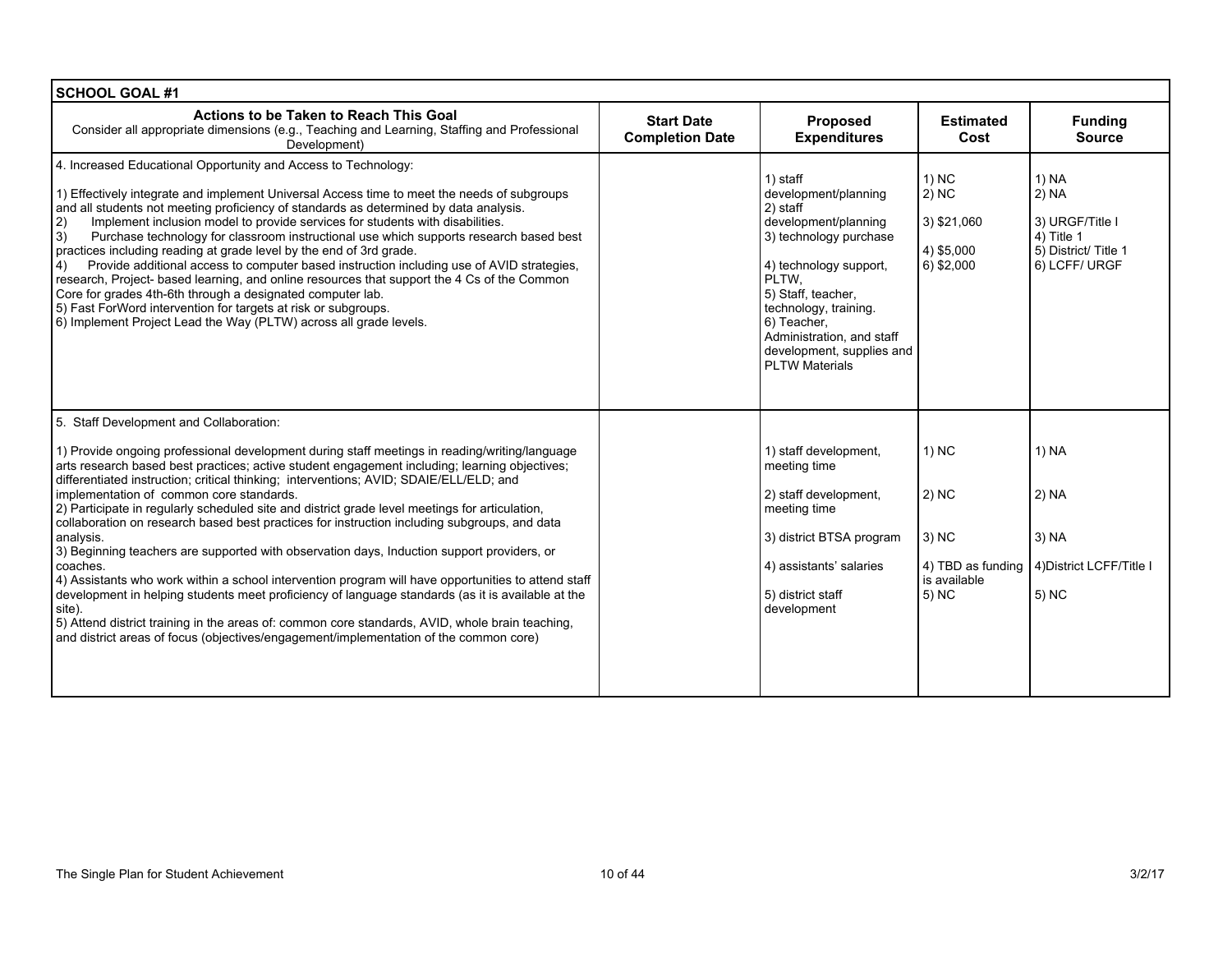| <b>SCHOOL GOAL #1</b>                                                                                                                                                                                                                                                                                                                                                                                                                                                                                                                                                                                                                                                                                                                                                                                                                                                                                                                                                                                                                                                                                                      |                                             |                                                                                                                                                                                                                                                                                    |                                                                                |                                                                                         |
|----------------------------------------------------------------------------------------------------------------------------------------------------------------------------------------------------------------------------------------------------------------------------------------------------------------------------------------------------------------------------------------------------------------------------------------------------------------------------------------------------------------------------------------------------------------------------------------------------------------------------------------------------------------------------------------------------------------------------------------------------------------------------------------------------------------------------------------------------------------------------------------------------------------------------------------------------------------------------------------------------------------------------------------------------------------------------------------------------------------------------|---------------------------------------------|------------------------------------------------------------------------------------------------------------------------------------------------------------------------------------------------------------------------------------------------------------------------------------|--------------------------------------------------------------------------------|-----------------------------------------------------------------------------------------|
| Actions to be Taken to Reach This Goal<br>Consider all appropriate dimensions (e.g., Teaching and Learning, Staffing and Professional<br>Development)                                                                                                                                                                                                                                                                                                                                                                                                                                                                                                                                                                                                                                                                                                                                                                                                                                                                                                                                                                      | <b>Start Date</b><br><b>Completion Date</b> | <b>Proposed</b><br><b>Expenditures</b>                                                                                                                                                                                                                                             | <b>Estimated</b><br>Cost                                                       | <b>Funding</b><br><b>Source</b>                                                         |
| 4. Increased Educational Opportunity and Access to Technology:<br>1) Effectively integrate and implement Universal Access time to meet the needs of subgroups<br>and all students not meeting proficiency of standards as determined by data analysis.<br>Implement inclusion model to provide services for students with disabilities.<br> 2)<br>$ 3\rangle$<br>Purchase technology for classroom instructional use which supports research based best<br>practices including reading at grade level by the end of 3rd grade.<br>Provide additional access to computer based instruction including use of AVID strategies,<br>4)<br>research, Project- based learning, and online resources that support the 4 Cs of the Common<br>Core for grades 4th-6th through a designated computer lab.<br>5) Fast ForWord intervention for targets at risk or subgroups.<br>6) Implement Project Lead the Way (PLTW) across all grade levels.                                                                                                                                                                                      |                                             | 1) staff<br>development/planning<br>2) staff<br>development/planning<br>3) technology purchase<br>4) technology support,<br>PLTW.<br>5) Staff, teacher,<br>technology, training.<br>6) Teacher,<br>Administration, and staff<br>development, supplies and<br><b>PLTW Materials</b> | 1) NC<br>$(2)$ NC<br>3) \$21,060<br>4) \$5,000<br>6) \$2,000                   | 1) NA<br>2) NA<br>3) URGF/Title I<br>4) Title 1<br>5) District/ Title 1<br>6) LCFF/URGF |
| 5. Staff Development and Collaboration:<br>1) Provide ongoing professional development during staff meetings in reading/writing/language<br>arts research based best practices; active student engagement including; learning objectives;<br>differentiated instruction; critical thinking; interventions; AVID; SDAIE/ELL/ELD; and<br>implementation of common core standards.<br>2) Participate in regularly scheduled site and district grade level meetings for articulation,<br>collaboration on research based best practices for instruction including subgroups, and data<br>analysis.<br>3) Beginning teachers are supported with observation days, Induction support providers, or<br>coaches.<br>4) Assistants who work within a school intervention program will have opportunities to attend staff<br>development in helping students meet proficiency of language standards (as it is available at the<br>site).<br>5) Attend district training in the areas of: common core standards, AVID, whole brain teaching,<br>and district areas of focus (objectives/engagement/implementation of the common core) |                                             | 1) staff development.<br>meeting time<br>2) staff development,<br>meeting time<br>3) district BTSA program<br>4) assistants' salaries<br>5) district staff<br>development                                                                                                          | 1) NC<br>$ 2\rangle$ NC<br>3) NC<br>4) TBD as funding<br>is available<br>5) NC | 1) NA<br>$2)$ NA<br>$3)$ NA<br>4) District LCFF/Title I<br>5) NC                        |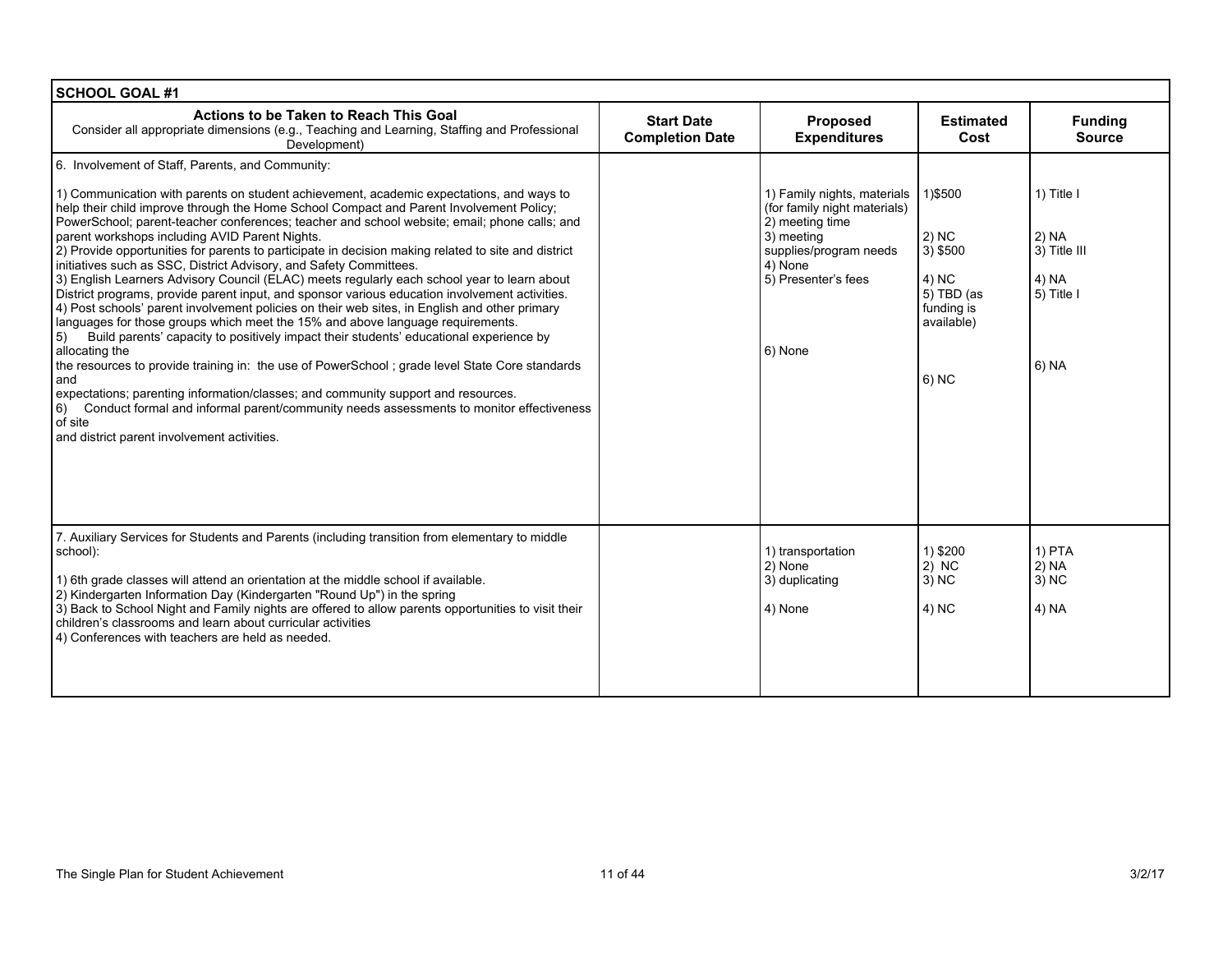| <b>SCHOOL GOAL #1</b>                                                                                                                                                                                                                                                                                                                                                                                                                                                                                                                                                                                                                                                                                                                                                                                                                                                                                                                                                                                                                                                                                                                                                                                                                                                                                                                                                                            |                                             |                                                                                                                                                                     |                                                                                                   |                                                                     |
|--------------------------------------------------------------------------------------------------------------------------------------------------------------------------------------------------------------------------------------------------------------------------------------------------------------------------------------------------------------------------------------------------------------------------------------------------------------------------------------------------------------------------------------------------------------------------------------------------------------------------------------------------------------------------------------------------------------------------------------------------------------------------------------------------------------------------------------------------------------------------------------------------------------------------------------------------------------------------------------------------------------------------------------------------------------------------------------------------------------------------------------------------------------------------------------------------------------------------------------------------------------------------------------------------------------------------------------------------------------------------------------------------|---------------------------------------------|---------------------------------------------------------------------------------------------------------------------------------------------------------------------|---------------------------------------------------------------------------------------------------|---------------------------------------------------------------------|
| Actions to be Taken to Reach This Goal<br>Consider all appropriate dimensions (e.g., Teaching and Learning, Staffing and Professional<br>Development)                                                                                                                                                                                                                                                                                                                                                                                                                                                                                                                                                                                                                                                                                                                                                                                                                                                                                                                                                                                                                                                                                                                                                                                                                                            | <b>Start Date</b><br><b>Completion Date</b> | <b>Proposed</b><br><b>Expenditures</b>                                                                                                                              | <b>Estimated</b><br>Cost                                                                          | <b>Funding</b><br><b>Source</b>                                     |
| 6. Involvement of Staff, Parents, and Community:                                                                                                                                                                                                                                                                                                                                                                                                                                                                                                                                                                                                                                                                                                                                                                                                                                                                                                                                                                                                                                                                                                                                                                                                                                                                                                                                                 |                                             |                                                                                                                                                                     |                                                                                                   |                                                                     |
| 1) Communication with parents on student achievement, academic expectations, and ways to<br>help their child improve through the Home School Compact and Parent Involvement Policy;<br>PowerSchool; parent-teacher conferences; teacher and school website; email; phone calls; and<br>parent workshops including AVID Parent Nights.<br>2) Provide opportunities for parents to participate in decision making related to site and district<br>initiatives such as SSC, District Advisory, and Safety Committees.<br>3) English Learners Advisory Council (ELAC) meets regularly each school year to learn about<br>District programs, provide parent input, and sponsor various education involvement activities.<br>4) Post schools' parent involvement policies on their web sites, in English and other primary<br>languages for those groups which meet the 15% and above language requirements.<br>Build parents' capacity to positively impact their students' educational experience by<br>$\vert 5 \rangle$<br>allocating the<br>the resources to provide training in: the use of PowerSchool; grade level State Core standards<br>and<br>expectations; parenting information/classes; and community support and resources.<br>Conduct formal and informal parent/community needs assessments to monitor effectiveness<br>6)<br>of site<br>and district parent involvement activities. |                                             | 1) Family nights, materials<br>(for family night materials)<br>2) meeting time<br>3) meeting<br>supplies/program needs<br>4) None<br>5) Presenter's fees<br>6) None | 1)\$500<br>$ 2\rangle$ NC<br>3) \$500<br>4) NC<br>5) TBD (as<br>funding is<br>available)<br>6) NC | 1) Title I<br>2) NA<br>3) Title III<br>4) NA<br>5) Title I<br>6) NA |
| 7. Auxiliary Services for Students and Parents (including transition from elementary to middle<br>school):<br>1) 6th grade classes will attend an orientation at the middle school if available.<br>2) Kindergarten Information Day (Kindergarten "Round Up") in the spring<br>3) Back to School Night and Family nights are offered to allow parents opportunities to visit their<br>children's classrooms and learn about curricular activities<br>4) Conferences with teachers are held as needed.                                                                                                                                                                                                                                                                                                                                                                                                                                                                                                                                                                                                                                                                                                                                                                                                                                                                                            |                                             | 1) transportation<br>2) None<br>3) duplicating<br>4) None                                                                                                           | 1) \$200<br>$2)$ NC<br>3) NC<br>4) NC                                                             | 1) PTA<br>2) NA<br>3) NC<br>4) NA                                   |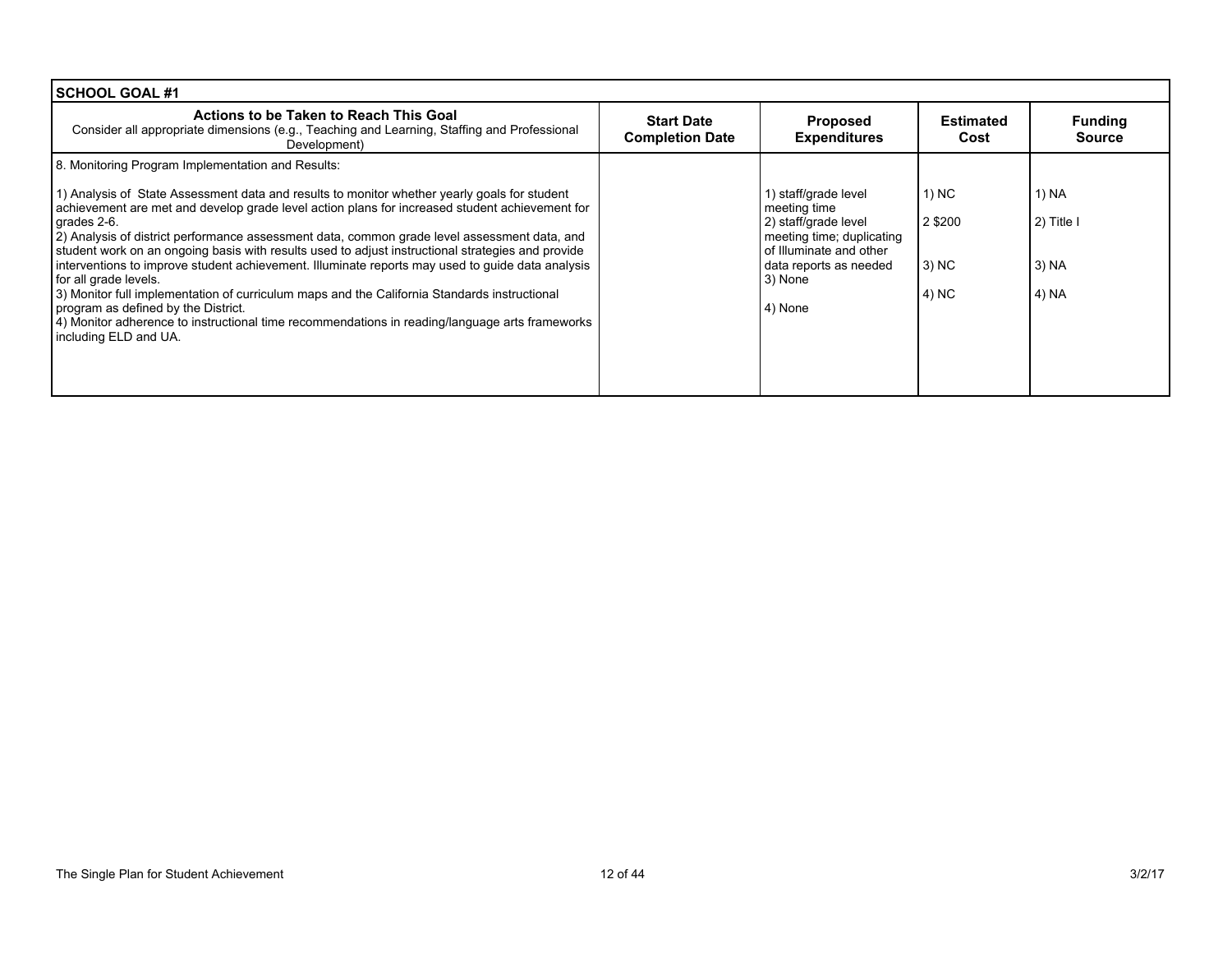| SCHOOL GOAL #1                                                                                                                                                                                                                                                                                                                                                                                                                                                                                                          |                                             |                                                                                                                                                |                              |                                 |
|-------------------------------------------------------------------------------------------------------------------------------------------------------------------------------------------------------------------------------------------------------------------------------------------------------------------------------------------------------------------------------------------------------------------------------------------------------------------------------------------------------------------------|---------------------------------------------|------------------------------------------------------------------------------------------------------------------------------------------------|------------------------------|---------------------------------|
| Actions to be Taken to Reach This Goal<br>Consider all appropriate dimensions (e.g., Teaching and Learning, Staffing and Professional<br>Development)                                                                                                                                                                                                                                                                                                                                                                   | <b>Start Date</b><br><b>Completion Date</b> | <b>Proposed</b><br><b>Expenditures</b>                                                                                                         | <b>Estimated</b><br>Cost     | <b>Funding</b><br><b>Source</b> |
| 8. Monitoring Program Implementation and Results:                                                                                                                                                                                                                                                                                                                                                                                                                                                                       |                                             |                                                                                                                                                |                              |                                 |
| 1) Analysis of State Assessment data and results to monitor whether yearly goals for student<br>achievement are met and develop grade level action plans for increased student achievement for<br>grades 2-6.<br>[2] Analysis of district performance assessment data, common grade level assessment data, and<br>student work on an ongoing basis with results used to adjust instructional strategies and provide<br>interventions to improve student achievement. Illuminate reports may used to guide data analysis |                                             | 1) staff/grade level<br>meeting time<br>2) staff/grade level<br>meeting time; duplicating<br>of Illuminate and other<br>data reports as needed | 1) NC<br>2 \$200<br>$(3)$ NC | 1) NA<br>2) Title I<br>  3) NA  |
| for all grade levels.<br>3) Monitor full implementation of curriculum maps and the California Standards instructional<br>program as defined by the District.<br>4) Monitor adherence to instructional time recommendations in reading/language arts frameworks<br>including ELD and UA.                                                                                                                                                                                                                                 |                                             | 3) None<br>4) None                                                                                                                             | 4) NC                        | 4) NA                           |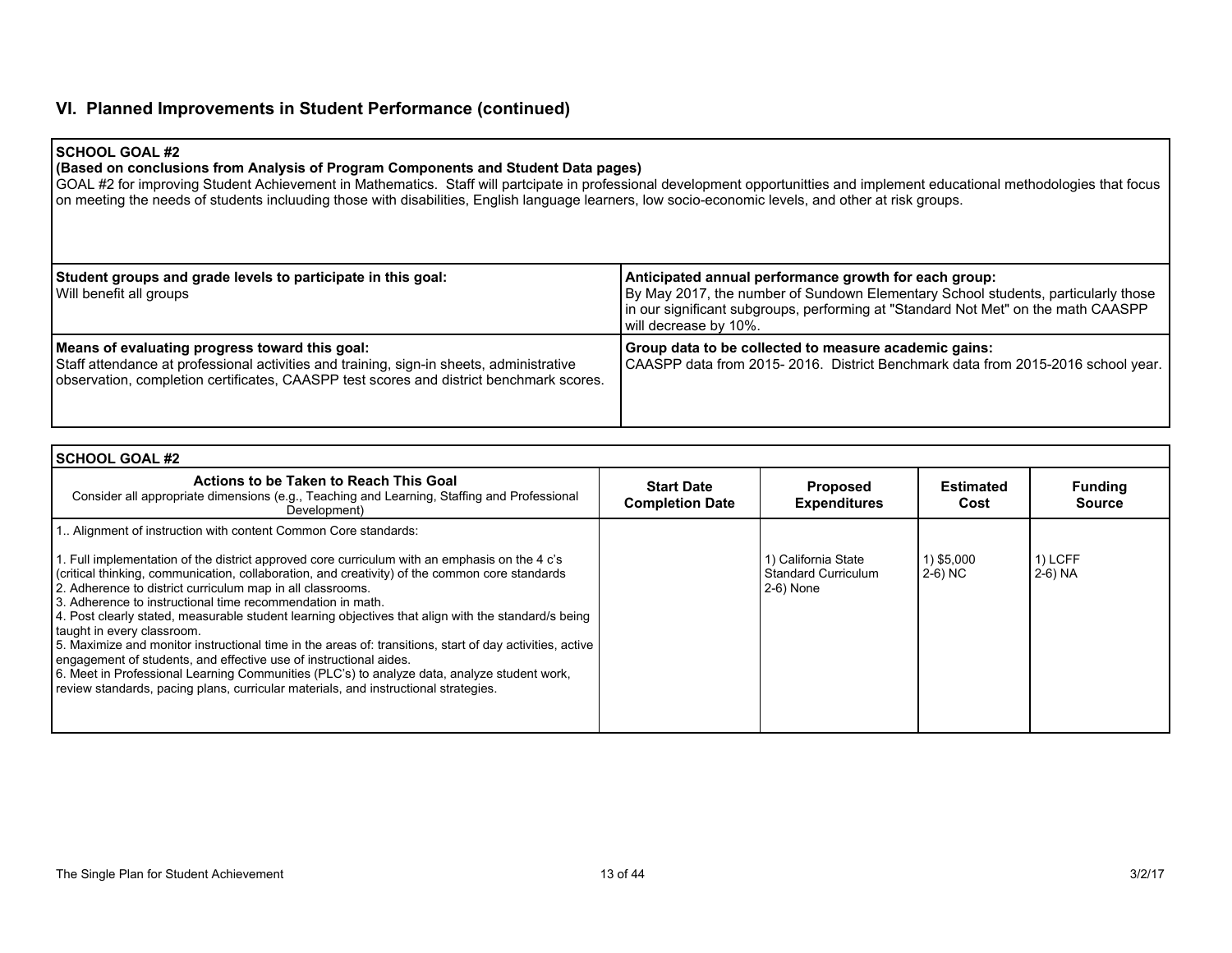## **VI. Planned Improvements in Student Performance (continued)**

### **SCHOOL GOAL #2**

#### **(Based on conclusions from Analysis of Program Components and Student Data pages)**

GOAL #2 for improving Student Achievement in Mathematics. Staff will partcipate in professional development opportunitties and implement educational methodologies that focus on meeting the needs of students incluuding those with disabilities, English language learners, low socio-economic levels, and other at risk groups.

| Student groups and grade levels to participate in this goal:<br>Will benefit all groups                                                                                                                                               | Anticipated annual performance growth for each group:<br>By May 2017, the number of Sundown Elementary School students, particularly those<br>In our significant subgroups, performing at "Standard Not Met" on the math CAASPP<br>will decrease by 10%. |
|---------------------------------------------------------------------------------------------------------------------------------------------------------------------------------------------------------------------------------------|----------------------------------------------------------------------------------------------------------------------------------------------------------------------------------------------------------------------------------------------------------|
| Means of evaluating progress toward this goal:<br>Staff attendance at professional activities and training, sign-in sheets, administrative<br>observation, completion certificates, CAASPP test scores and district benchmark scores. | Group data to be collected to measure academic gains:<br>CAASPP data from 2015-2016. District Benchmark data from 2015-2016 school year.                                                                                                                 |

| <b>SCHOOL GOAL #2</b>                                                                                                                                                                                                                                                                                                                                                                                                                                                                                                                                                                                                                                                                                                                                                                                                                                                                                      |                                             |                                                                |                       |                                 |
|------------------------------------------------------------------------------------------------------------------------------------------------------------------------------------------------------------------------------------------------------------------------------------------------------------------------------------------------------------------------------------------------------------------------------------------------------------------------------------------------------------------------------------------------------------------------------------------------------------------------------------------------------------------------------------------------------------------------------------------------------------------------------------------------------------------------------------------------------------------------------------------------------------|---------------------------------------------|----------------------------------------------------------------|-----------------------|---------------------------------|
| Actions to be Taken to Reach This Goal<br>Consider all appropriate dimensions (e.g., Teaching and Learning, Staffing and Professional<br>Development)                                                                                                                                                                                                                                                                                                                                                                                                                                                                                                                                                                                                                                                                                                                                                      | <b>Start Date</b><br><b>Completion Date</b> | <b>Proposed</b><br><b>Expenditures</b>                         | Estimated<br>Cost     | <b>Funding</b><br><b>Source</b> |
| 1. Alignment of instruction with content Common Core standards:<br>1. Full implementation of the district approved core curriculum with an emphasis on the 4 c's<br>(critical thinking, communication, collaboration, and creativity) of the common core standards<br>2. Adherence to district curriculum map in all classrooms.<br>3. Adherence to instructional time recommendation in math.<br>4. Post clearly stated, measurable student learning objectives that align with the standard/s being<br>taught in every classroom.<br>5. Maximize and monitor instructional time in the areas of: transitions, start of day activities, active<br>engagement of students, and effective use of instructional aides.<br>6. Meet in Professional Learning Communities (PLC's) to analyze data, analyze student work,<br>review standards, pacing plans, curricular materials, and instructional strategies. |                                             | 1) California State<br><b>Standard Curriculum</b><br>2-6) None | 1) \$5,000<br>2-6) NC | 1) LCFF<br>$2-6)$ NA            |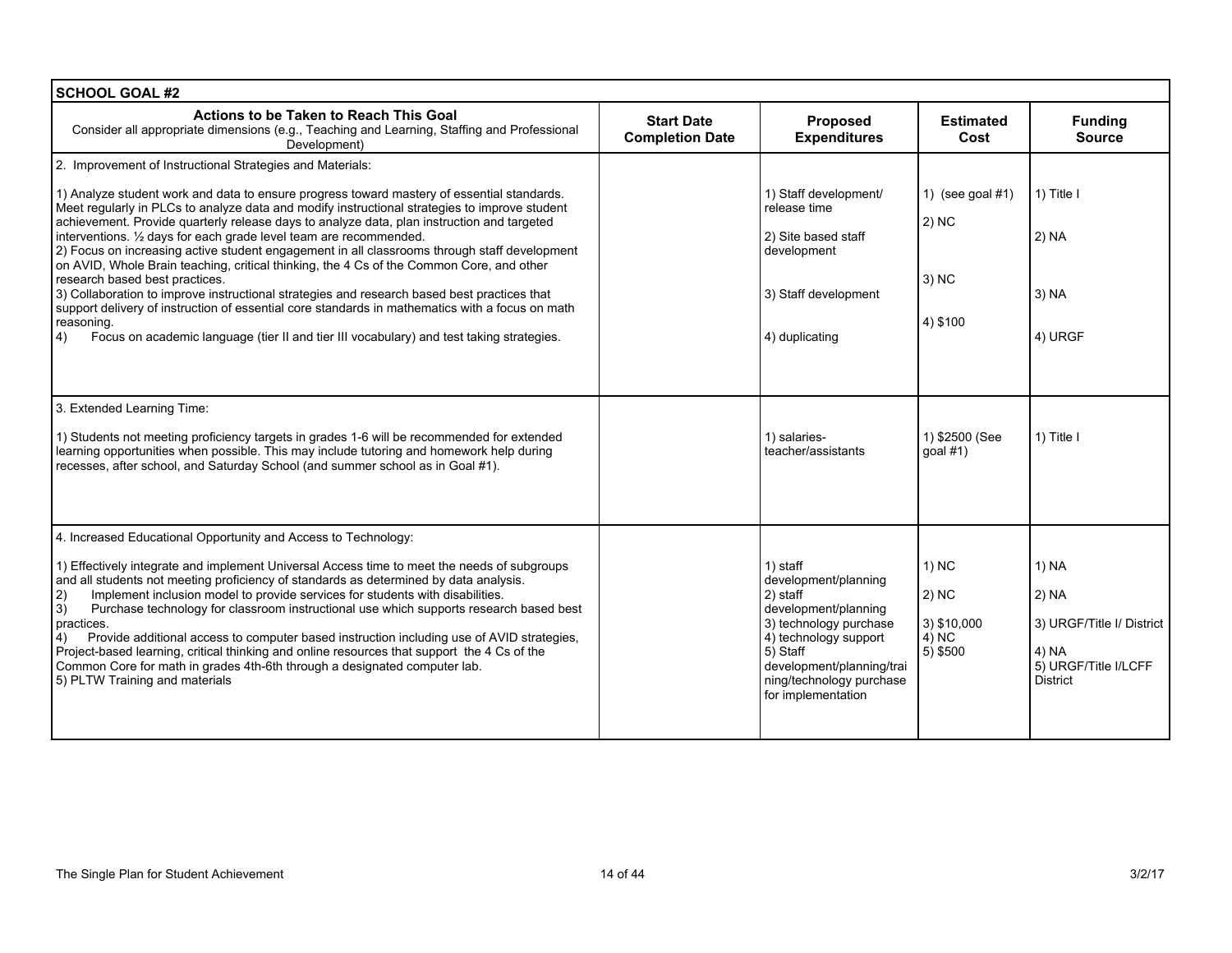| <b>SCHOOL GOAL #2</b>                                                                                                                                                                                                                                                                                                                                                                                                                                                                                                                                                                                                                                                                                                                                                                                                                                                                                                    |                                             |                                                                                                                                                                                                                    |                                                               |                                                                                                 |
|--------------------------------------------------------------------------------------------------------------------------------------------------------------------------------------------------------------------------------------------------------------------------------------------------------------------------------------------------------------------------------------------------------------------------------------------------------------------------------------------------------------------------------------------------------------------------------------------------------------------------------------------------------------------------------------------------------------------------------------------------------------------------------------------------------------------------------------------------------------------------------------------------------------------------|---------------------------------------------|--------------------------------------------------------------------------------------------------------------------------------------------------------------------------------------------------------------------|---------------------------------------------------------------|-------------------------------------------------------------------------------------------------|
| Actions to be Taken to Reach This Goal<br>Consider all appropriate dimensions (e.g., Teaching and Learning, Staffing and Professional<br>Development)                                                                                                                                                                                                                                                                                                                                                                                                                                                                                                                                                                                                                                                                                                                                                                    | <b>Start Date</b><br><b>Completion Date</b> | Proposed<br><b>Expenditures</b>                                                                                                                                                                                    | <b>Estimated</b><br>Cost                                      | <b>Funding</b><br><b>Source</b>                                                                 |
| 2. Improvement of Instructional Strategies and Materials:                                                                                                                                                                                                                                                                                                                                                                                                                                                                                                                                                                                                                                                                                                                                                                                                                                                                |                                             |                                                                                                                                                                                                                    |                                                               |                                                                                                 |
| 1) Analyze student work and data to ensure progress toward mastery of essential standards.<br>Meet regularly in PLCs to analyze data and modify instructional strategies to improve student<br>achievement. Provide quarterly release days to analyze data, plan instruction and targeted<br>interventions. 1/2 days for each grade level team are recommended.<br>2) Focus on increasing active student engagement in all classrooms through staff development<br>on AVID, Whole Brain teaching, critical thinking, the 4 Cs of the Common Core, and other<br>research based best practices.<br>3) Collaboration to improve instructional strategies and research based best practices that<br>support delivery of instruction of essential core standards in mathematics with a focus on math<br>reasoning.<br>$ 4\rangle$<br>Focus on academic language (tier II and tier III vocabulary) and test taking strategies. |                                             | 1) Staff development/<br>release time<br>2) Site based staff<br>development<br>3) Staff development<br>4) duplicating                                                                                              | 1) (see goal $#1$ )<br>$ 2)$ NC<br>$ 3\rangle$ NC<br>4) \$100 | 1) Title I<br>2) NA<br>$3)$ NA<br>4) URGF                                                       |
| 3. Extended Learning Time:<br>1) Students not meeting proficiency targets in grades 1-6 will be recommended for extended<br>learning opportunities when possible. This may include tutoring and homework help during<br>recesses, after school, and Saturday School (and summer school as in Goal #1).                                                                                                                                                                                                                                                                                                                                                                                                                                                                                                                                                                                                                   |                                             | 1) salaries-<br>teacher/assistants                                                                                                                                                                                 | 1) \$2500 (See<br>$q$ oal #1)                                 | 1) Title I                                                                                      |
| 4. Increased Educational Opportunity and Access to Technology:<br>1) Effectively integrate and implement Universal Access time to meet the needs of subgroups<br>and all students not meeting proficiency of standards as determined by data analysis.<br>Implement inclusion model to provide services for students with disabilities.<br>2)<br>3)<br>Purchase technology for classroom instructional use which supports research based best<br>practices.<br>Provide additional access to computer based instruction including use of AVID strategies,<br>4)<br>Project-based learning, critical thinking and online resources that support the 4 Cs of the<br>Common Core for math in grades 4th-6th through a designated computer lab.<br>5) PLTW Training and materials                                                                                                                                             |                                             | 1) staff<br>development/planning<br>2) staff<br>development/planning<br>3) technology purchase<br>4) technology support<br>5) Staff<br>development/planning/trai<br>ning/technology purchase<br>for implementation | $1)$ NC<br>$(2)$ NC<br>3) \$10,000<br>4) NC<br>$5)$ \$500     | 1) NA<br>2) NA<br>3) URGF/Title I/ District<br>4) NA<br>5) URGF/Title I/LCFF<br><b>District</b> |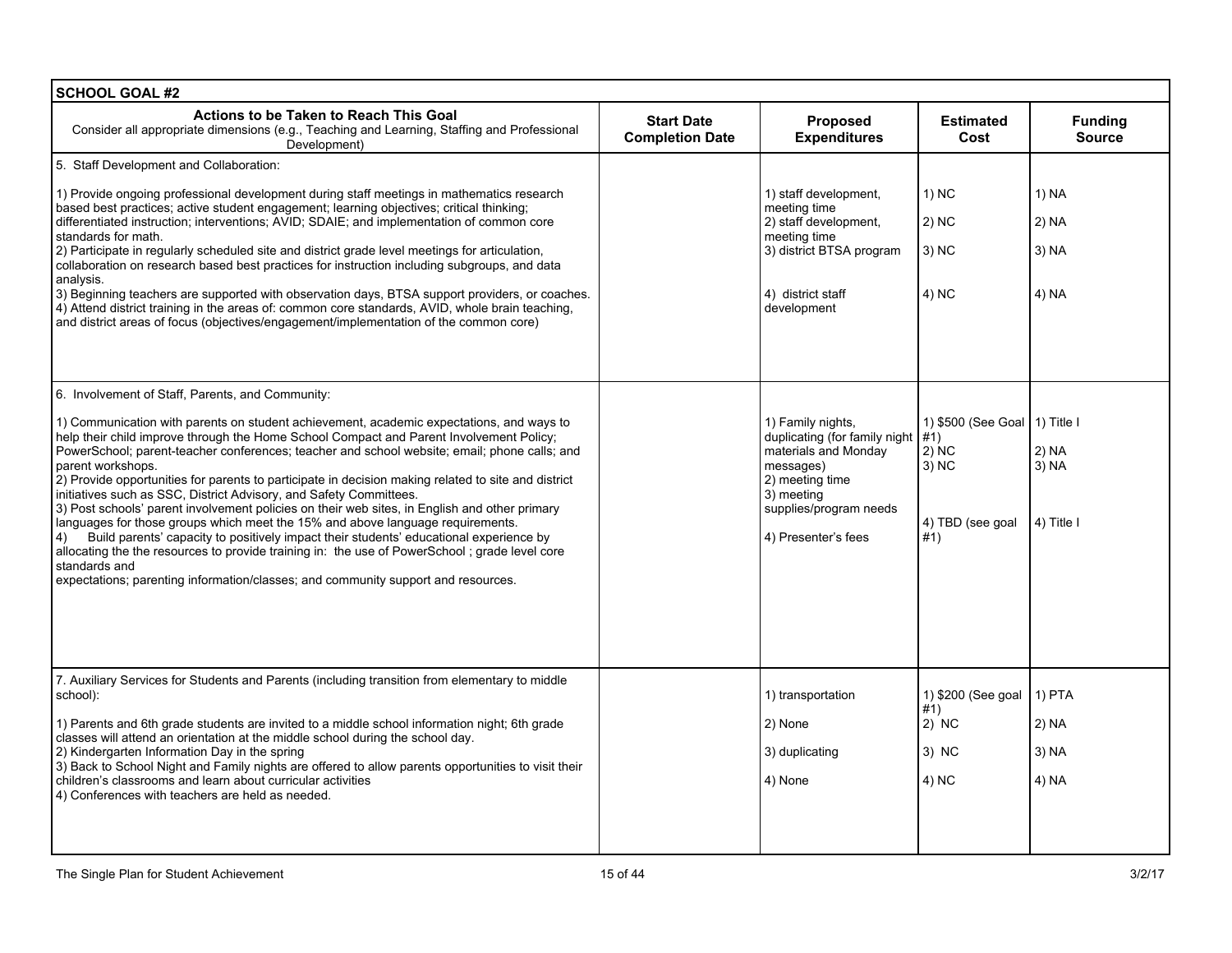| <b>SCHOOL GOAL #2</b>                                                                                                                                                                                                                                                                                                                                                                                                                                                                                                                                                                                                                                                                                                                                                                                                                                                                                                                                                                                                               |                                             |                                                                                                                                                                           |                                                                                       |                                   |
|-------------------------------------------------------------------------------------------------------------------------------------------------------------------------------------------------------------------------------------------------------------------------------------------------------------------------------------------------------------------------------------------------------------------------------------------------------------------------------------------------------------------------------------------------------------------------------------------------------------------------------------------------------------------------------------------------------------------------------------------------------------------------------------------------------------------------------------------------------------------------------------------------------------------------------------------------------------------------------------------------------------------------------------|---------------------------------------------|---------------------------------------------------------------------------------------------------------------------------------------------------------------------------|---------------------------------------------------------------------------------------|-----------------------------------|
| Actions to be Taken to Reach This Goal<br>Consider all appropriate dimensions (e.g., Teaching and Learning, Staffing and Professional<br>Development)                                                                                                                                                                                                                                                                                                                                                                                                                                                                                                                                                                                                                                                                                                                                                                                                                                                                               | <b>Start Date</b><br><b>Completion Date</b> | Proposed<br><b>Expenditures</b>                                                                                                                                           | <b>Estimated</b><br>Cost                                                              | <b>Funding</b><br><b>Source</b>   |
| 5. Staff Development and Collaboration:                                                                                                                                                                                                                                                                                                                                                                                                                                                                                                                                                                                                                                                                                                                                                                                                                                                                                                                                                                                             |                                             |                                                                                                                                                                           |                                                                                       |                                   |
| 1) Provide ongoing professional development during staff meetings in mathematics research<br>based best practices; active student engagement; learning objectives; critical thinking;<br>differentiated instruction; interventions; AVID; SDAIE; and implementation of common core<br>standards for math.<br>2) Participate in regularly scheduled site and district grade level meetings for articulation,<br>collaboration on research based best practices for instruction including subgroups, and data<br>analysis.<br>3) Beginning teachers are supported with observation days, BTSA support providers, or coaches.<br>4) Attend district training in the areas of: common core standards, AVID, whole brain teaching,<br>and district areas of focus (objectives/engagement/implementation of the common core)                                                                                                                                                                                                              |                                             | 1) staff development.<br>meeting time<br>2) staff development,<br>meeting time<br>3) district BTSA program<br>4) district staff<br>development                            | 1) NC<br>2) NC<br>3) NC<br>4) NC                                                      | 1) NA<br>2) NA<br>3) NA<br>4) NA  |
| 6. Involvement of Staff, Parents, and Community:<br>1) Communication with parents on student achievement, academic expectations, and ways to<br>help their child improve through the Home School Compact and Parent Involvement Policy;<br>PowerSchool; parent-teacher conferences; teacher and school website; email; phone calls; and<br>parent workshops.<br>2) Provide opportunities for parents to participate in decision making related to site and district<br>initiatives such as SSC, District Advisory, and Safety Committees.<br>3) Post schools' parent involvement policies on their web sites, in English and other primary<br>languages for those groups which meet the 15% and above language requirements.<br>Build parents' capacity to positively impact their students' educational experience by<br>4)<br>allocating the the resources to provide training in: the use of PowerSchool; grade level core<br>standards and<br>expectations; parenting information/classes; and community support and resources. |                                             | 1) Family nights,<br>duplicating (for family night<br>materials and Monday<br>messages)<br>2) meeting time<br>3) meeting<br>supplies/program needs<br>4) Presenter's fees | 1) \$500 (See Goal   1) Title I<br>#1)<br>$2)$ NC<br>3) NC<br>4) TBD (see goal<br>#1) | 2) NA<br>3) NA<br>4) Title I      |
| 7. Auxiliary Services for Students and Parents (including transition from elementary to middle<br>school):<br>1) Parents and 6th grade students are invited to a middle school information night; 6th grade<br>classes will attend an orientation at the middle school during the school day.<br>2) Kindergarten Information Day in the spring<br>3) Back to School Night and Family nights are offered to allow parents opportunities to visit their<br>children's classrooms and learn about curricular activities<br>4) Conferences with teachers are held as needed.                                                                                                                                                                                                                                                                                                                                                                                                                                                            |                                             | 1) transportation<br>2) None<br>3) duplicating<br>4) None                                                                                                                 | 1) \$200 (See goal<br>#1)<br>$2)$ NC<br>3) NC<br>4) NC                                | 1) PTA<br>2) NA<br>3) NA<br>4) NA |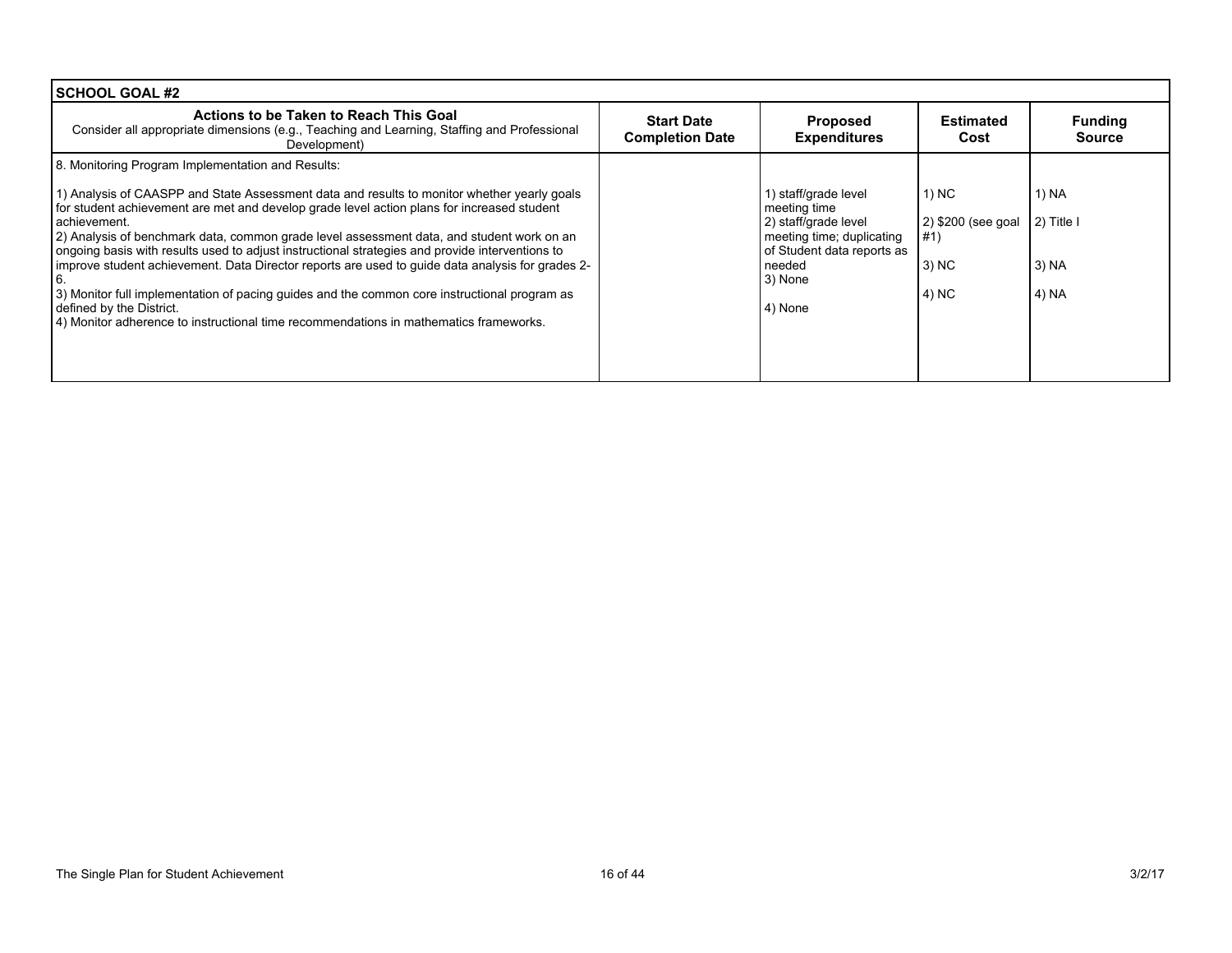| <b>SCHOOL GOAL #2</b>                                                                                                                                                                                                                                                                                                                                                                                                                                                                                                                                                                                                                                                                                                                                                                   |                                             |                                                                                                                                                         |                                                        |                                         |
|-----------------------------------------------------------------------------------------------------------------------------------------------------------------------------------------------------------------------------------------------------------------------------------------------------------------------------------------------------------------------------------------------------------------------------------------------------------------------------------------------------------------------------------------------------------------------------------------------------------------------------------------------------------------------------------------------------------------------------------------------------------------------------------------|---------------------------------------------|---------------------------------------------------------------------------------------------------------------------------------------------------------|--------------------------------------------------------|-----------------------------------------|
| Actions to be Taken to Reach This Goal<br>Consider all appropriate dimensions (e.g., Teaching and Learning, Staffing and Professional<br>Development)                                                                                                                                                                                                                                                                                                                                                                                                                                                                                                                                                                                                                                   | <b>Start Date</b><br><b>Completion Date</b> | <b>Proposed</b><br><b>Expenditures</b>                                                                                                                  | Estimated<br>Cost                                      | <b>Funding</b><br><b>Source</b>         |
| 8. Monitoring Program Implementation and Results:<br>1) Analysis of CAASPP and State Assessment data and results to monitor whether yearly goals<br>for student achievement are met and develop grade level action plans for increased student<br>achievement.<br>2) Analysis of benchmark data, common grade level assessment data, and student work on an<br>ongoing basis with results used to adjust instructional strategies and provide interventions to<br>improve student achievement. Data Director reports are used to guide data analysis for grades 2-<br>3) Monitor full implementation of pacing guides and the common core instructional program as<br>defined by the District.<br>4) Monitor adherence to instructional time recommendations in mathematics frameworks. |                                             | 1) staff/grade level<br>meeting time<br>2) staff/grade level<br>meeting time; duplicating<br>of Student data reports as<br>needed<br>3) None<br>4) None | 1) NC<br>2) \$200 (see goal<br>#1)<br>$3)$ NC<br>4) NC | 1) NA<br>2) Title I<br>3) NA<br>  4) NA |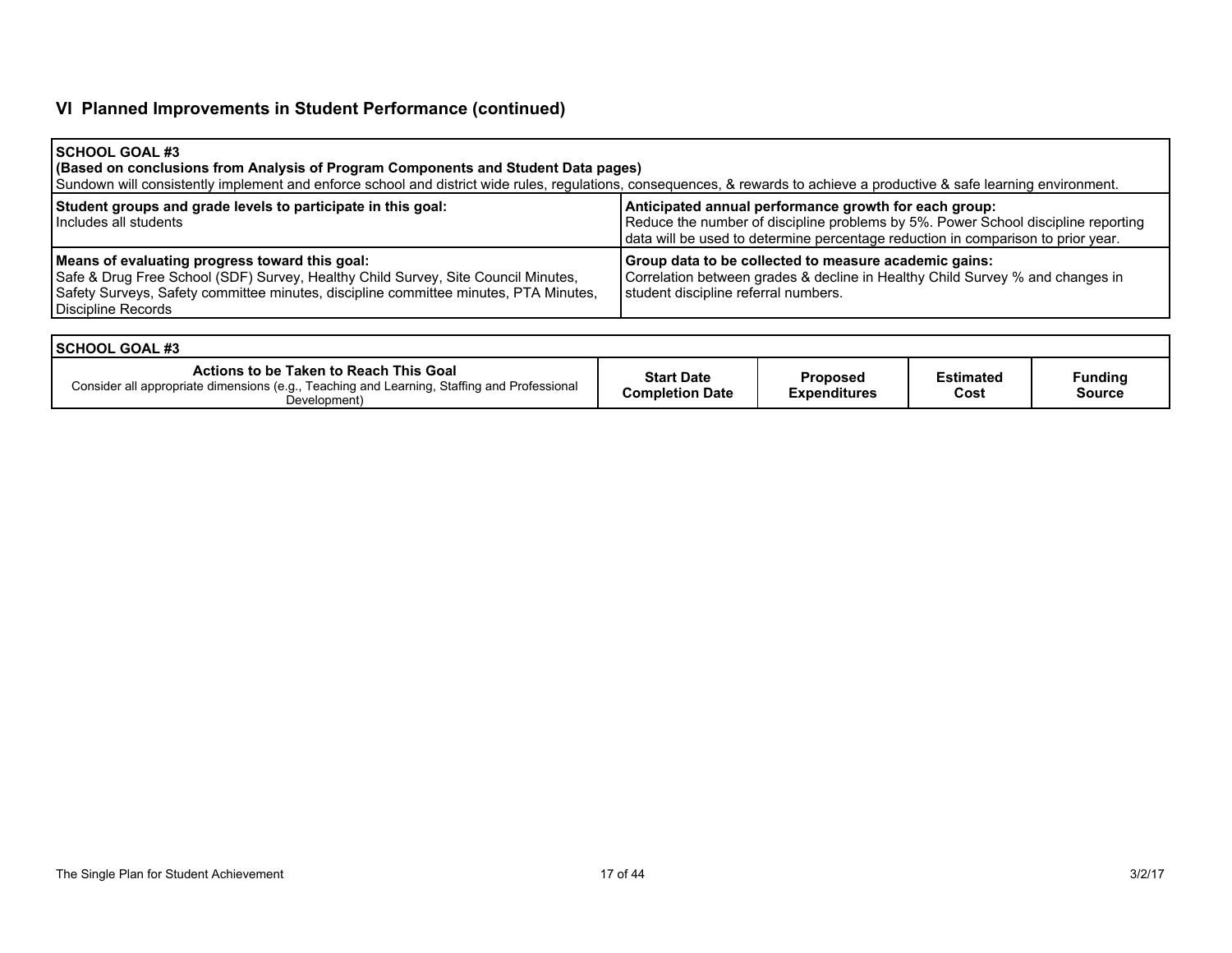# **VI Planned Improvements in Student Performance (continued)**

| <b>SCHOOL GOAL #3</b><br>(Based on conclusions from Analysis of Program Components and Student Data pages)<br>Sundown will consistently implement and enforce school and district wide rules, regulations, consequences, & rewards to achieve a productive & safe learning environment. |                                                                                                                                                                                                                                |
|-----------------------------------------------------------------------------------------------------------------------------------------------------------------------------------------------------------------------------------------------------------------------------------------|--------------------------------------------------------------------------------------------------------------------------------------------------------------------------------------------------------------------------------|
| Student groups and grade levels to participate in this goal:<br>Includes all students                                                                                                                                                                                                   | Anticipated annual performance growth for each group:<br>Reduce the number of discipline problems by 5%. Power School discipline reporting<br>data will be used to determine percentage reduction in comparison to prior year. |
| Means of evaluating progress toward this goal:<br>Safe & Drug Free School (SDF) Survey, Healthy Child Survey, Site Council Minutes,<br>Safety Surveys, Safety committee minutes, discipline committee minutes, PTA Minutes,<br>Discipline Records                                       | Group data to be collected to measure academic gains:<br>Correlation between grades & decline in Healthy Child Survey % and changes in<br>student discipline referral numbers.                                                 |

| <b>ISCHOOL GOAL #3</b>                                                                                                                                |                                      |                                        |                   |                          |
|-------------------------------------------------------------------------------------------------------------------------------------------------------|--------------------------------------|----------------------------------------|-------------------|--------------------------|
| Actions to be Taken to Reach This Goal<br>Consider all appropriate dimensions (e.g., Teaching and Learning, Staffing and Professional<br>Development) | <b>Start Date</b><br>Completion Date | <b>Proposed</b><br><b>Expenditures</b> | Estimated<br>Cost | <b>Funding</b><br>Source |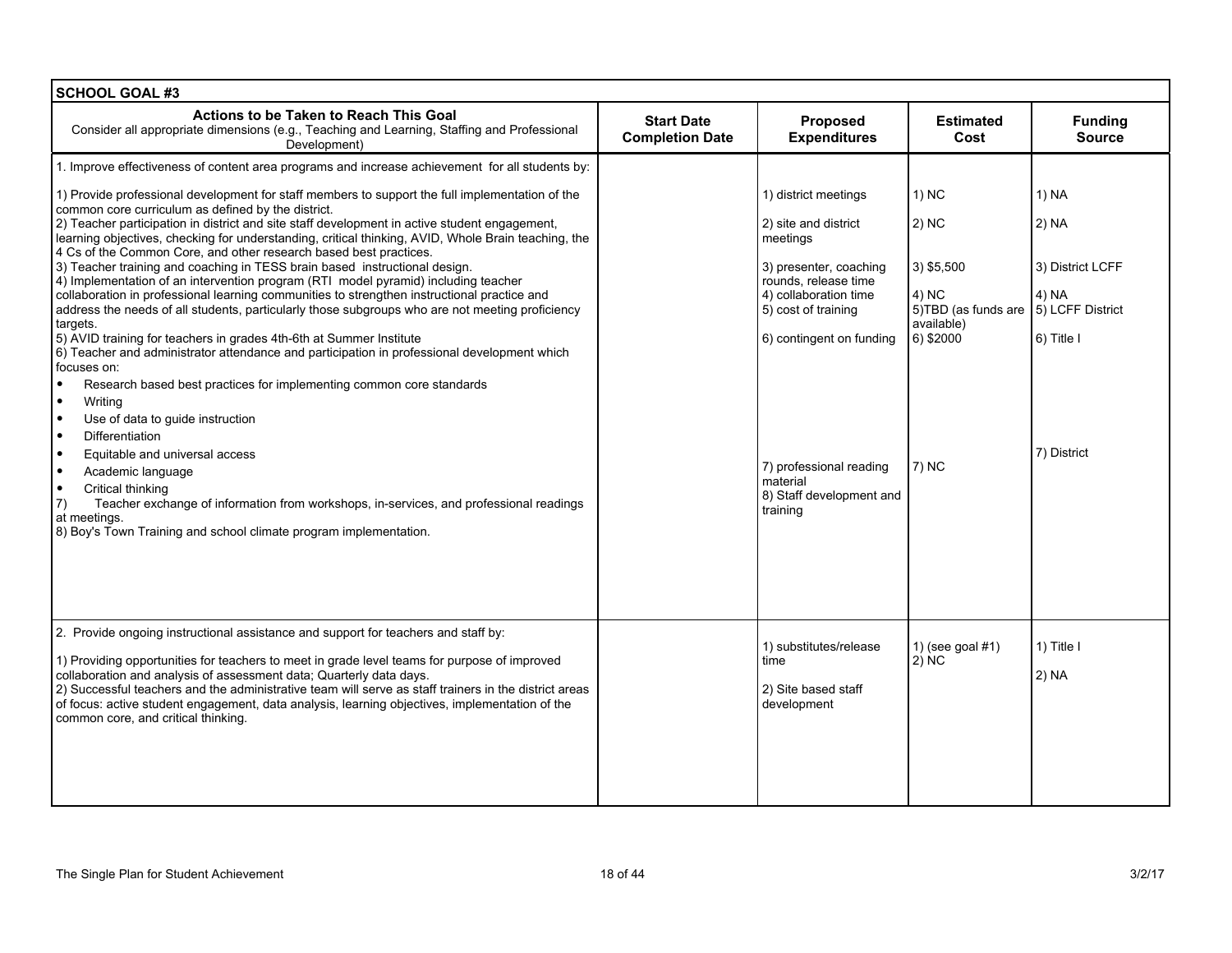| <b>SCHOOL GOAL #3</b>                                                                                                                                                                                                                                                                                                                                                                                                                                                                                                            |                                             |                                                                                                |                                            |                                               |
|----------------------------------------------------------------------------------------------------------------------------------------------------------------------------------------------------------------------------------------------------------------------------------------------------------------------------------------------------------------------------------------------------------------------------------------------------------------------------------------------------------------------------------|---------------------------------------------|------------------------------------------------------------------------------------------------|--------------------------------------------|-----------------------------------------------|
| Actions to be Taken to Reach This Goal<br>Consider all appropriate dimensions (e.g., Teaching and Learning, Staffing and Professional<br>Development)                                                                                                                                                                                                                                                                                                                                                                            | <b>Start Date</b><br><b>Completion Date</b> | Proposed<br><b>Expenditures</b>                                                                | <b>Estimated</b><br>Cost                   | <b>Funding</b><br><b>Source</b>               |
| 1. Improve effectiveness of content area programs and increase achievement for all students by:                                                                                                                                                                                                                                                                                                                                                                                                                                  |                                             |                                                                                                |                                            |                                               |
| 1) Provide professional development for staff members to support the full implementation of the<br>common core curriculum as defined by the district.<br>2) Teacher participation in district and site staff development in active student engagement,<br>learning objectives, checking for understanding, critical thinking, AVID, Whole Brain teaching, the                                                                                                                                                                    |                                             | 1) district meetings<br>2) site and district<br>meetings                                       | 1) NC<br>2) NC                             | 1) NA<br>2) NA                                |
| 4 Cs of the Common Core, and other research based best practices.<br>3) Teacher training and coaching in TESS brain based instructional design.<br>4) Implementation of an intervention program (RTI model pyramid) including teacher<br>collaboration in professional learning communities to strengthen instructional practice and<br>address the needs of all students, particularly those subgroups who are not meeting proficiency                                                                                          |                                             | 3) presenter, coaching<br>rounds, release time<br>4) collaboration time<br>5) cost of training | 3) \$5,500<br>4) NC<br>5)TBD (as funds are | 3) District LCFF<br>4) NA<br>5) LCFF District |
| targets.<br>5) AVID training for teachers in grades 4th-6th at Summer Institute<br>6) Teacher and administrator attendance and participation in professional development which                                                                                                                                                                                                                                                                                                                                                   |                                             | 6) contingent on funding                                                                       | available)<br>6) \$2000                    | 6) Title I                                    |
| focuses on:<br>$\bullet$<br>Research based best practices for implementing common core standards<br>$\bullet$<br>Writing<br>$\bullet$<br>Use of data to guide instruction<br>$\bullet$<br>Differentiation<br>$\bullet$<br>Equitable and universal access<br>$\bullet$<br>Academic language<br>$\bullet$<br>Critical thinking<br>$\left( 7\right)$<br>Teacher exchange of information from workshops, in-services, and professional readings<br>at meetings.<br>8) Boy's Town Training and school climate program implementation. |                                             | 7) professional reading<br>material<br>8) Staff development and<br>training                    | $7)$ NC                                    | 7) District                                   |
| 2. Provide ongoing instructional assistance and support for teachers and staff by:<br>1) Providing opportunities for teachers to meet in grade level teams for purpose of improved<br>collaboration and analysis of assessment data; Quarterly data days.<br>2) Successful teachers and the administrative team will serve as staff trainers in the district areas<br>of focus: active student engagement, data analysis, learning objectives, implementation of the<br>common core, and critical thinking.                      |                                             | 1) substitutes/release<br>time<br>2) Site based staff<br>development                           | 1) (see goal $#1$ )<br>2) NC               | 1) Title I<br>2) NA                           |
|                                                                                                                                                                                                                                                                                                                                                                                                                                                                                                                                  |                                             |                                                                                                |                                            |                                               |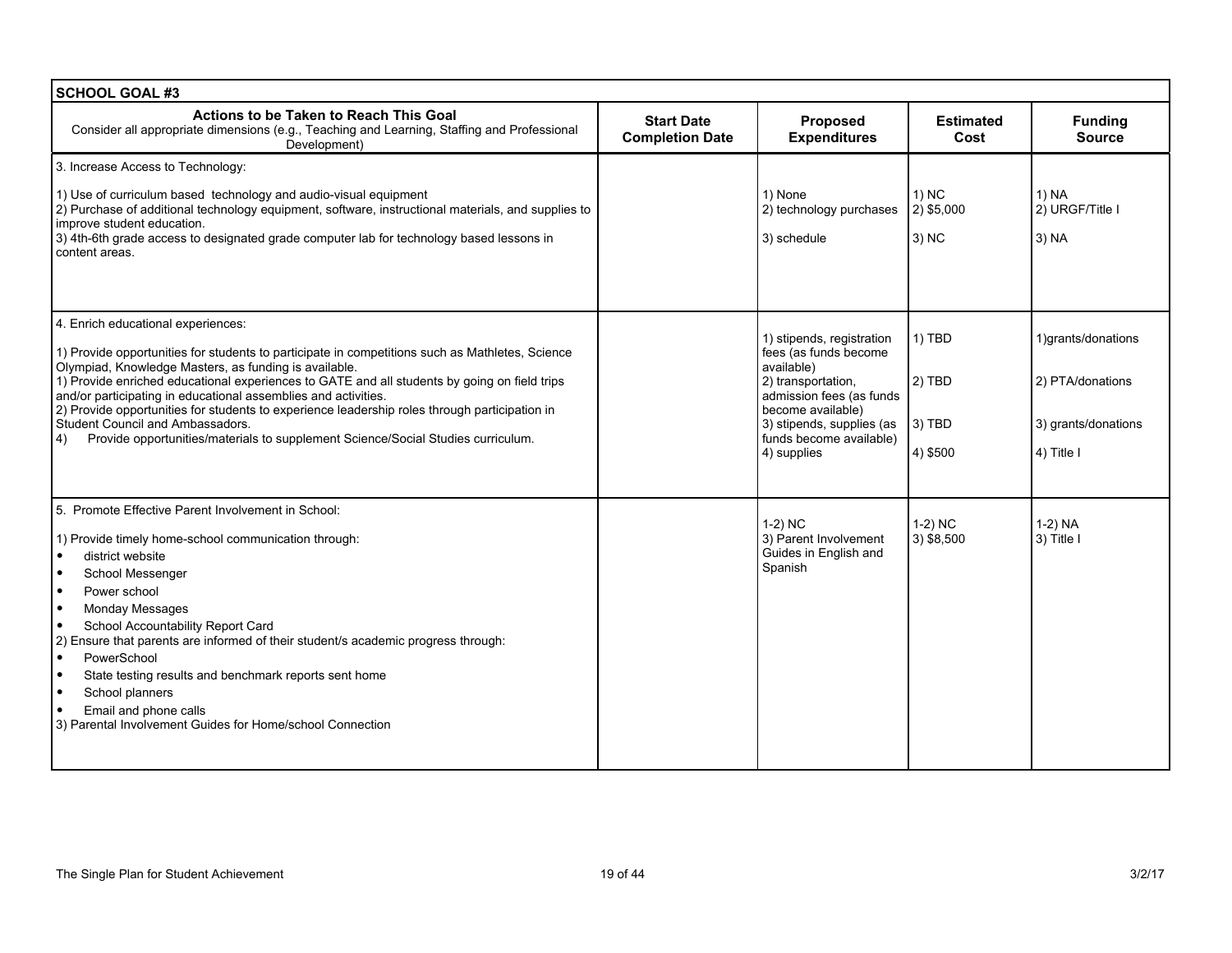| <b>SCHOOL GOAL #3</b>                                                                                                                                                                                                                                                                                                                                                                                                                                                                                                                                                                           |                                                                                       |                                                                                                                                                                                                                |                                          |                                                                             |
|-------------------------------------------------------------------------------------------------------------------------------------------------------------------------------------------------------------------------------------------------------------------------------------------------------------------------------------------------------------------------------------------------------------------------------------------------------------------------------------------------------------------------------------------------------------------------------------------------|---------------------------------------------------------------------------------------|----------------------------------------------------------------------------------------------------------------------------------------------------------------------------------------------------------------|------------------------------------------|-----------------------------------------------------------------------------|
| Actions to be Taken to Reach This Goal<br>Consider all appropriate dimensions (e.g., Teaching and Learning, Staffing and Professional<br>Development)                                                                                                                                                                                                                                                                                                                                                                                                                                           | <b>Start Date</b><br><b>Proposed</b><br><b>Expenditures</b><br><b>Completion Date</b> |                                                                                                                                                                                                                |                                          |                                                                             |
| 3. Increase Access to Technology:                                                                                                                                                                                                                                                                                                                                                                                                                                                                                                                                                               |                                                                                       |                                                                                                                                                                                                                |                                          |                                                                             |
| 1) Use of curriculum based technology and audio-visual equipment<br>2) Purchase of additional technology equipment, software, instructional materials, and supplies to<br>improve student education.<br>3) 4th-6th grade access to designated grade computer lab for technology based lessons in<br>content areas.                                                                                                                                                                                                                                                                              |                                                                                       | 1) None<br>2) technology purchases<br>3) schedule                                                                                                                                                              | $1)$ NC<br>2) \$5,000<br>$3)$ NC         | 1) NA<br>2) URGF/Title I<br>3) NA                                           |
| 4. Enrich educational experiences:<br>1) Provide opportunities for students to participate in competitions such as Mathletes, Science<br>Olympiad, Knowledge Masters, as funding is available.<br>1) Provide enriched educational experiences to GATE and all students by going on field trips<br>and/or participating in educational assemblies and activities.<br>2) Provide opportunities for students to experience leadership roles through participation in<br>Student Council and Ambassadors.<br>Provide opportunities/materials to supplement Science/Social Studies curriculum.<br>4) |                                                                                       | 1) stipends, registration<br>fees (as funds become<br>available)<br>2) transportation,<br>admission fees (as funds<br>become available)<br>3) stipends, supplies (as<br>funds become available)<br>4) supplies | 1) TBD<br>$2)$ TBD<br>3) TBD<br>4) \$500 | 1)grants/donations<br>2) PTA/donations<br>3) grants/donations<br>4) Title I |
| 5. Promote Effective Parent Involvement in School:<br>1) Provide timely home-school communication through:<br>district website<br>School Messenger<br>Power school<br><b>Monday Messages</b><br>∣∙<br>School Accountability Report Card<br>2) Ensure that parents are informed of their student/s academic progress through:<br>PowerSchool<br>$\bullet$<br>State testing results and benchmark reports sent home<br>School planners<br>Email and phone calls<br>3) Parental Involvement Guides for Home/school Connection                                                                      |                                                                                       | $1-2)$ NC<br>3) Parent Involvement<br>Guides in English and<br>Spanish                                                                                                                                         | $1-2)$ NC<br>3) \$8,500                  | 1-2) NA<br>3) Title I                                                       |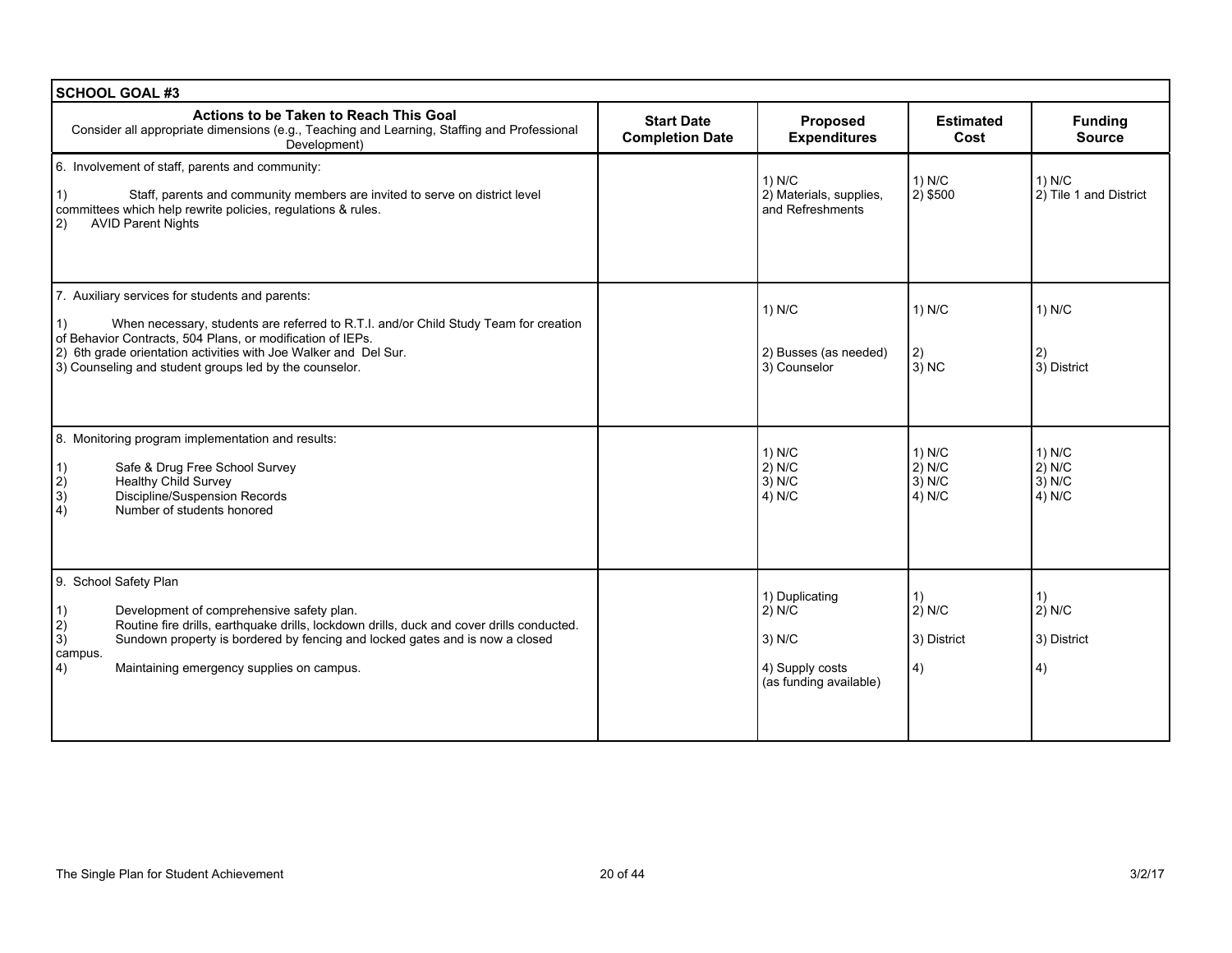| <b>SCHOOL GOAL #3</b>                                                                                                                                                                                                                                                                                                                            |                                             |                                                                                   |                                            |                                            |  |
|--------------------------------------------------------------------------------------------------------------------------------------------------------------------------------------------------------------------------------------------------------------------------------------------------------------------------------------------------|---------------------------------------------|-----------------------------------------------------------------------------------|--------------------------------------------|--------------------------------------------|--|
| Actions to be Taken to Reach This Goal<br>Consider all appropriate dimensions (e.g., Teaching and Learning, Staffing and Professional<br>Development)                                                                                                                                                                                            | <b>Start Date</b><br><b>Completion Date</b> | Proposed<br><b>Expenditures</b>                                                   | <b>Estimated</b><br>Cost                   | <b>Funding</b><br><b>Source</b>            |  |
| 6. Involvement of staff, parents and community:<br>Staff, parents and community members are invited to serve on district level<br>1)<br>committees which help rewrite policies, regulations & rules.<br><b>AVID Parent Nights</b><br> 2)                                                                                                         |                                             | 1) N/C<br>2) Materials, supplies,<br>and Refreshments                             | 1) N/C<br>$2)$ \$500                       | 1) N/C<br>2) Tile 1 and District           |  |
| 7. Auxiliary services for students and parents:<br>When necessary, students are referred to R.T.I. and/or Child Study Team for creation<br>1)<br>of Behavior Contracts, 504 Plans, or modification of IEPs.<br>2) 6th grade orientation activities with Joe Walker and Del Sur.<br>3) Counseling and student groups led by the counselor.        |                                             | 1) N/C<br>2) Busses (as needed)<br>3) Counselor                                   | 1) N/C<br>2)<br>$3)$ NC                    | 1) N/C<br>2)<br>3) District                |  |
| 8. Monitoring program implementation and results:<br>Safe & Drug Free School Survey<br>1)<br>$\vert 2\rangle$<br><b>Healthy Child Survey</b><br>3)<br>Discipline/Suspension Records<br>$\overline{4)}$<br>Number of students honored                                                                                                             |                                             | $1)$ N/C<br>$2)$ N/C<br>$3)$ N/C<br>4) N/C                                        | $1)$ N/C<br>$2)$ N/C<br>$3)$ N/C<br>4) N/C | $1)$ N/C<br>$2)$ N/C<br>$3)$ N/C<br>4) N/C |  |
| 9. School Safety Plan<br>Development of comprehensive safety plan.<br>1)<br>$\vert$ 2)<br>Routine fire drills, earthquake drills, lockdown drills, duck and cover drills conducted.<br>3)<br>Sundown property is bordered by fencing and locked gates and is now a closed<br>campus.<br>$ 4\rangle$<br>Maintaining emergency supplies on campus. |                                             | 1) Duplicating<br>2) N/C<br>$3)$ N/C<br>4) Supply costs<br>(as funding available) | 1)<br>$2)$ N/C<br>3) District<br>4)        | 1)<br>$2)$ N/C<br>3) District<br>4)        |  |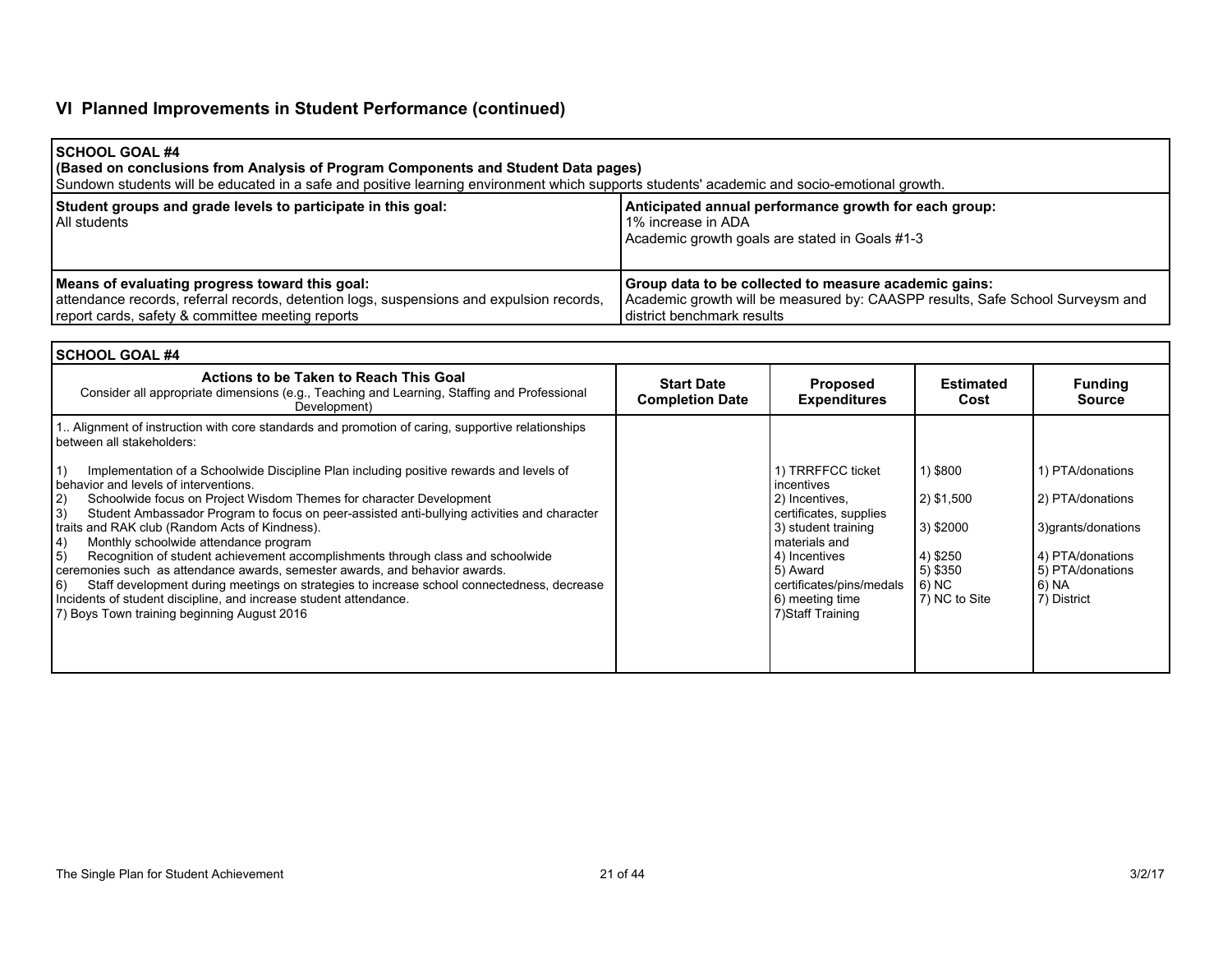# **VI Planned Improvements in Student Performance (continued)**

| I SCHOOL GOAL #4<br>(Based on conclusions from Analysis of Program Components and Student Data pages)<br>Sundown students will be educated in a safe and positive learning environment which supports students' academic and socio-emotional growth. |                                                                                                                                                                      |
|------------------------------------------------------------------------------------------------------------------------------------------------------------------------------------------------------------------------------------------------------|----------------------------------------------------------------------------------------------------------------------------------------------------------------------|
| Student groups and grade levels to participate in this goal:<br>l All students                                                                                                                                                                       | Anticipated annual performance growth for each group:<br>1% increase in ADA<br>Academic growth goals are stated in Goals #1-3                                        |
| Means of evaluating progress toward this goal:<br>attendance records, referral records, detention logs, suspensions and expulsion records,<br>report cards, safety & committee meeting reports                                                       | Group data to be collected to measure academic gains:<br>Academic growth will be measured by: CAASPP results, Safe School Surveysm and<br>district benchmark results |

| <b>SCHOOL GOAL #4</b>                                                                                                                                                           |                                             |                                             |                          |                                 |  |
|---------------------------------------------------------------------------------------------------------------------------------------------------------------------------------|---------------------------------------------|---------------------------------------------|--------------------------|---------------------------------|--|
| Actions to be Taken to Reach This Goal<br>Consider all appropriate dimensions (e.g., Teaching and Learning, Staffing and Professional<br>Development)                           | <b>Start Date</b><br><b>Completion Date</b> | <b>Proposed</b><br><b>Expenditures</b>      | <b>Estimated</b><br>Cost | <b>Funding</b><br><b>Source</b> |  |
| 1. Alignment of instruction with core standards and promotion of caring, supportive relationships<br>between all stakeholders:                                                  |                                             |                                             |                          |                                 |  |
| Implementation of a Schoolwide Discipline Plan including positive rewards and levels of<br>behavior and levels of interventions.                                                |                                             | 1) TRRFFCC ticket<br>incentives             | 1) \$800                 | 1) PTA/donations                |  |
| Schoolwide focus on Project Wisdom Themes for character Development<br> 2)<br>3)<br>Student Ambassador Program to focus on peer-assisted anti-bullying activities and character |                                             | 2) Incentives,<br>certificates, supplies    | 2) \$1,500               | 2) PTA/donations                |  |
| traits and RAK club (Random Acts of Kindness).<br>Monthly schoolwide attendance program<br>4)                                                                                   |                                             | 3) student training<br>materials and        | 3) \$2000                | 3) grants/donations             |  |
| Recognition of student achievement accomplishments through class and schoolwide<br>5)                                                                                           |                                             | 4) Incentives                               | 4) \$250                 | 4) PTA/donations                |  |
| ceremonies such as attendance awards, semester awards, and behavior awards.                                                                                                     |                                             | 5) Award                                    | 5) \$350                 | 5) PTA/donations                |  |
| Staff development during meetings on strategies to increase school connectedness, decrease<br>6)<br>Incidents of student discipline, and increase student attendance.           |                                             | certificates/pins/medals<br>6) meeting time | 6) NC<br>7) NC to Site   | 6) NA<br>7) District            |  |
| 7) Boys Town training beginning August 2016                                                                                                                                     |                                             | 7) Staff Training                           |                          |                                 |  |
|                                                                                                                                                                                 |                                             |                                             |                          |                                 |  |
|                                                                                                                                                                                 |                                             |                                             |                          |                                 |  |
|                                                                                                                                                                                 |                                             |                                             |                          |                                 |  |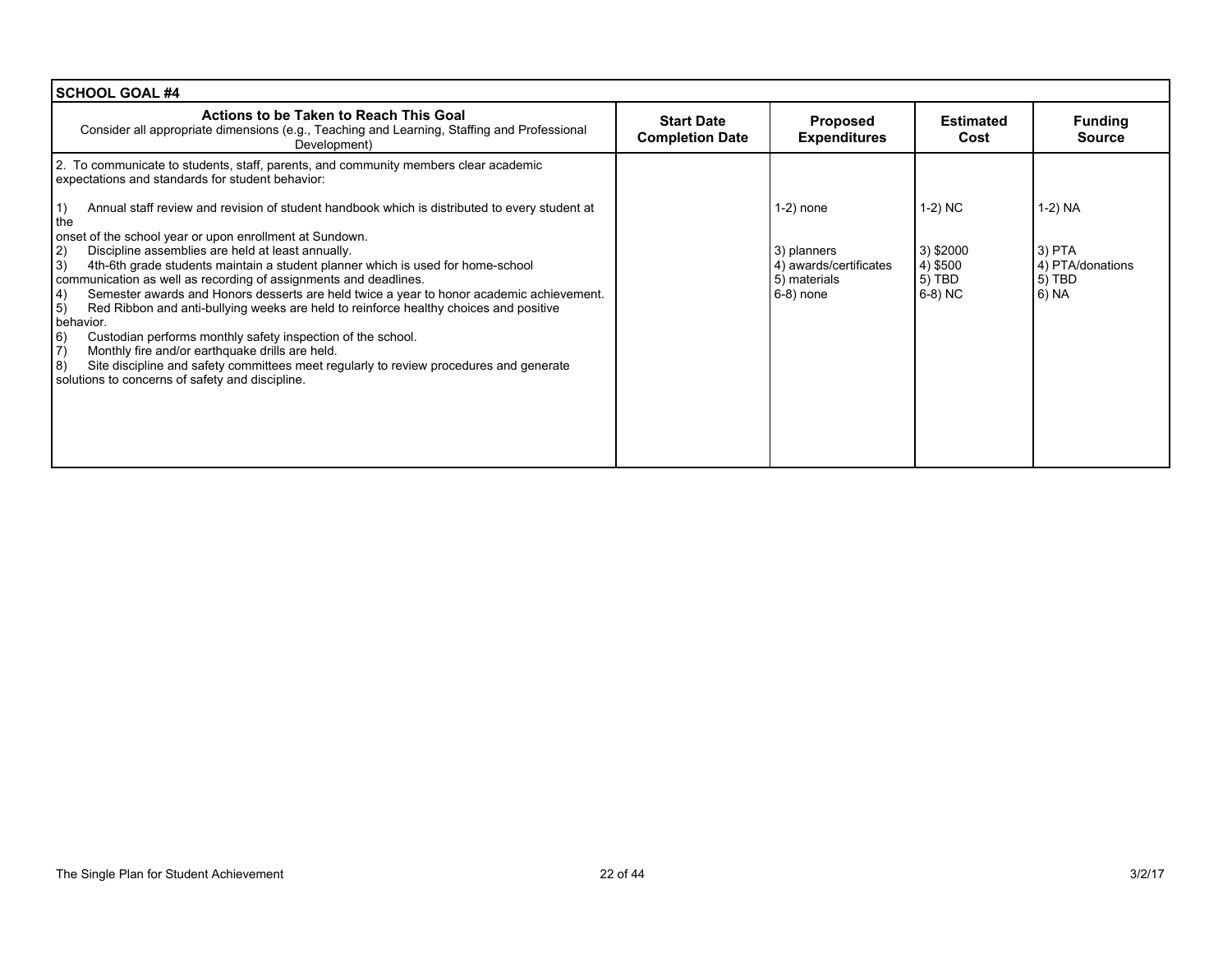| <b>SCHOOL GOAL #4</b>                                                                                                                                                                                                                                                                                                                                                                                                                                                                                                                                                                                                                                                                                                                                                                                                                                                                                            |                                             |                                                                                       |                                                         |                                                              |
|------------------------------------------------------------------------------------------------------------------------------------------------------------------------------------------------------------------------------------------------------------------------------------------------------------------------------------------------------------------------------------------------------------------------------------------------------------------------------------------------------------------------------------------------------------------------------------------------------------------------------------------------------------------------------------------------------------------------------------------------------------------------------------------------------------------------------------------------------------------------------------------------------------------|---------------------------------------------|---------------------------------------------------------------------------------------|---------------------------------------------------------|--------------------------------------------------------------|
| Actions to be Taken to Reach This Goal<br>Consider all appropriate dimensions (e.g., Teaching and Learning, Staffing and Professional<br>Development)                                                                                                                                                                                                                                                                                                                                                                                                                                                                                                                                                                                                                                                                                                                                                            | <b>Start Date</b><br><b>Completion Date</b> | <b>Proposed</b><br><b>Expenditures</b>                                                | <b>Estimated</b><br>Cost                                | <b>Funding</b><br><b>Source</b>                              |
| 2. To communicate to students, staff, parents, and community members clear academic<br>expectations and standards for student behavior:                                                                                                                                                                                                                                                                                                                                                                                                                                                                                                                                                                                                                                                                                                                                                                          |                                             |                                                                                       |                                                         |                                                              |
| 1)<br>Annual staff review and revision of student handbook which is distributed to every student at<br>the<br>onset of the school year or upon enrollment at Sundown.<br>Discipline assemblies are held at least annually.<br>(2)<br> 3)<br>4th-6th grade students maintain a student planner which is used for home-school<br>communication as well as recording of assignments and deadlines.<br>Semester awards and Honors desserts are held twice a year to honor academic achievement.<br>4)<br> 5)<br>Red Ribbon and anti-bullying weeks are held to reinforce healthy choices and positive<br>behavior.<br> 6)<br>Custodian performs monthly safety inspection of the school.<br>$\vert 7 \rangle$<br>Monthly fire and/or earthquake drills are held.<br> 8)<br>Site discipline and safety committees meet regularly to review procedures and generate<br>solutions to concerns of safety and discipline. |                                             | $1-2$ ) none<br>3) planners<br>4) awards/certificates<br>5) materials<br>$6-8$ ) none | 1-2) NC<br>3) \$2000<br>4) \$500<br>$5)$ TBD<br>6-8) NC | 1-2) NA<br>$3)$ PTA<br>4) PTA/donations<br>5) TBD<br>  6) NA |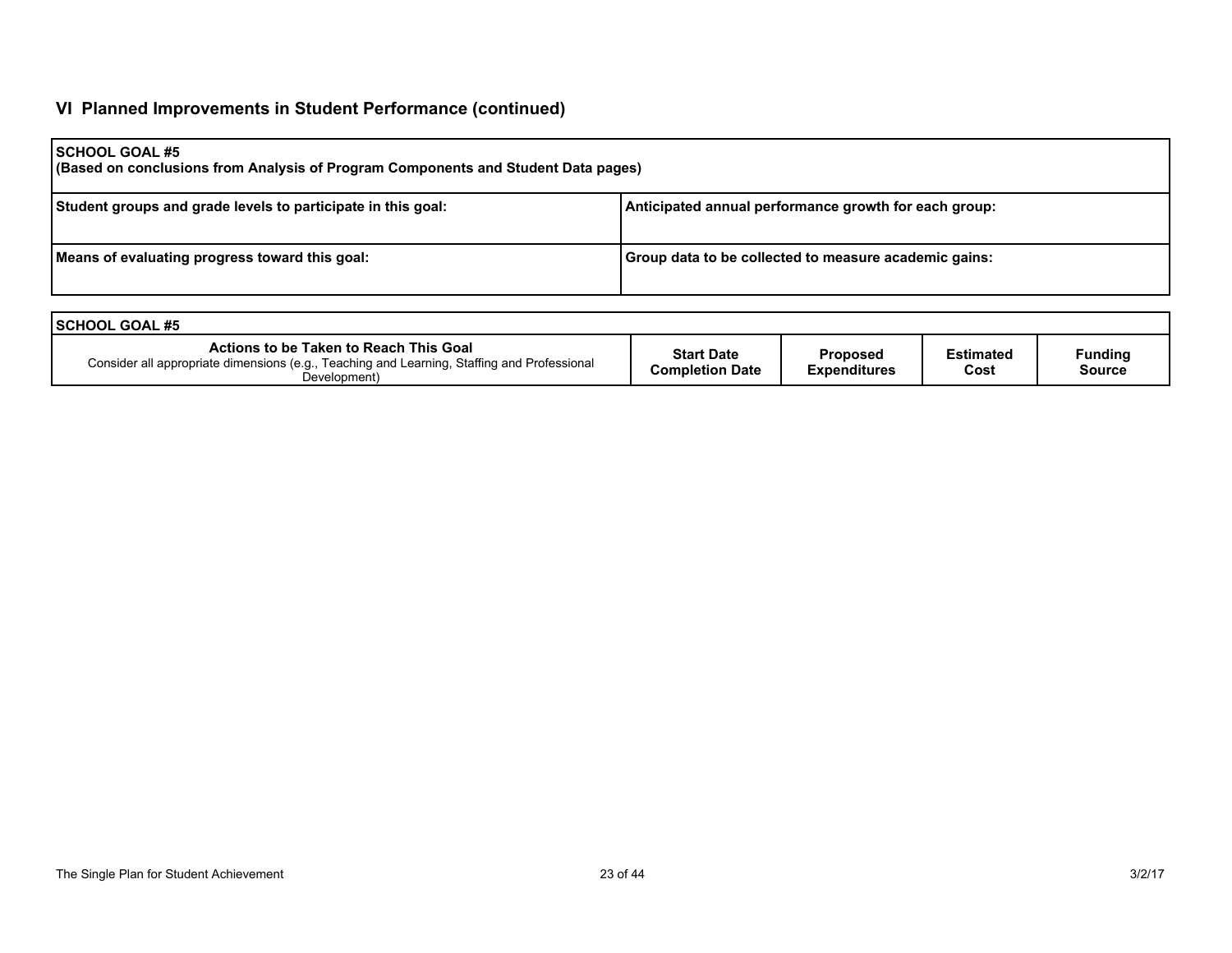# **VI Planned Improvements in Student Performance (continued)**

| <b>SCHOOL GOAL #5</b><br>(Based on conclusions from Analysis of Program Components and Student Data pages) |                                                       |  |  |  |  |  |
|------------------------------------------------------------------------------------------------------------|-------------------------------------------------------|--|--|--|--|--|
| Student groups and grade levels to participate in this goal:                                               | Anticipated annual performance growth for each group: |  |  |  |  |  |
| Means of evaluating progress toward this goal:                                                             | Group data to be collected to measure academic gains: |  |  |  |  |  |

| <b>ISCHOOL GOAL #5</b>                                                                                                                                |                                      |                                 |                          |                          |  |  |
|-------------------------------------------------------------------------------------------------------------------------------------------------------|--------------------------------------|---------------------------------|--------------------------|--------------------------|--|--|
| Actions to be Taken to Reach This Goal<br>Consider all appropriate dimensions (e.g., Teaching and Learning, Staffing and Professional<br>Development) | <b>Start Date</b><br>Completion Date | Proposed<br><b>Expenditures</b> | <b>Estimated</b><br>Cost | Funding<br><b>Source</b> |  |  |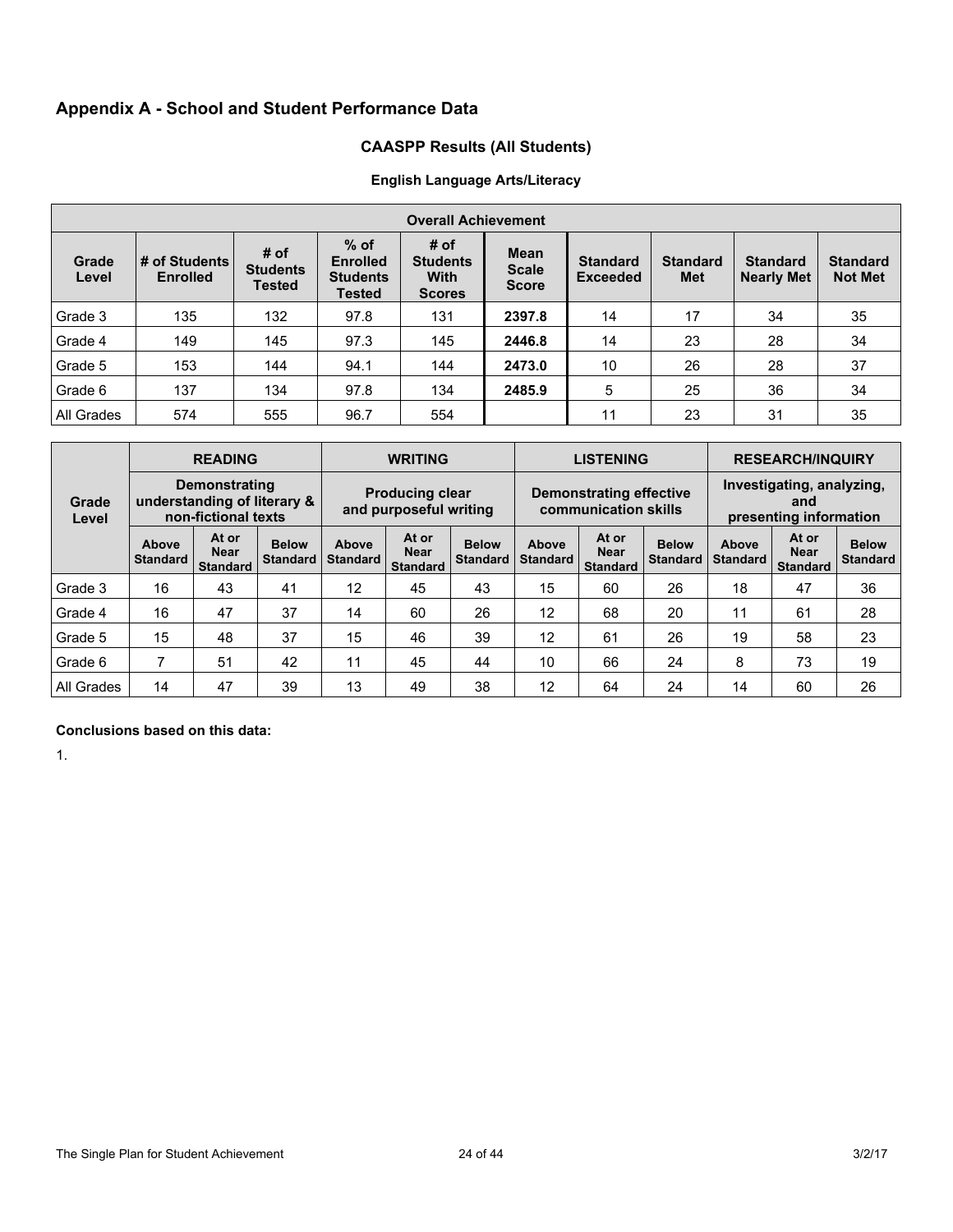# **Appendix A - School and Student Performance Data**

# **CAASPP Results (All Students)**

# **English Language Arts/Literacy**

|                | <b>Overall Achievement</b>       |                                          |                                                               |                                                         |                                             |                                    |                        |                                      |                                   |
|----------------|----------------------------------|------------------------------------------|---------------------------------------------------------------|---------------------------------------------------------|---------------------------------------------|------------------------------------|------------------------|--------------------------------------|-----------------------------------|
| Grade<br>Level | # of Students<br><b>Enrolled</b> | # of<br><b>Students</b><br><b>Tested</b> | $%$ of<br><b>Enrolled</b><br><b>Students</b><br><b>Tested</b> | # of<br><b>Students</b><br><b>With</b><br><b>Scores</b> | <b>Mean</b><br><b>Scale</b><br><b>Score</b> | <b>Standard</b><br><b>Exceeded</b> | <b>Standard</b><br>Met | <b>Standard</b><br><b>Nearly Met</b> | <b>Standard</b><br><b>Not Met</b> |
| Grade 3        | 135                              | 132                                      | 97.8                                                          | 131                                                     | 2397.8                                      | 14                                 | 17                     | 34                                   | 35                                |
| Grade 4        | 149                              | 145                                      | 97.3                                                          | 145                                                     | 2446.8                                      | 14                                 | 23                     | 28                                   | 34                                |
| Grade 5        | 153                              | 144                                      | 94.1                                                          | 144                                                     | 2473.0                                      | 10                                 | 26                     | 28                                   | 37                                |
| Grade 6        | 137                              | 134                                      | 97.8                                                          | 134                                                     | 2485.9                                      | 5                                  | 25                     | 36                                   | 34                                |
| All Grades     | 574                              | 555                                      | 96.7                                                          | 554                                                     |                                             | 11                                 | 23                     | 31                                   | 35                                |

|                |                          | <b>READING</b>                                                             |                                 |                                                  | <b>WRITING</b>                          |                                 |                          | <b>LISTENING</b>                                |                                 | <b>RESEARCH/INQUIRY</b>                                    |                                         |                                 |  |
|----------------|--------------------------|----------------------------------------------------------------------------|---------------------------------|--------------------------------------------------|-----------------------------------------|---------------------------------|--------------------------|-------------------------------------------------|---------------------------------|------------------------------------------------------------|-----------------------------------------|---------------------------------|--|
| Grade<br>Level |                          | <b>Demonstrating</b><br>understanding of literary &<br>non-fictional texts |                                 | <b>Producing clear</b><br>and purposeful writing |                                         |                                 |                          | Demonstrating effective<br>communication skills |                                 | Investigating, analyzing,<br>and<br>presenting information |                                         |                                 |  |
|                | Above<br><b>Standard</b> | At or<br><b>Near</b><br><b>Standard</b>                                    | <b>Below</b><br><b>Standard</b> | Above<br><b>Standard</b>                         | At or<br><b>Near</b><br><b>Standard</b> | <b>Below</b><br><b>Standard</b> | Above<br><b>Standard</b> | At or<br><b>Near</b><br><b>Standard</b>         | <b>Below</b><br><b>Standard</b> | Above<br><b>Standard</b>                                   | At or<br><b>Near</b><br><b>Standard</b> | <b>Below</b><br><b>Standard</b> |  |
| Grade 3        | 16                       | 43                                                                         | 41                              | 12                                               | 45                                      | 43                              | 15                       | 60                                              | 26                              | 18                                                         | 47                                      | 36                              |  |
| Grade 4        | 16                       | 47                                                                         | 37                              | 14                                               | 60                                      | 26                              | 12                       | 68                                              | 20                              | 11                                                         | 61                                      | 28                              |  |
| Grade 5        | 15                       | 48                                                                         | 37                              | 15                                               | 46                                      | 39                              | 12                       | 61                                              | 26                              | 19                                                         | 58                                      | 23                              |  |
| Grade 6        |                          | 51                                                                         | 42                              | 11                                               | 45                                      | 44                              | 10                       | 66                                              | 24                              | 8                                                          | 73                                      | 19                              |  |
| All Grades     | 14                       | 47                                                                         | 39                              | 13                                               | 49                                      | 38                              | 12                       | 64                                              | 24                              | 14                                                         | 60                                      | 26                              |  |

## **Conclusions based on this data:**

1.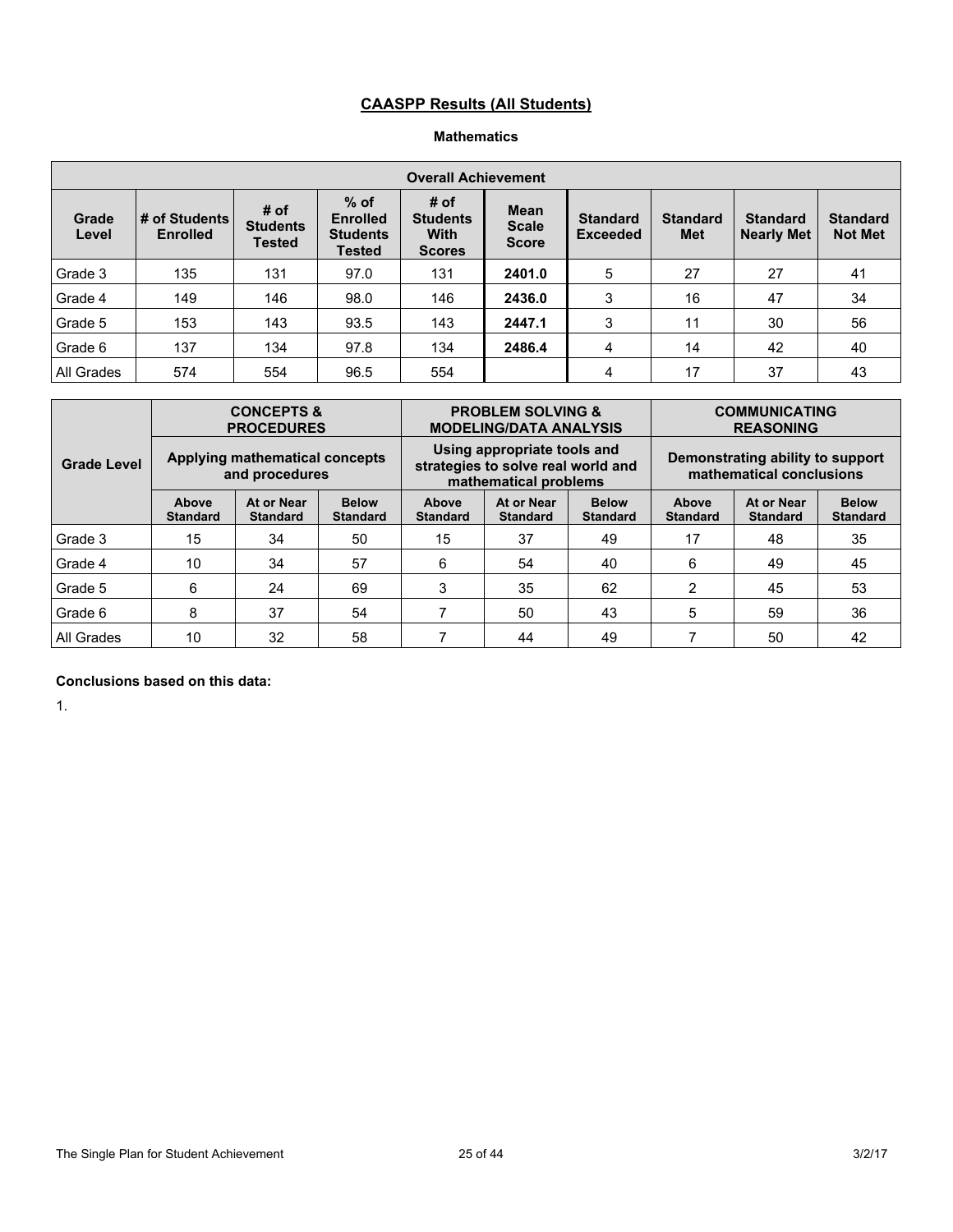# **CAASPP Results (All Students)**

### **Mathematics**

|                | <b>Overall Achievement</b>       |                                          |                                                        |                                                         |                                             |                                    |                               |                                      |                                   |  |  |  |  |
|----------------|----------------------------------|------------------------------------------|--------------------------------------------------------|---------------------------------------------------------|---------------------------------------------|------------------------------------|-------------------------------|--------------------------------------|-----------------------------------|--|--|--|--|
| Grade<br>Level | # of Students<br><b>Enrolled</b> | # of<br><b>Students</b><br><b>Tested</b> | $%$ of<br><b>Enrolled</b><br><b>Students</b><br>Tested | # of<br><b>Students</b><br><b>With</b><br><b>Scores</b> | <b>Mean</b><br><b>Scale</b><br><b>Score</b> | <b>Standard</b><br><b>Exceeded</b> | <b>Standard</b><br><b>Met</b> | <b>Standard</b><br><b>Nearly Met</b> | <b>Standard</b><br><b>Not Met</b> |  |  |  |  |
| Grade 3        | 135                              | 131                                      | 97.0                                                   | 131                                                     | 2401.0                                      | 5                                  | 27                            | 27                                   | 41                                |  |  |  |  |
| Grade 4        | 149                              | 146                                      | 98.0                                                   | 146                                                     | 2436.0                                      | 3                                  | 16                            | 47                                   | 34                                |  |  |  |  |
| Grade 5        | 153                              | 143                                      | 93.5                                                   | 143                                                     | 2447.1                                      | 3                                  | 11                            | 30                                   | 56                                |  |  |  |  |
| Grade 6        | 137                              | 134                                      | 97.8                                                   | 134                                                     | 2486.4                                      | 4                                  | 14                            | 42                                   | 40                                |  |  |  |  |
| All Grades     | 574                              | 554                                      | 96.5                                                   | 554                                                     |                                             | 4                                  | 17                            | 37                                   | 43                                |  |  |  |  |

|                    |                          | <b>CONCEPTS &amp;</b><br><b>PROCEDURES</b>       |                                 |                          | <b>PROBLEM SOLVING &amp;</b><br><b>MODELING/DATA ANALYSIS</b>                              |                                 | <b>COMMUNICATING</b><br><b>REASONING</b>                     |                               |                                 |  |  |
|--------------------|--------------------------|--------------------------------------------------|---------------------------------|--------------------------|--------------------------------------------------------------------------------------------|---------------------------------|--------------------------------------------------------------|-------------------------------|---------------------------------|--|--|
| <b>Grade Level</b> |                          | Applying mathematical concepts<br>and procedures |                                 |                          | Using appropriate tools and<br>strategies to solve real world and<br>mathematical problems |                                 | Demonstrating ability to support<br>mathematical conclusions |                               |                                 |  |  |
|                    | Above<br><b>Standard</b> | At or Near<br><b>Standard</b>                    | <b>Below</b><br><b>Standard</b> | Above<br><b>Standard</b> | At or Near<br><b>Standard</b>                                                              | <b>Below</b><br><b>Standard</b> | Above<br><b>Standard</b>                                     | At or Near<br><b>Standard</b> | <b>Below</b><br><b>Standard</b> |  |  |
| Grade 3            | 15                       | 34                                               | 50                              | 15                       | 37                                                                                         | 49                              | 17                                                           | 48                            | 35                              |  |  |
| Grade 4            | 10                       | 34                                               | 57                              | 6                        | 54                                                                                         | 40                              | 6                                                            | 49                            | 45                              |  |  |
| Grade 5            | 6                        | 24                                               | 69                              | 3                        | 35                                                                                         | 62                              | $\overline{2}$                                               | 45                            | 53                              |  |  |
| Grade 6            | 8                        | 37                                               | 54                              |                          | 50                                                                                         | 43                              | 5                                                            | 59                            | 36                              |  |  |
| All Grades         | 10<br>32<br>58           |                                                  |                                 | 44<br>49                 |                                                                                            |                                 |                                                              | 50                            | 42                              |  |  |

## **Conclusions based on this data:**

1.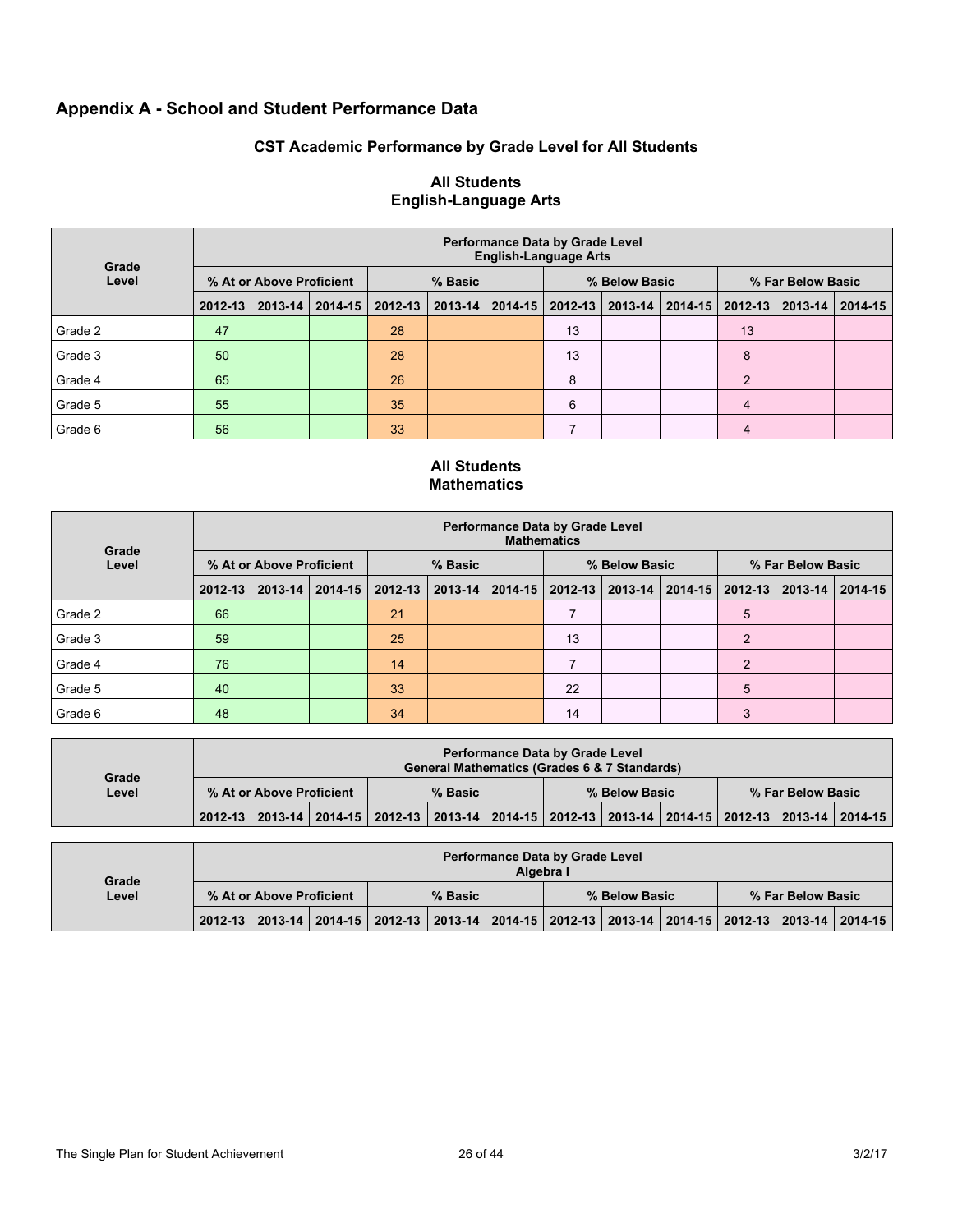# **Appendix A - School and Student Performance Data**

# **CST Academic Performance by Grade Level for All Students**

| Grade   | <b>Performance Data by Grade Level</b><br><b>English-Language Arts</b> |         |             |         |         |         |               |             |             |                   |         |         |  |  |
|---------|------------------------------------------------------------------------|---------|-------------|---------|---------|---------|---------------|-------------|-------------|-------------------|---------|---------|--|--|
| Level   | % At or Above Proficient                                               |         |             | % Basic |         |         | % Below Basic |             |             | % Far Below Basic |         |         |  |  |
|         | 2012-13                                                                | 2013-14 | $2014 - 15$ | 2012-13 | 2013-14 | 2014-15 | 2012-13       | $2013 - 14$ | $2014 - 15$ | 2012-13           | 2013-14 | 2014-15 |  |  |
| Grade 2 | 47                                                                     |         |             | 28      |         |         | 13            |             |             | 13                |         |         |  |  |
| Grade 3 | 50                                                                     |         |             | 28      |         |         | 13            |             |             | 8                 |         |         |  |  |
| Grade 4 | 65                                                                     |         |             | 26      |         |         | 8             |             |             | 2                 |         |         |  |  |
| Grade 5 | 55                                                                     |         |             | 35      |         |         | 6             |             |             | $\overline{4}$    |         |         |  |  |
| Grade 6 | 56                                                                     |         |             | 33      |         |         |               |             |             | $\overline{4}$    |         |         |  |  |

## **All Students English-Language Arts**

### **All Students Mathematics**

| Grade   | <b>Performance Data by Grade Level</b><br><b>Mathematics</b> |             |             |             |         |  |                             |  |             |                   |                 |  |
|---------|--------------------------------------------------------------|-------------|-------------|-------------|---------|--|-----------------------------|--|-------------|-------------------|-----------------|--|
| Level   | % At or Above Proficient                                     |             |             | % Basic     |         |  | % Below Basic               |  |             | % Far Below Basic |                 |  |
|         | $2012 - 13$                                                  | $2013 - 14$ | $2014 - 15$ | $2012 - 13$ | 2013-14 |  | 2014-15   2012-13   2013-14 |  | $2014 - 15$ | 2012-13           | 2013-14 2014-15 |  |
| Grade 2 | 66                                                           |             |             | 21          |         |  |                             |  |             | 5                 |                 |  |
| Grade 3 | 59                                                           |             |             | 25          |         |  | 13                          |  |             | 2                 |                 |  |
| Grade 4 | 76                                                           |             |             | 14          |         |  |                             |  |             | $\overline{2}$    |                 |  |
| Grade 5 | 40                                                           |             |             | 33          |         |  | 22                          |  |             | 5                 |                 |  |
| Grade 6 | 48                                                           |             |             | 34          |         |  | 14                          |  |             | 3                 |                 |  |

| Grade | <b>Performance Data by Grade Level</b><br>General Mathematics (Grades 6 & 7 Standards) |  |                                                                                                                       |  |  |               |  |  |  |                   |  |  |  |
|-------|----------------------------------------------------------------------------------------|--|-----------------------------------------------------------------------------------------------------------------------|--|--|---------------|--|--|--|-------------------|--|--|--|
| Level | % At or Above Proficient                                                               |  | % Basic                                                                                                               |  |  | % Below Basic |  |  |  | % Far Below Basic |  |  |  |
|       |                                                                                        |  | 2012-13   2013-14   2014-15   2012-13   2013-14   2014-15   2012-13   2013-14   2014-15   2012-13   2013-14   2014-15 |  |  |               |  |  |  |                   |  |  |  |

| Grade |                          |  |  |                                                                                                 |  | Algebra I | <b>Performance Data by Grade Level</b> |  |  |                   |  |
|-------|--------------------------|--|--|-------------------------------------------------------------------------------------------------|--|-----------|----------------------------------------|--|--|-------------------|--|
| Level | % At or Above Proficient |  |  | % Basic                                                                                         |  |           | % Below Basic                          |  |  | % Far Below Basic |  |
|       |                          |  |  | 2012-13 2013-14 2014-15 2012-13 2013-14 2014-15 2012-13 2013-14 2014-15 2012-13 2013-14 2014-15 |  |           |                                        |  |  |                   |  |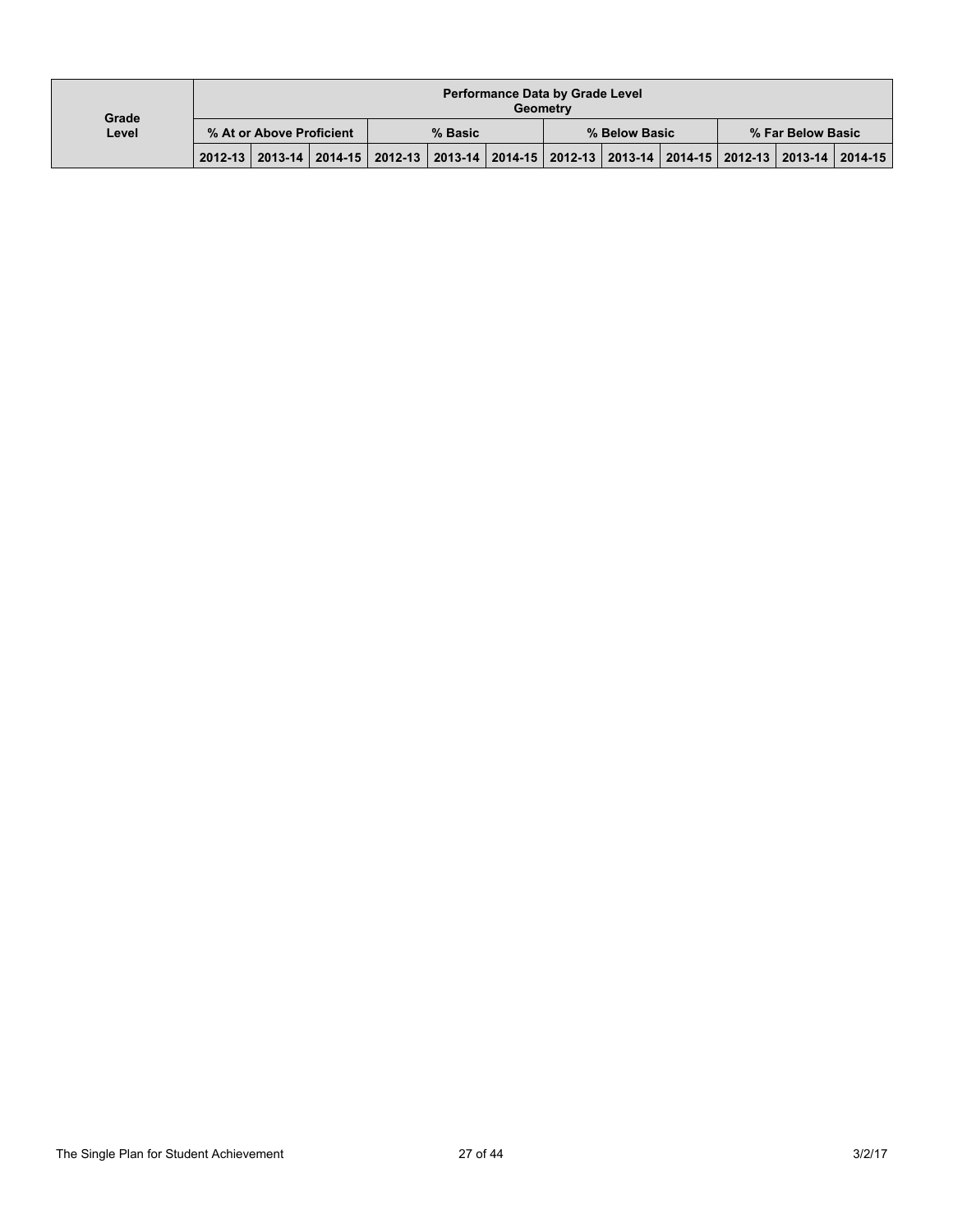| Grade |                          |  |  |                                                                                                 |  |  | <b>Performance Data by Grade Level</b><br>Geometry |  |  |                   |  |
|-------|--------------------------|--|--|-------------------------------------------------------------------------------------------------|--|--|----------------------------------------------------|--|--|-------------------|--|
| Level | % At or Above Proficient |  |  | % Basic                                                                                         |  |  | % Below Basic                                      |  |  | % Far Below Basic |  |
|       |                          |  |  | 2012-13 2013-14 2014-15 2012-13 2013-14 2014-15 2012-13 2013-14 2014-15 2012-13 2013-14 2014-15 |  |  |                                                    |  |  |                   |  |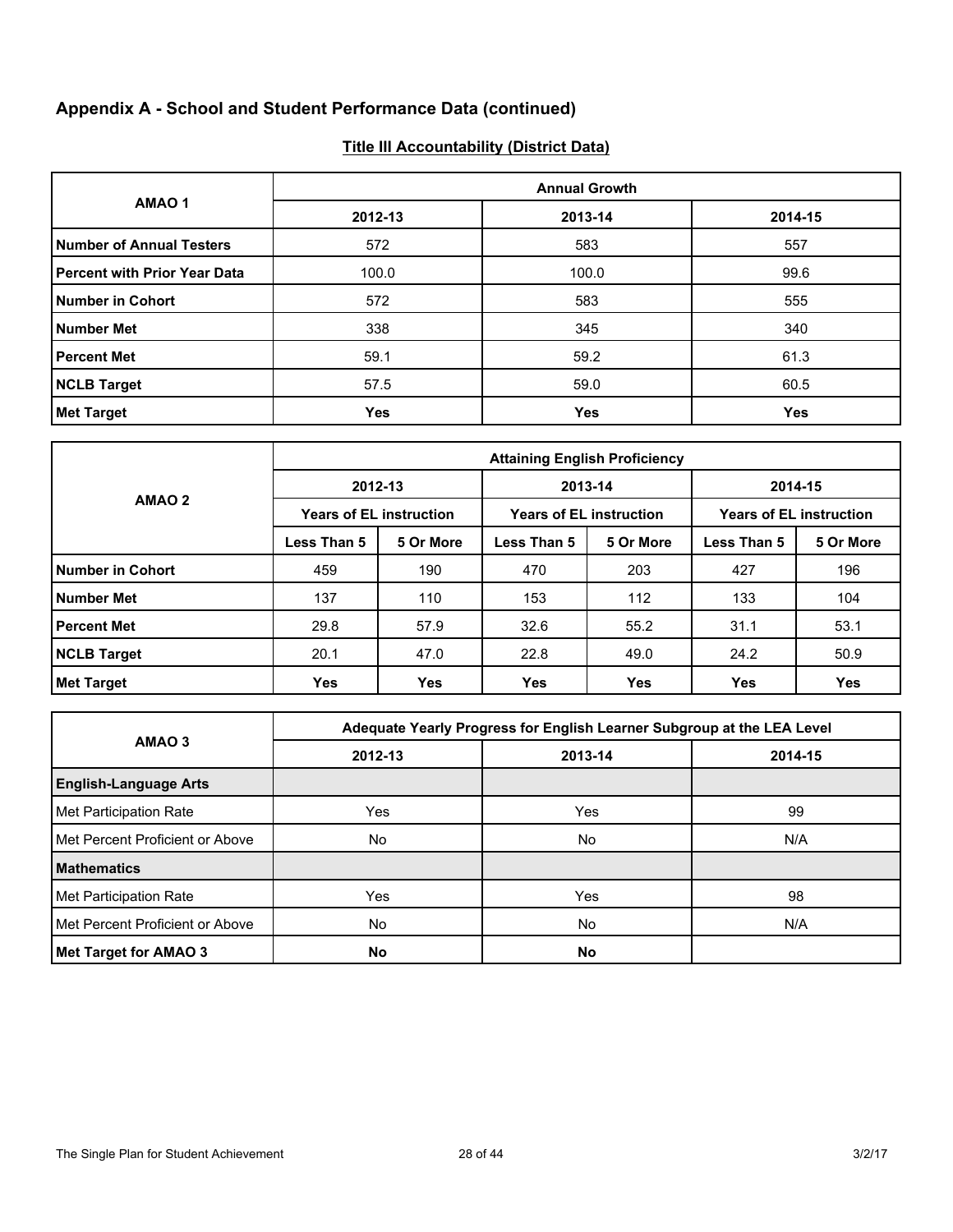# **Appendix A - School and Student Performance Data (continued)**

# **Title III Accountability (District Data)**

|                                     |            | <b>Annual Growth</b> |         |  |  |  |  |  |  |  |
|-------------------------------------|------------|----------------------|---------|--|--|--|--|--|--|--|
| AMAO <sub>1</sub>                   | 2012-13    | 2013-14              | 2014-15 |  |  |  |  |  |  |  |
| <b>Number of Annual Testers</b>     | 572        | 583                  | 557     |  |  |  |  |  |  |  |
| <b>Percent with Prior Year Data</b> | 100.0      | 100.0                | 99.6    |  |  |  |  |  |  |  |
| <b>Number in Cohort</b>             | 572        | 583                  | 555     |  |  |  |  |  |  |  |
| <b>Number Met</b>                   | 338        | 345                  | 340     |  |  |  |  |  |  |  |
| <b>Percent Met</b>                  | 59.1       | 59.2                 | 61.3    |  |  |  |  |  |  |  |
| <b>NCLB Target</b>                  | 57.5       | 59.0                 | 60.5    |  |  |  |  |  |  |  |
| <b>Met Target</b>                   | <b>Yes</b> | Yes                  | Yes     |  |  |  |  |  |  |  |

|                         | <b>Attaining English Proficiency</b> |                                |             |                                |                                |           |  |  |  |  |
|-------------------------|--------------------------------------|--------------------------------|-------------|--------------------------------|--------------------------------|-----------|--|--|--|--|
|                         | 2012-13                              |                                | 2013-14     |                                | 2014-15                        |           |  |  |  |  |
| AMAO <sub>2</sub>       |                                      | <b>Years of EL instruction</b> |             | <b>Years of EL instruction</b> | <b>Years of EL instruction</b> |           |  |  |  |  |
|                         | Less Than 5                          | 5 Or More                      | Less Than 5 | 5 Or More                      | Less Than 5                    | 5 Or More |  |  |  |  |
| <b>Number in Cohort</b> | 459                                  | 190                            | 470         | 203                            | 427                            | 196       |  |  |  |  |
| <b>Number Met</b>       | 137                                  | 110                            | 153         | 112                            | 133                            | 104       |  |  |  |  |
| <b>Percent Met</b>      | 29.8                                 | 57.9                           | 32.6        | 55.2                           | 31.1                           | 53.1      |  |  |  |  |
| <b>NCLB Target</b>      | 20.1                                 | 47.0                           | 22.8        | 49.0                           | 24.2                           | 50.9      |  |  |  |  |
| <b>Met Target</b>       | Yes                                  | <b>Yes</b>                     | <b>Yes</b>  | Yes                            | <b>Yes</b>                     | Yes       |  |  |  |  |

|                                 |         | Adequate Yearly Progress for English Learner Subgroup at the LEA Level |         |
|---------------------------------|---------|------------------------------------------------------------------------|---------|
| AMAO <sub>3</sub>               | 2012-13 | 2013-14                                                                | 2014-15 |
| <b>English-Language Arts</b>    |         |                                                                        |         |
| Met Participation Rate          | Yes     | Yes                                                                    | 99      |
| Met Percent Proficient or Above | No.     | No                                                                     | N/A     |
| <b>Mathematics</b>              |         |                                                                        |         |
| Met Participation Rate          | Yes     | Yes                                                                    | 98      |
| Met Percent Proficient or Above | No      | No.                                                                    | N/A     |
| Met Target for AMAO 3           | No      | No                                                                     |         |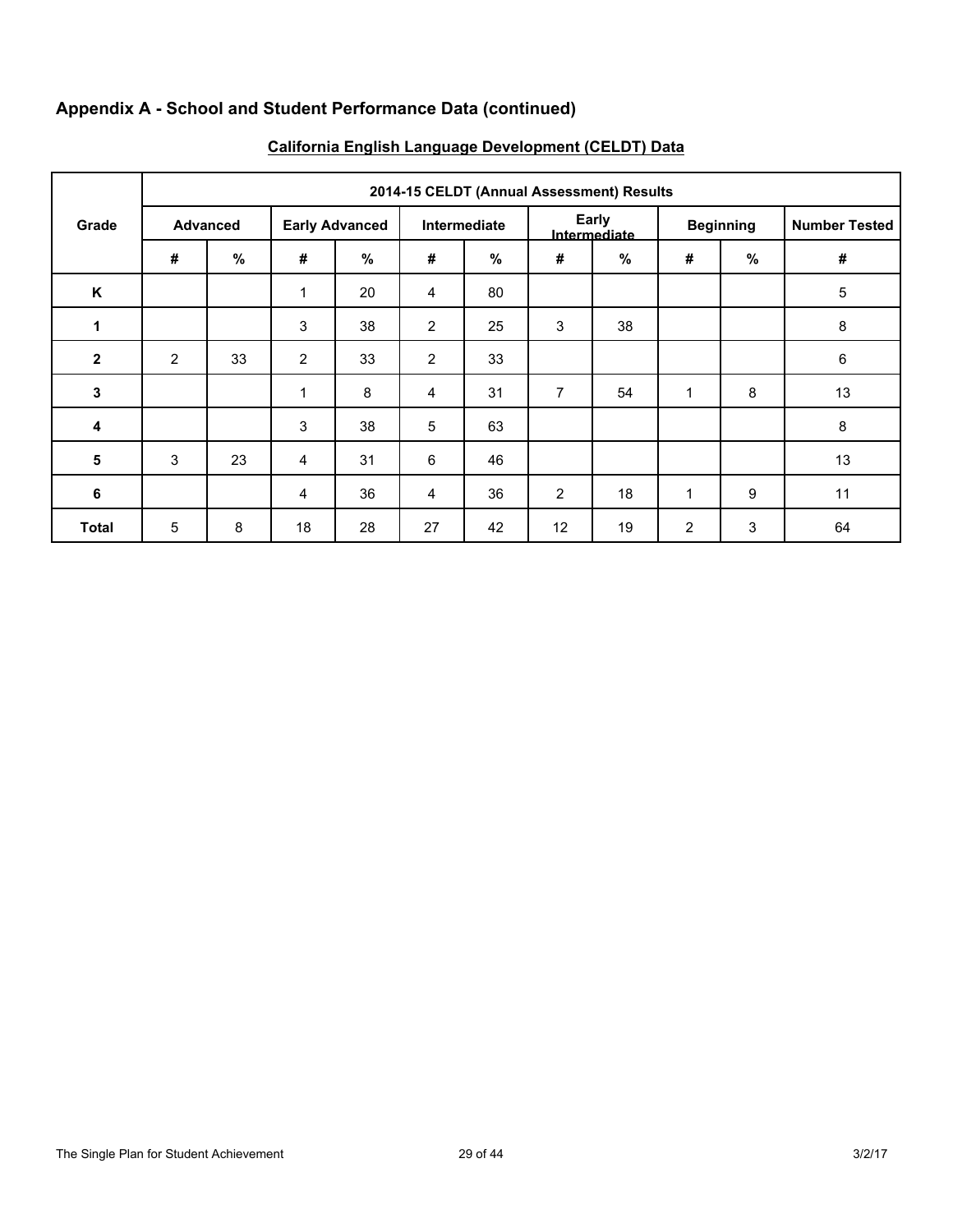# **Appendix A - School and Student Performance Data (continued)**

|              | 2014-15 CELDT (Annual Assessment) Results |                 |                       |      |                |              |                |                       |                |                  |                      |  |  |  |  |
|--------------|-------------------------------------------|-----------------|-----------------------|------|----------------|--------------|----------------|-----------------------|----------------|------------------|----------------------|--|--|--|--|
| Grade        |                                           | <b>Advanced</b> | <b>Early Advanced</b> |      |                | Intermediate |                | Early<br>Intermediate |                | <b>Beginning</b> | <b>Number Tested</b> |  |  |  |  |
|              | #                                         | %               | #                     | $\%$ | #              | $\%$         | #              | $\%$                  | #              | $\%$             | $\pmb{\#}$           |  |  |  |  |
| K            |                                           |                 | 1                     | 20   | $\overline{4}$ | 80           |                |                       |                |                  | 5                    |  |  |  |  |
| 1            |                                           |                 | 3                     | 38   | $\overline{2}$ | 25           | $\mathbf{3}$   | 38                    |                |                  | 8                    |  |  |  |  |
| $\mathbf{2}$ | $\overline{2}$                            | 33              | 2                     | 33   | $\overline{2}$ | 33           |                |                       |                |                  | $\,6\,$              |  |  |  |  |
| 3            |                                           |                 | 1                     | 8    | $\overline{4}$ | 31           | $\overline{7}$ | 54                    | $\mathbf{1}$   | 8                | 13                   |  |  |  |  |
| 4            |                                           |                 | 3                     | 38   | 5              | 63           |                |                       |                |                  | 8                    |  |  |  |  |
| 5            | 3                                         | 23              | 4                     | 31   | 6              | 46           |                |                       |                |                  | 13                   |  |  |  |  |
| 6            |                                           |                 | 4                     | 36   | $\overline{4}$ | 36           | 2              | 18                    | 1              | 9                | 11                   |  |  |  |  |
| <b>Total</b> | 5                                         | 8               | 18                    | 28   | 27             | 42           | 12             | 19                    | $\overline{2}$ | $\mathsf 3$      | 64                   |  |  |  |  |

# **California English Language Development (CELDT) Data**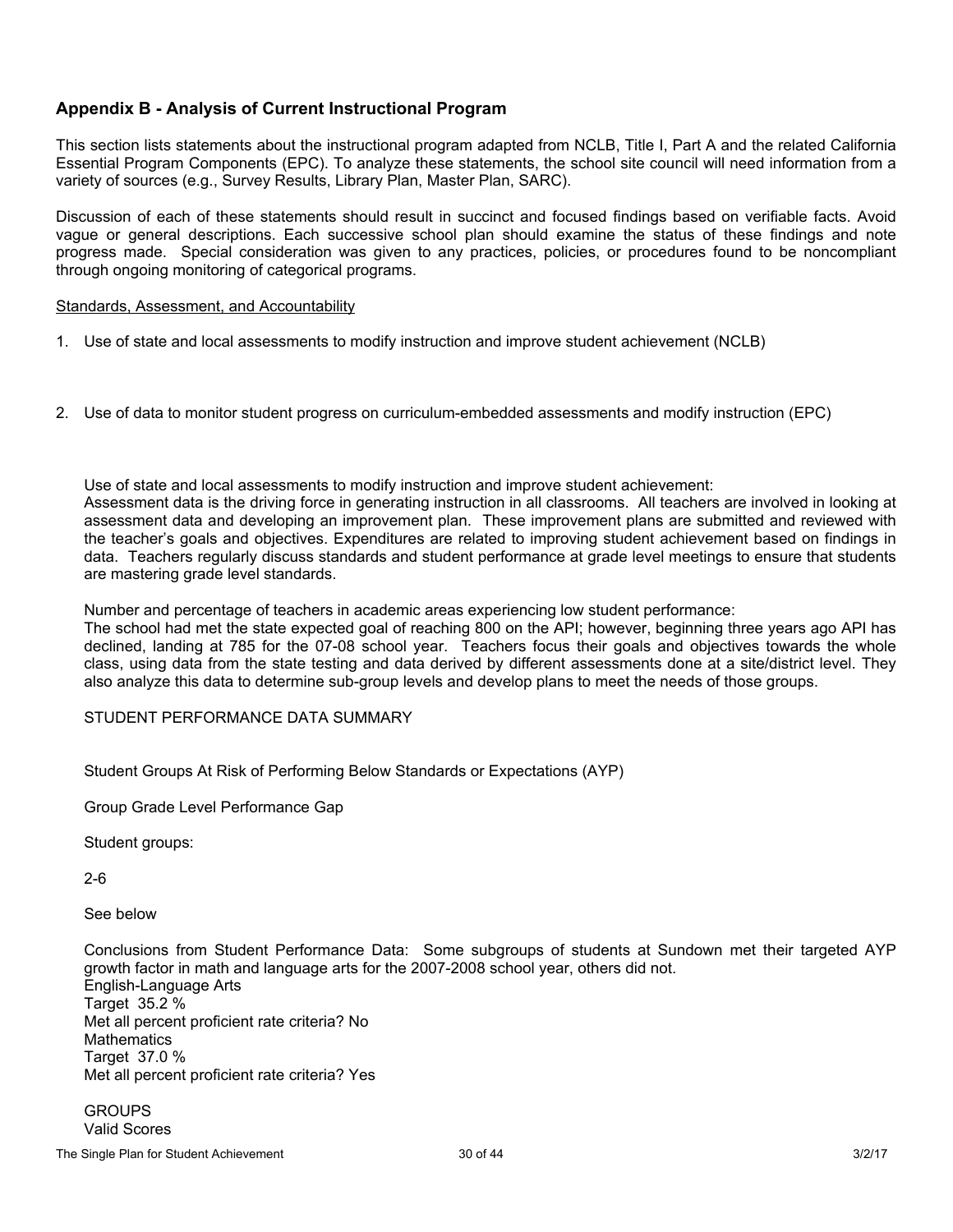# **Appendix B - Analysis of Current Instructional Program**

This section lists statements about the instructional program adapted from NCLB, Title I, Part A and the related California Essential Program Components (EPC). To analyze these statements, the school site council will need information from a variety of sources (e.g., Survey Results, Library Plan, Master Plan, SARC).

Discussion of each of these statements should result in succinct and focused findings based on verifiable facts. Avoid vague or general descriptions. Each successive school plan should examine the status of these findings and note progress made. Special consideration was given to any practices, policies, or procedures found to be noncompliant through ongoing monitoring of categorical programs.

#### Standards, Assessment, and Accountability

- 1. Use of state and local assessments to modify instruction and improve student achievement (NCLB)
- 2. Use of data to monitor student progress on curriculum-embedded assessments and modify instruction (EPC)

Use of state and local assessments to modify instruction and improve student achievement: Assessment data is the driving force in generating instruction in all classrooms. All teachers are involved in looking at assessment data and developing an improvement plan. These improvement plans are submitted and reviewed with the teacher's goals and objectives. Expenditures are related to improving student achievement based on findings in data. Teachers regularly discuss standards and student performance at grade level meetings to ensure that students are mastering grade level standards.

Number and percentage of teachers in academic areas experiencing low student performance:

The school had met the state expected goal of reaching 800 on the API; however, beginning three years ago API has declined, landing at 785 for the 07-08 school year. Teachers focus their goals and objectives towards the whole class, using data from the state testing and data derived by different assessments done at a site/district level. They also analyze this data to determine sub-group levels and develop plans to meet the needs of those groups.

### STUDENT PERFORMANCE DATA SUMMARY

Student Groups At Risk of Performing Below Standards or Expectations (AYP)

Group Grade Level Performance Gap

Student groups:

2-6

See below

Conclusions from Student Performance Data: Some subgroups of students at Sundown met their targeted AYP growth factor in math and language arts for the 2007-2008 school year, others did not. English-Language Arts Target 35.2 % Met all percent proficient rate criteria? No **Mathematics** Target 37.0 % Met all percent proficient rate criteria? Yes

**GROUPS** Valid Scores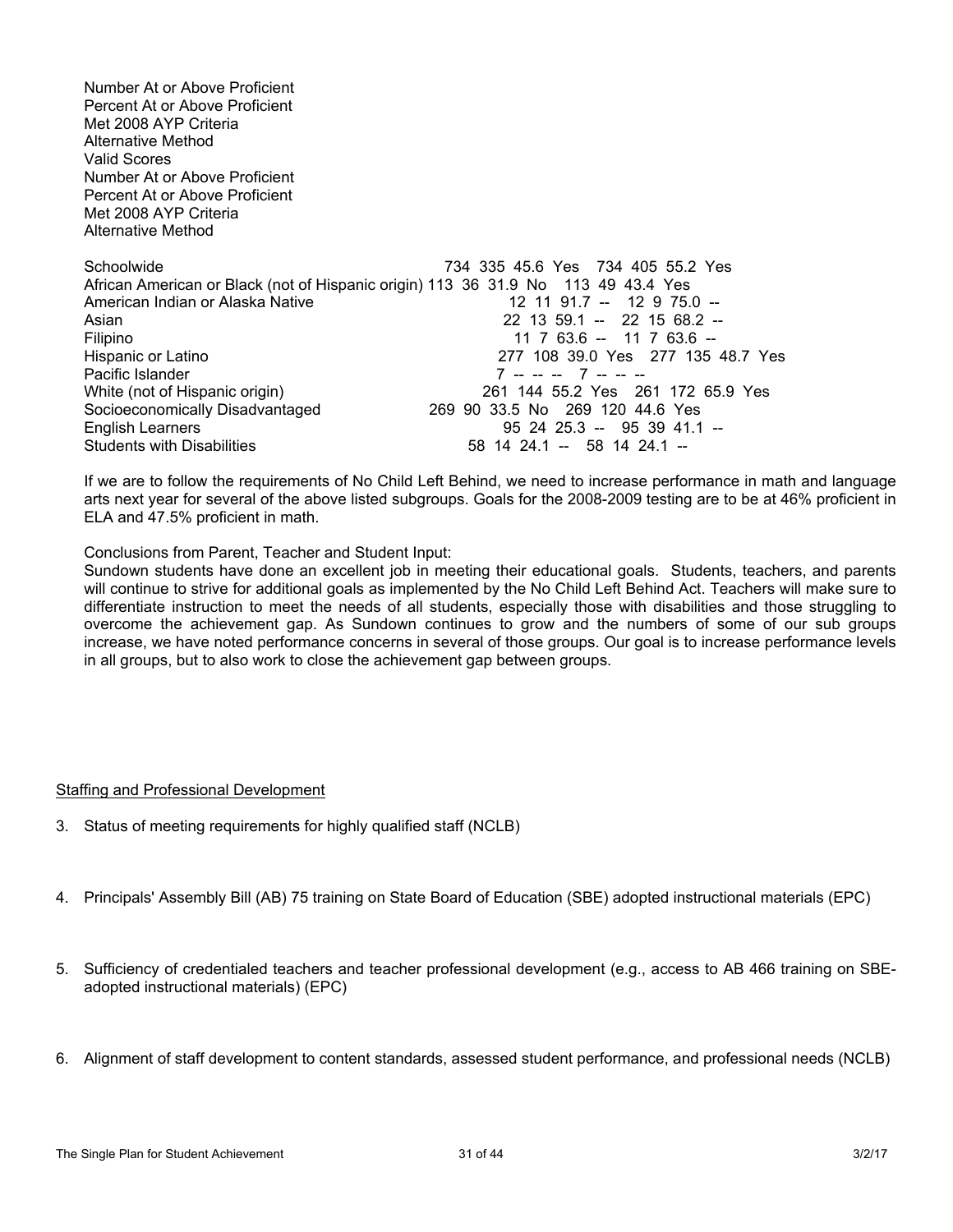Number At or Above Proficient Percent At or Above Proficient Met 2008 AYP Criteria Alternative Method Valid Scores Number At or Above Proficient Percent At or Above Proficient Met 2008 AYP Criteria Alternative Method Schoolwide 734 335 45.6 Yes 734 405 55.2 Yes African American or Black (not of Hispanic origin) 113 36 31.9 No 113 49 43.4 Yes<br>American Indian or Alaska Native 12 11 91.7 -- 12 9 75.0 --American Indian or Alaska Native Asian 22 13 59.1 -- 22 15 68.2 --Filipino 11 7 63.6 -- 11 7 63.6 -- 11 7 63.6 -- 11 7 63.6 -- 11 7 63.6 -- 11 7 63.6 -- 11 7 63.6 --277 108 39.0 Yes 277 135 48.7 Yes Pacific Islander 7 -- -- -- 7 -- -- -- White (not of Hispanic origin)<br>
Socioeconomically Disadvantaged<br>
269 90 33.5 No 269 120 44.6 Yes Socioeconomically Disadvantaged English Learners 95 24 25.3 -- 95 39 41.1 -- Students with Disabilities 68 14 24.1 -- 58 14 24.1 --

If we are to follow the requirements of No Child Left Behind, we need to increase performance in math and language arts next year for several of the above listed subgroups. Goals for the 2008-2009 testing are to be at 46% proficient in ELA and 47.5% proficient in math.

Conclusions from Parent, Teacher and Student Input:

Sundown students have done an excellent job in meeting their educational goals. Students, teachers, and parents will continue to strive for additional goals as implemented by the No Child Left Behind Act. Teachers will make sure to differentiate instruction to meet the needs of all students, especially those with disabilities and those struggling to overcome the achievement gap. As Sundown continues to grow and the numbers of some of our sub groups increase, we have noted performance concerns in several of those groups. Our goal is to increase performance levels in all groups, but to also work to close the achievement gap between groups.

### Staffing and Professional Development

- 3. Status of meeting requirements for highly qualified staff (NCLB)
- 4. Principals' Assembly Bill (AB) 75 training on State Board of Education (SBE) adopted instructional materials (EPC)
- 5. Sufficiency of credentialed teachers and teacher professional development (e.g., access to AB 466 training on SBEadopted instructional materials) (EPC)
- 6. Alignment of staff development to content standards, assessed student performance, and professional needs (NCLB)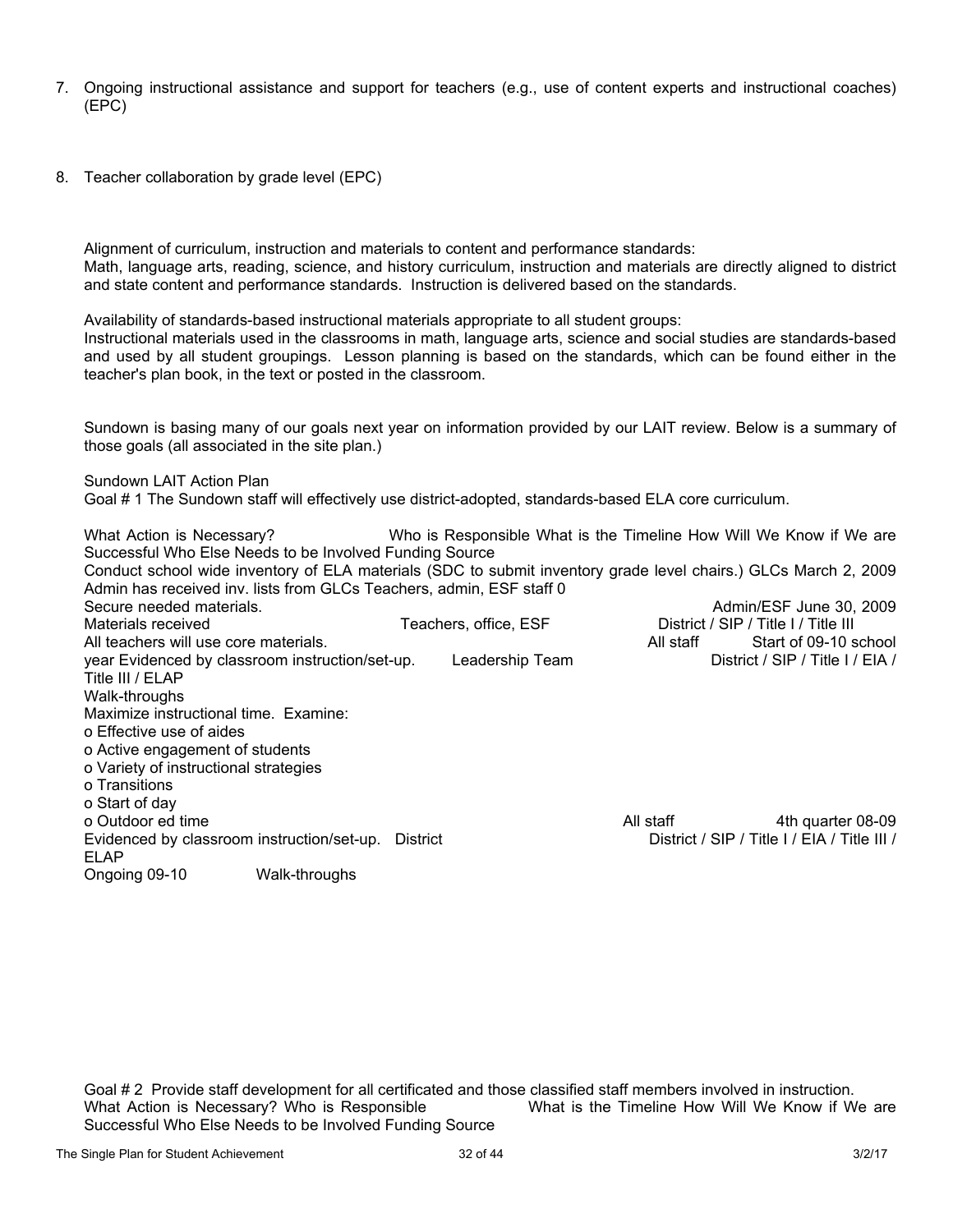- 7. Ongoing instructional assistance and support for teachers (e.g., use of content experts and instructional coaches) (EPC)
- 8. Teacher collaboration by grade level (EPC)

Alignment of curriculum, instruction and materials to content and performance standards: Math, language arts, reading, science, and history curriculum, instruction and materials are directly aligned to district and state content and performance standards. Instruction is delivered based on the standards.

Availability of standards-based instructional materials appropriate to all student groups:

Instructional materials used in the classrooms in math, language arts, science and social studies are standards-based and used by all student groupings. Lesson planning is based on the standards, which can be found either in the teacher's plan book, in the text or posted in the classroom.

Sundown is basing many of our goals next year on information provided by our LAIT review. Below is a summary of those goals (all associated in the site plan.)

Sundown LAIT Action Plan

Goal # 1 The Sundown staff will effectively use district-adopted, standards-based ELA core curriculum.

What Action is Necessary? Who is Responsible What is the Timeline How Will We Know if We are Successful Who Else Needs to be Involved Funding Source Conduct school wide inventory of ELA materials (SDC to submit inventory grade level chairs.) GLCs March 2, 2009 Admin has received inv. lists from GLCs Teachers, admin, ESF staff 0 Secure needed materials. Admin/ESF June 30, 2009 Materials received Teachers, office, ESF District / SIP / Title I / Title III<br>All staff Start of 09-10 school All staff Start of 09-10 school All teachers will use core materials. All staff Start of 09-10 school staff Start of 09-10 school staff Start o year Evidenced by classroom instruction/set-up. Leadership Team District / SIP / Title I / EIA / Title III / ELAP Walk-throughs Maximize instructional time. Examine: o Effective use of aides o Active engagement of students o Variety of instructional strategies o Transitions o Start of day o Outdoor ed time 4th quarter 08-09<br>| All staff All staff Ath quarter 08-09 All staff All staff Ath quarter 08-09<br>| District / SIP / Title I / EIA / Title III Evidenced by classroom instruction/set-up. District ELAP Ongoing 09-10 Walk-throughs

Goal # 2 Provide staff development for all certificated and those classified staff members involved in instruction. What Action is Necessary? Who is Responsible What is the Timeline How Will We Know if We are Successful Who Else Needs to be Involved Funding Source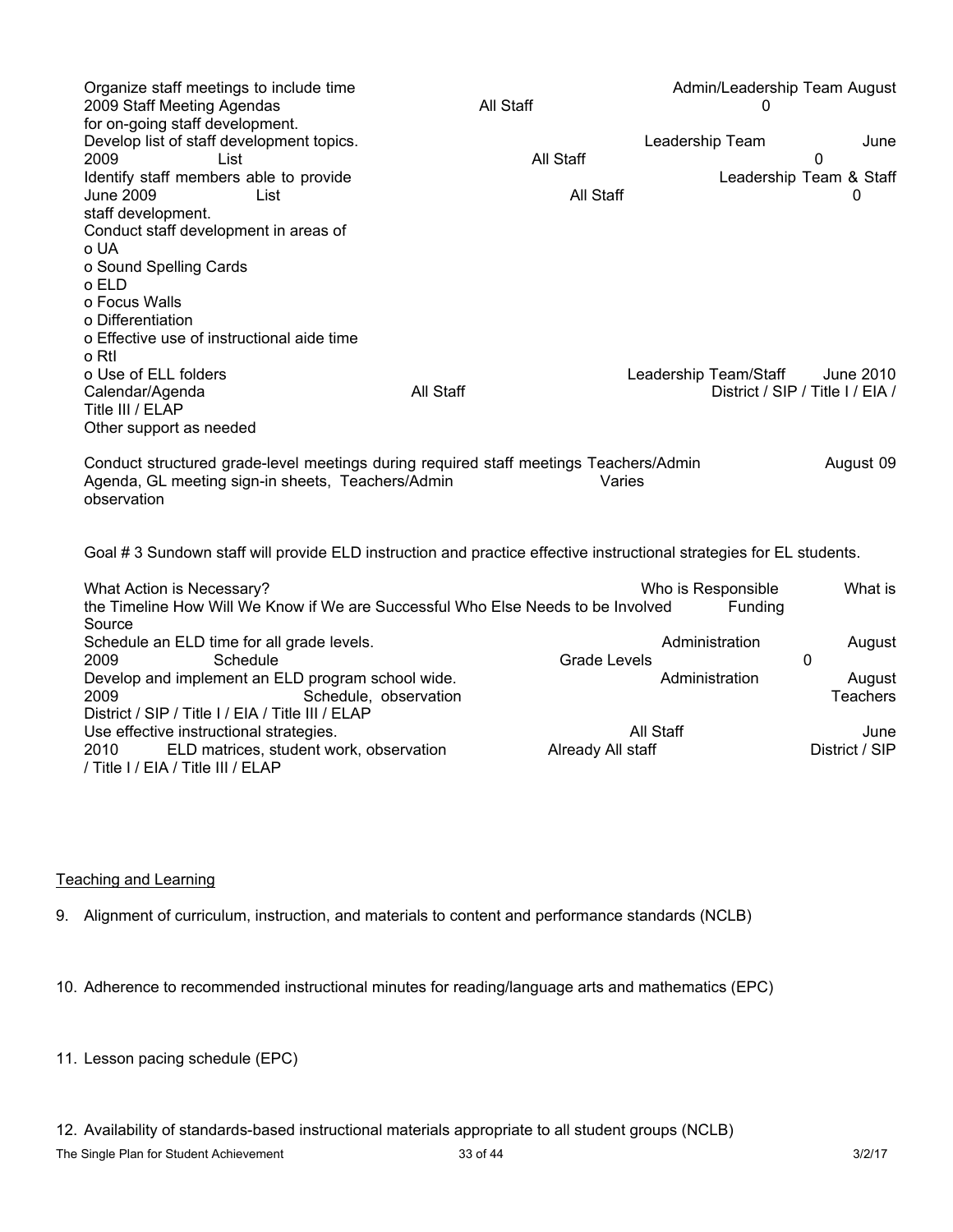| Organize staff meetings to include time<br>2009 Staff Meeting Agendas<br>for on-going staff development.                                                  | All Staff |                                | Admin/Leadership Team August<br>0 |                           |
|-----------------------------------------------------------------------------------------------------------------------------------------------------------|-----------|--------------------------------|-----------------------------------|---------------------------|
| Develop list of staff development topics.<br>2009<br>List                                                                                                 | All Staff | Leadership Team                |                                   | June<br>0                 |
| Identify staff members able to provide<br><b>June 2009</b><br>List<br>staff development.<br>Conduct staff development in areas of                         |           | All Staff                      | Leadership Team & Staff           | $\Omega$                  |
| o UA<br>o Sound Spelling Cards                                                                                                                            |           |                                |                                   |                           |
| o ELD<br>o Focus Walls<br>o Differentiation                                                                                                               |           |                                |                                   |                           |
| o Effective use of instructional aide time<br>o Rtl<br>o Use of ELL folders                                                                               |           |                                | Leadership Team/Staff             | June 2010                 |
| Calendar/Agenda<br>Title III / ELAP<br>Other support as needed                                                                                            | All Staff |                                | District / SIP / Title I / EIA /  |                           |
| Conduct structured grade-level meetings during required staff meetings Teachers/Admin<br>Agenda, GL meeting sign-in sheets, Teachers/Admin<br>observation |           | Varies                         |                                   | August 09                 |
| Goal #3 Sundown staff will provide ELD instruction and practice effective instructional strategies for EL students.                                       |           |                                |                                   |                           |
| What Action is Necessary?<br>the Timeline How Will We Know if We are Successful Who Else Needs to be Involved<br>Source                                   |           |                                | Who is Responsible<br>Funding     | What is                   |
| Schedule an ELD time for all grade levels.<br>2009<br>Schedule                                                                                            |           | <b>Grade Levels</b>            | Administration<br>0               | August                    |
| Develop and implement an ELD program school wide.<br>2009<br>Schedule, observation<br>District / SIP / Title I / EIA / Title III / ELAP                   |           |                                | Administration                    | August<br><b>Teachers</b> |
| Use effective instructional strategies.<br>2010<br>ELD matrices, student work, observation<br>/ Title I / EIA / Title III / ELAP                          |           | All Staff<br>Already All staff |                                   | June<br>District / SIP    |

### Teaching and Learning

9. Alignment of curriculum, instruction, and materials to content and performance standards (NCLB)

10. Adherence to recommended instructional minutes for reading/language arts and mathematics (EPC)

11. Lesson pacing schedule (EPC)

12. Availability of standards-based instructional materials appropriate to all student groups (NCLB)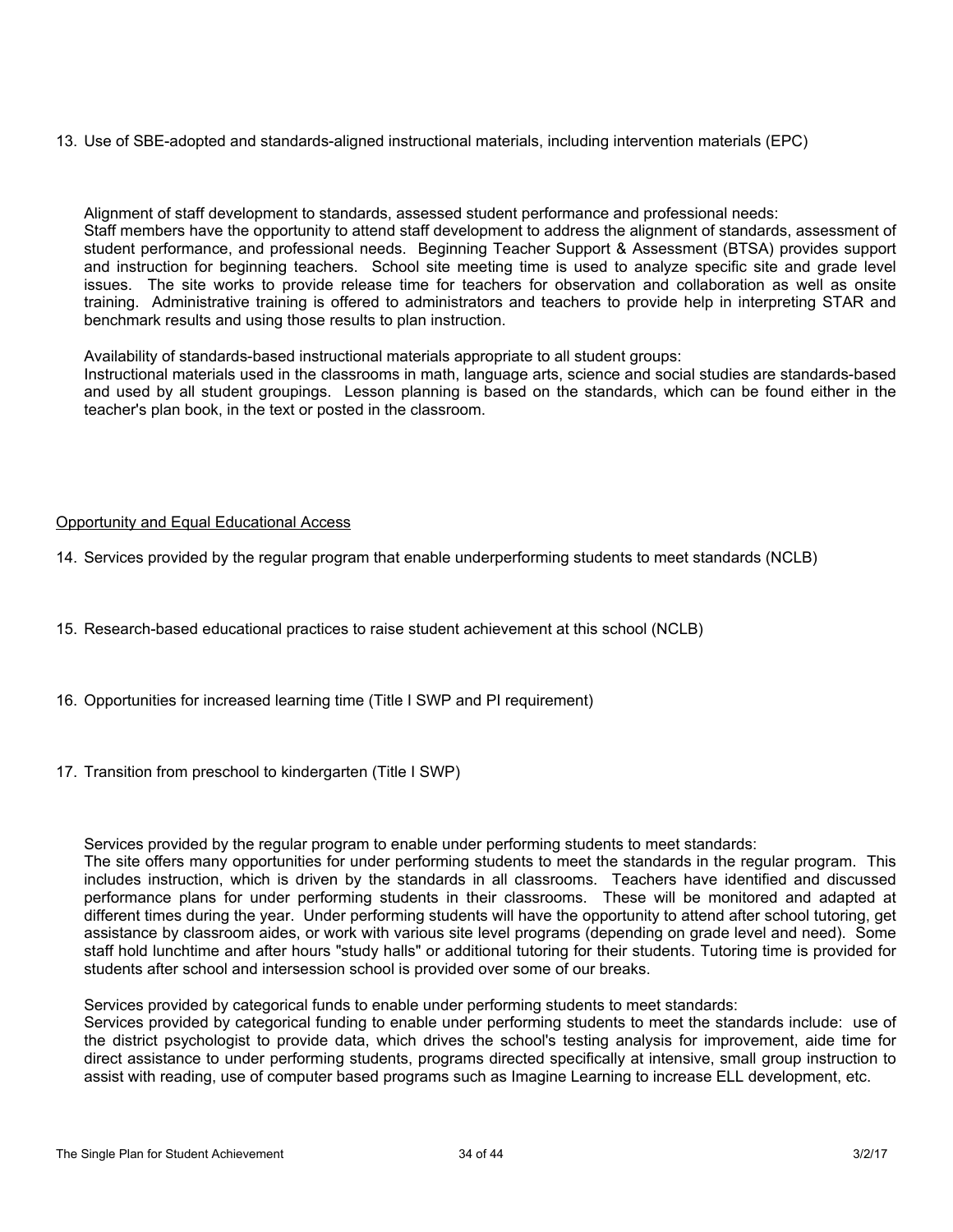13. Use of SBE-adopted and standards-aligned instructional materials, including intervention materials (EPC)

Alignment of staff development to standards, assessed student performance and professional needs: Staff members have the opportunity to attend staff development to address the alignment of standards, assessment of student performance, and professional needs. Beginning Teacher Support & Assessment (BTSA) provides support and instruction for beginning teachers. School site meeting time is used to analyze specific site and grade level issues. The site works to provide release time for teachers for observation and collaboration as well as onsite training. Administrative training is offered to administrators and teachers to provide help in interpreting STAR and benchmark results and using those results to plan instruction.

Availability of standards-based instructional materials appropriate to all student groups:

Instructional materials used in the classrooms in math, language arts, science and social studies are standards-based and used by all student groupings. Lesson planning is based on the standards, which can be found either in the teacher's plan book, in the text or posted in the classroom.

### Opportunity and Equal Educational Access

14. Services provided by the regular program that enable underperforming students to meet standards (NCLB)

- 15. Research-based educational practices to raise student achievement at this school (NCLB)
- 16. Opportunities for increased learning time (Title I SWP and PI requirement)
- 17. Transition from preschool to kindergarten (Title I SWP)

Services provided by the regular program to enable under performing students to meet standards:

The site offers many opportunities for under performing students to meet the standards in the regular program. This includes instruction, which is driven by the standards in all classrooms. Teachers have identified and discussed performance plans for under performing students in their classrooms. These will be monitored and adapted at different times during the year. Under performing students will have the opportunity to attend after school tutoring, get assistance by classroom aides, or work with various site level programs (depending on grade level and need). Some staff hold lunchtime and after hours "study halls" or additional tutoring for their students. Tutoring time is provided for students after school and intersession school is provided over some of our breaks.

Services provided by categorical funds to enable under performing students to meet standards:

Services provided by categorical funding to enable under performing students to meet the standards include: use of the district psychologist to provide data, which drives the school's testing analysis for improvement, aide time for direct assistance to under performing students, programs directed specifically at intensive, small group instruction to assist with reading, use of computer based programs such as Imagine Learning to increase ELL development, etc.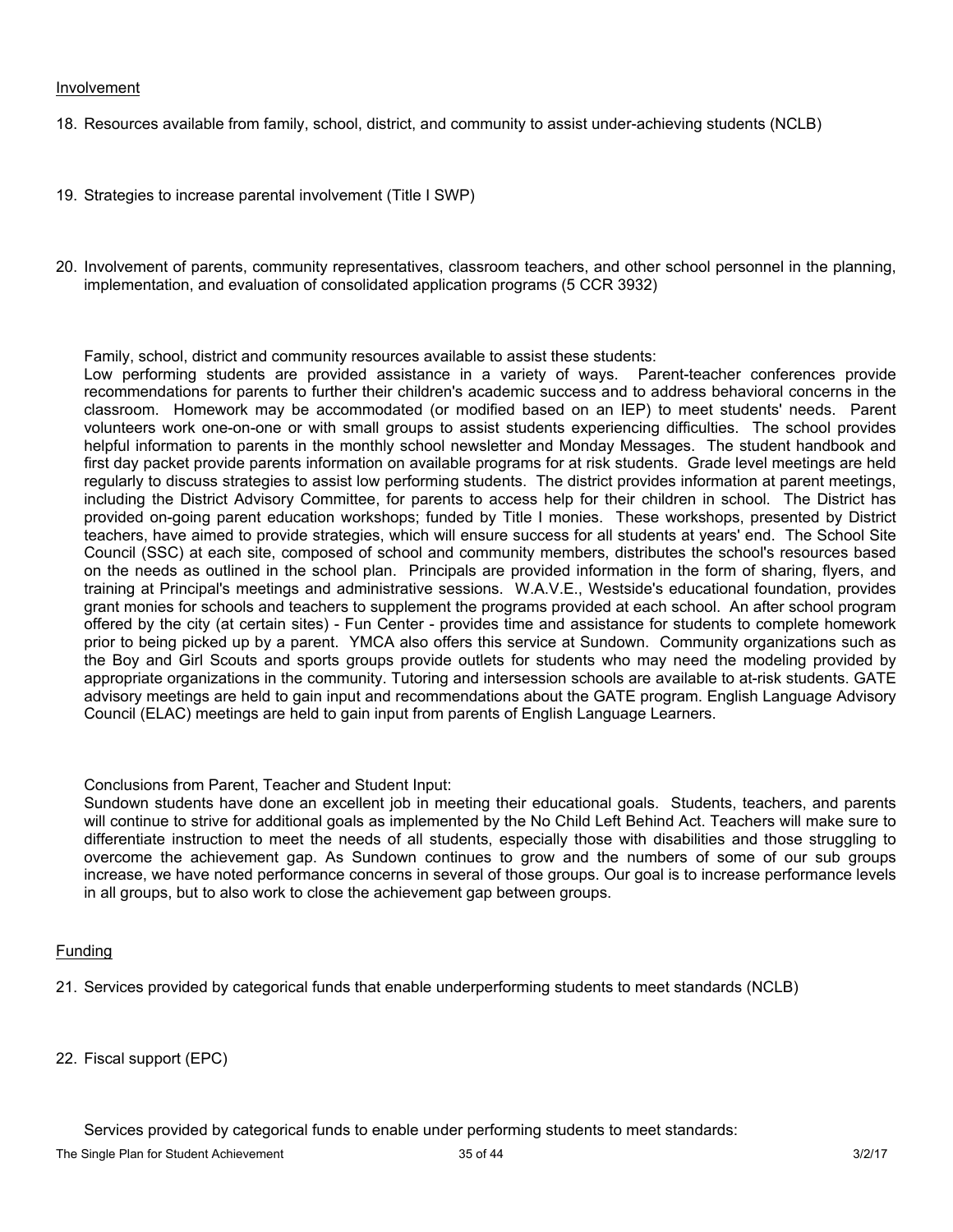#### Involvement

18. Resources available from family, school, district, and community to assist under-achieving students (NCLB)

- 19. Strategies to increase parental involvement (Title I SWP)
- 20. Involvement of parents, community representatives, classroom teachers, and other school personnel in the planning, implementation, and evaluation of consolidated application programs (5 CCR 3932)

Family, school, district and community resources available to assist these students:

Low performing students are provided assistance in a variety of ways. Parent-teacher conferences provide recommendations for parents to further their children's academic success and to address behavioral concerns in the classroom. Homework may be accommodated (or modified based on an IEP) to meet students' needs. Parent volunteers work one-on-one or with small groups to assist students experiencing difficulties. The school provides helpful information to parents in the monthly school newsletter and Monday Messages. The student handbook and first day packet provide parents information on available programs for at risk students. Grade level meetings are held regularly to discuss strategies to assist low performing students. The district provides information at parent meetings, including the District Advisory Committee, for parents to access help for their children in school. The District has provided on-going parent education workshops; funded by Title I monies. These workshops, presented by District teachers, have aimed to provide strategies, which will ensure success for all students at years' end. The School Site Council (SSC) at each site, composed of school and community members, distributes the school's resources based on the needs as outlined in the school plan. Principals are provided information in the form of sharing, flyers, and training at Principal's meetings and administrative sessions. W.A.V.E., Westside's educational foundation, provides grant monies for schools and teachers to supplement the programs provided at each school. An after school program offered by the city (at certain sites) - Fun Center - provides time and assistance for students to complete homework prior to being picked up by a parent. YMCA also offers this service at Sundown. Community organizations such as the Boy and Girl Scouts and sports groups provide outlets for students who may need the modeling provided by appropriate organizations in the community. Tutoring and intersession schools are available to at-risk students. GATE advisory meetings are held to gain input and recommendations about the GATE program. English Language Advisory Council (ELAC) meetings are held to gain input from parents of English Language Learners.

Conclusions from Parent, Teacher and Student Input:

Sundown students have done an excellent job in meeting their educational goals. Students, teachers, and parents will continue to strive for additional goals as implemented by the No Child Left Behind Act. Teachers will make sure to differentiate instruction to meet the needs of all students, especially those with disabilities and those struggling to overcome the achievement gap. As Sundown continues to grow and the numbers of some of our sub groups increase, we have noted performance concerns in several of those groups. Our goal is to increase performance levels in all groups, but to also work to close the achievement gap between groups.

### Funding

21. Services provided by categorical funds that enable underperforming students to meet standards (NCLB)

22. Fiscal support (EPC)

Services provided by categorical funds to enable under performing students to meet standards: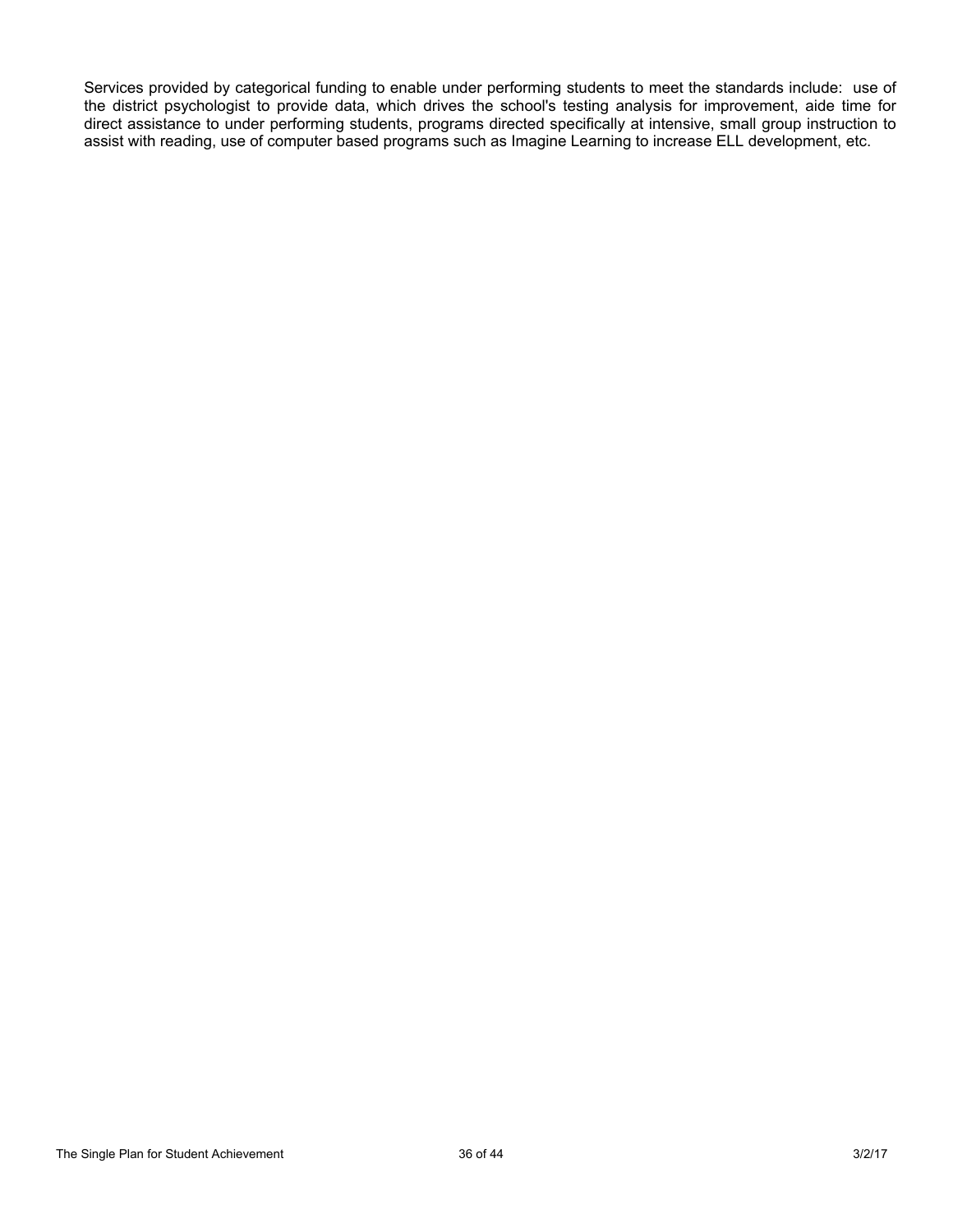Services provided by categorical funding to enable under performing students to meet the standards include: use of the district psychologist to provide data, which drives the school's testing analysis for improvement, aide time for direct assistance to under performing students, programs directed specifically at intensive, small group instruction to assist with reading, use of computer based programs such as Imagine Learning to increase ELL development, etc.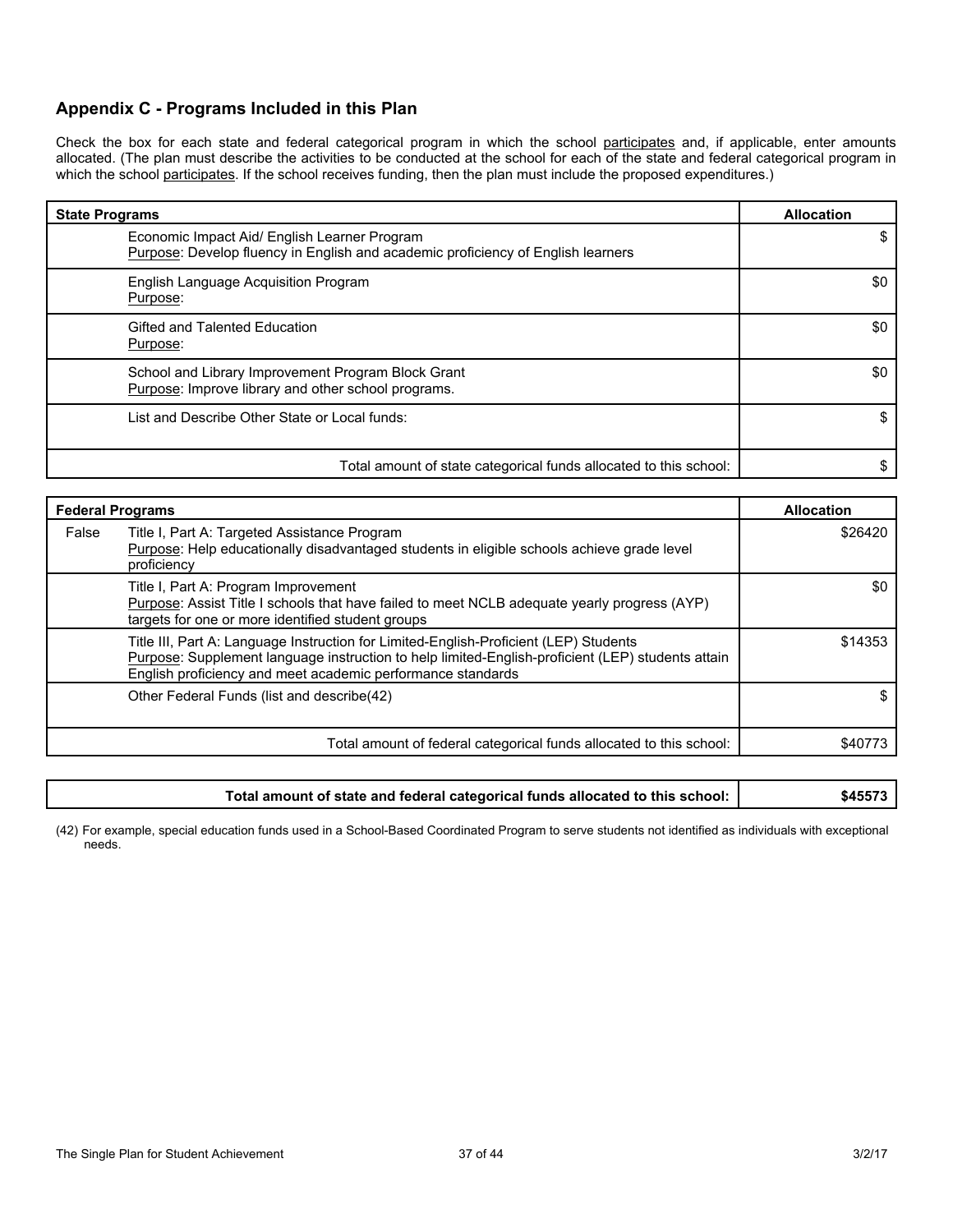## **Appendix C - Programs Included in this Plan**

Check the box for each state and federal categorical program in which the school participates and, if applicable, enter amounts allocated. (The plan must describe the activities to be conducted at the school for each of the state and federal categorical program in which the school participates. If the school receives funding, then the plan must include the proposed expenditures.)

| <b>State Programs</b>                                                                                                            | <b>Allocation</b> |
|----------------------------------------------------------------------------------------------------------------------------------|-------------------|
| Economic Impact Aid/ English Learner Program<br>Purpose: Develop fluency in English and academic proficiency of English learners |                   |
| English Language Acquisition Program<br>Purpose:                                                                                 | \$0               |
| Gifted and Talented Education<br>Purpose:                                                                                        | \$0               |
| School and Library Improvement Program Block Grant<br>Purpose: Improve library and other school programs.                        | \$0               |
| List and Describe Other State or Local funds:                                                                                    |                   |
| Total amount of state categorical funds allocated to this school:                                                                |                   |

| <b>Federal Programs</b>                                                                                                                                                                                                                                   | <b>Allocation</b> |
|-----------------------------------------------------------------------------------------------------------------------------------------------------------------------------------------------------------------------------------------------------------|-------------------|
| False<br>Title I, Part A: Targeted Assistance Program<br>Purpose: Help educationally disadvantaged students in eligible schools achieve grade level<br>proficiency                                                                                        | \$26420           |
| Title I, Part A: Program Improvement<br>Purpose: Assist Title I schools that have failed to meet NCLB adequate yearly progress (AYP)<br>targets for one or more identified student groups                                                                 | \$0               |
| Title III, Part A: Language Instruction for Limited-English-Proficient (LEP) Students<br>Purpose: Supplement language instruction to help limited-English-proficient (LEP) students attain<br>English proficiency and meet academic performance standards | \$14353           |
| Other Federal Funds (list and describe(42)                                                                                                                                                                                                                |                   |
| Total amount of federal categorical funds allocated to this school:                                                                                                                                                                                       | \$40773           |

| Total amount of state and federal categorical funds allocated to this school: | \$45573 |
|-------------------------------------------------------------------------------|---------|
|-------------------------------------------------------------------------------|---------|

(42) For example, special education funds used in a School-Based Coordinated Program to serve students not identified as individuals with exceptional needs.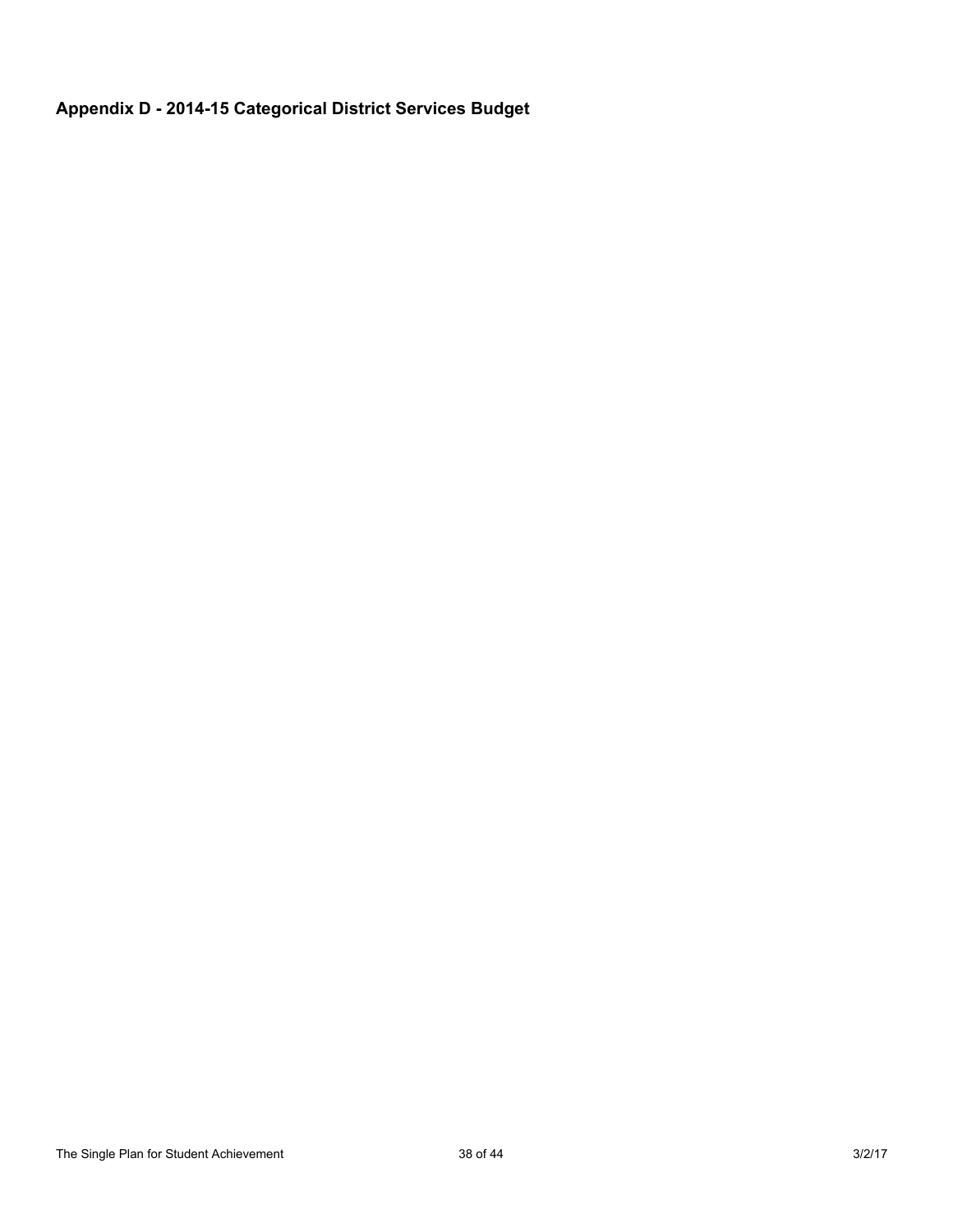# **Appendix D - 2014-15 Categorical District Services Budget**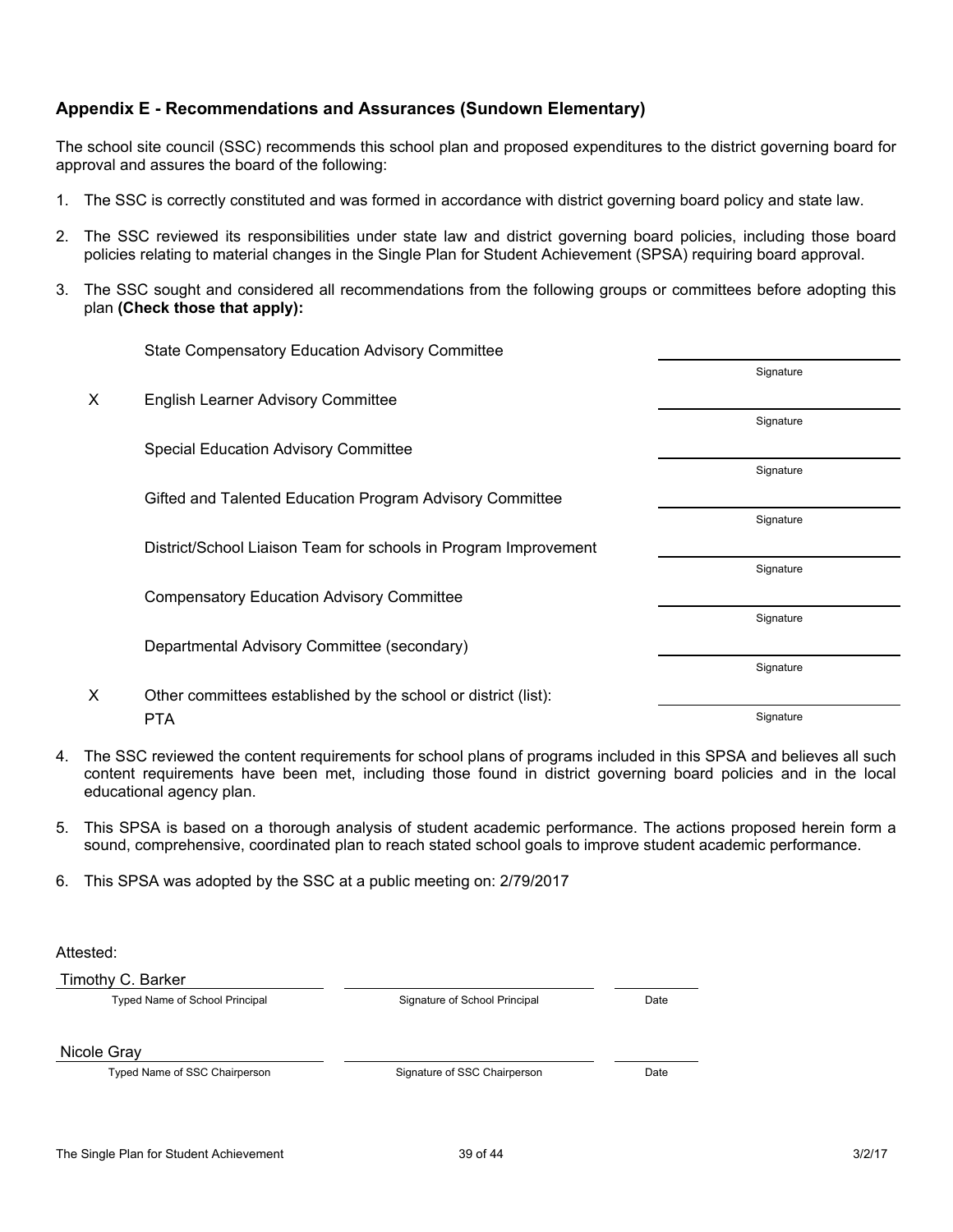# **Appendix E - Recommendations and Assurances (Sundown Elementary)**

The school site council (SSC) recommends this school plan and proposed expenditures to the district governing board for approval and assures the board of the following:

- 1. The SSC is correctly constituted and was formed in accordance with district governing board policy and state law.
- 2. The SSC reviewed its responsibilities under state law and district governing board policies, including those board policies relating to material changes in the Single Plan for Student Achievement (SPSA) requiring board approval.
- 3. The SSC sought and considered all recommendations from the following groups or committees before adopting this plan **(Check those that apply):**

|   | <b>State Compensatory Education Advisory Committee</b>          |           |
|---|-----------------------------------------------------------------|-----------|
|   |                                                                 | Signature |
| X | <b>English Learner Advisory Committee</b>                       |           |
|   |                                                                 | Signature |
|   | <b>Special Education Advisory Committee</b>                     |           |
|   |                                                                 | Signature |
|   | Gifted and Talented Education Program Advisory Committee        |           |
|   |                                                                 | Signature |
|   | District/School Liaison Team for schools in Program Improvement |           |
|   |                                                                 | Signature |
|   | <b>Compensatory Education Advisory Committee</b>                |           |
|   |                                                                 | Signature |
|   | Departmental Advisory Committee (secondary)                     |           |
|   |                                                                 | Signature |
| X | Other committees established by the school or district (list):  |           |
|   | <b>PTA</b>                                                      | Signature |

- 4. The SSC reviewed the content requirements for school plans of programs included in this SPSA and believes all such content requirements have been met, including those found in district governing board policies and in the local educational agency plan.
- 5. This SPSA is based on a thorough analysis of student academic performance. The actions proposed herein form a sound, comprehensive, coordinated plan to reach stated school goals to improve student academic performance.
- 6. This SPSA was adopted by the SSC at a public meeting on: 2/79/2017

Attested:

Timothy C. Barker

Typed Name of School Principal Signature of School Principal Date

Nicole Gray

Typed Name of SSC Chairperson **State State State State State State State State State State State State State State State State State State State State State State State State State State State State State State State State**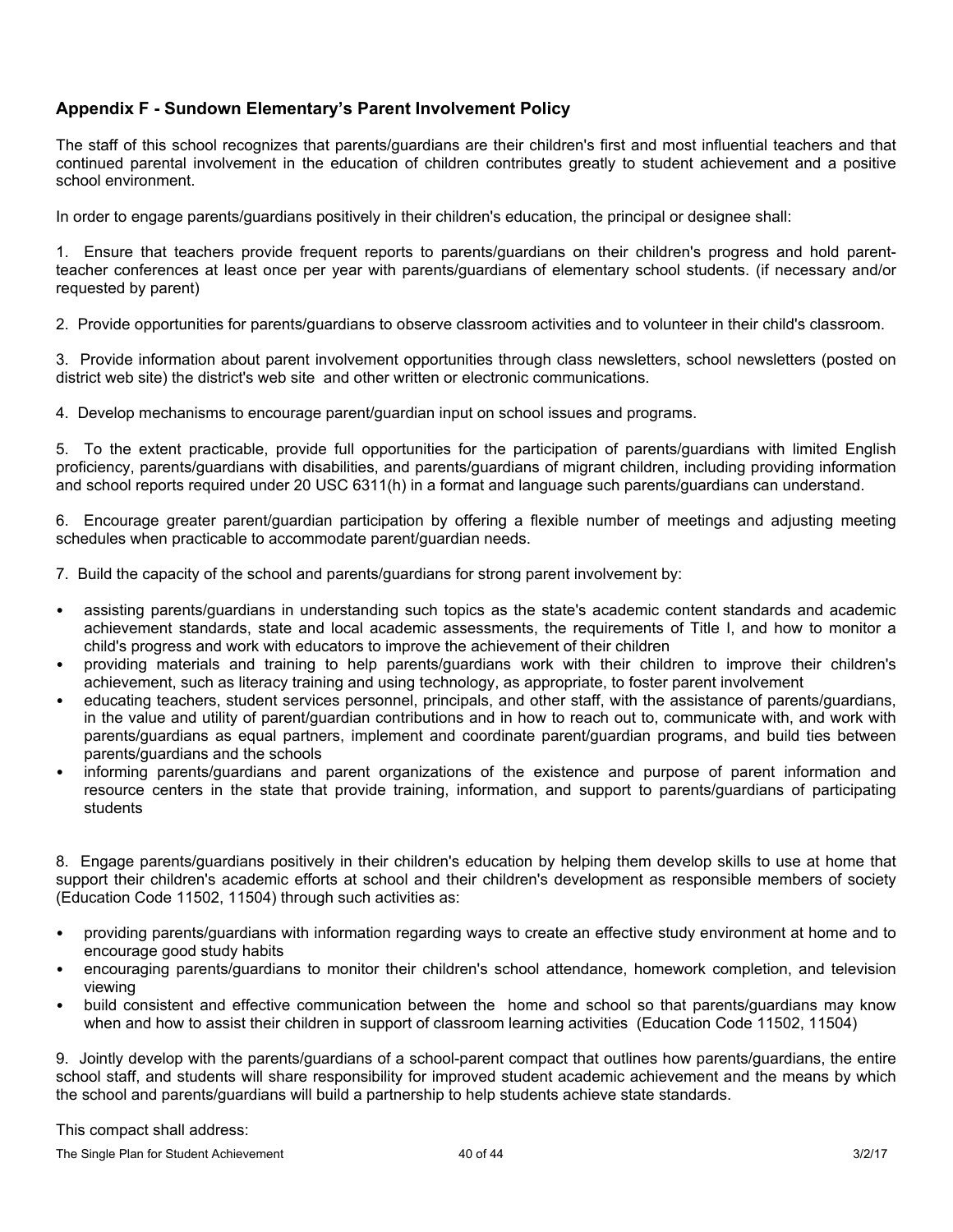# **Appendix F - Sundown Elementary's Parent Involvement Policy**

The staff of this school recognizes that parents/guardians are their children's first and most influential teachers and that continued parental involvement in the education of children contributes greatly to student achievement and a positive school environment.

In order to engage parents/guardians positively in their children's education, the principal or designee shall:

1. Ensure that teachers provide frequent reports to parents/guardians on their children's progress and hold parentteacher conferences at least once per year with parents/guardians of elementary school students. (if necessary and/or requested by parent)

2. Provide opportunities for parents/guardians to observe classroom activities and to volunteer in their child's classroom.

3. Provide information about parent involvement opportunities through class newsletters, school newsletters (posted on district web site) the district's web site and other written or electronic communications.

4. Develop mechanisms to encourage parent/guardian input on school issues and programs.

5. To the extent practicable, provide full opportunities for the participation of parents/guardians with limited English proficiency, parents/guardians with disabilities, and parents/guardians of migrant children, including providing information and school reports required under 20 USC 6311(h) in a format and language such parents/guardians can understand.

6. Encourage greater parent/guardian participation by offering a flexible number of meetings and adjusting meeting schedules when practicable to accommodate parent/guardian needs.

7. Build the capacity of the school and parents/guardians for strong parent involvement by:

- assisting parents/guardians in understanding such topics as the state's academic content standards and academic achievement standards, state and local academic assessments, the requirements of Title I, and how to monitor a child's progress and work with educators to improve the achievement of their children
- providing materials and training to help parents/guardians work with their children to improve their children's achievement, such as literacy training and using technology, as appropriate, to foster parent involvement
- educating teachers, student services personnel, principals, and other staff, with the assistance of parents/guardians, in the value and utility of parent/guardian contributions and in how to reach out to, communicate with, and work with parents/guardians as equal partners, implement and coordinate parent/guardian programs, and build ties between parents/guardians and the schools
- informing parents/guardians and parent organizations of the existence and purpose of parent information and resource centers in the state that provide training, information, and support to parents/guardians of participating students

8. Engage parents/guardians positively in their children's education by helping them develop skills to use at home that support their children's academic efforts at school and their children's development as responsible members of society (Education Code 11502, 11504) through such activities as:

- providing parents/guardians with information regarding ways to create an effective study environment at home and to encourage good study habits
- encouraging parents/guardians to monitor their children's school attendance, homework completion, and television viewing
- build consistent and effective communication between the home and school so that parents/guardians may know when and how to assist their children in support of classroom learning activities (Education Code 11502, 11504)

9. Jointly develop with the parents/guardians of a school-parent compact that outlines how parents/guardians, the entire school staff, and students will share responsibility for improved student academic achievement and the means by which the school and parents/guardians will build a partnership to help students achieve state standards.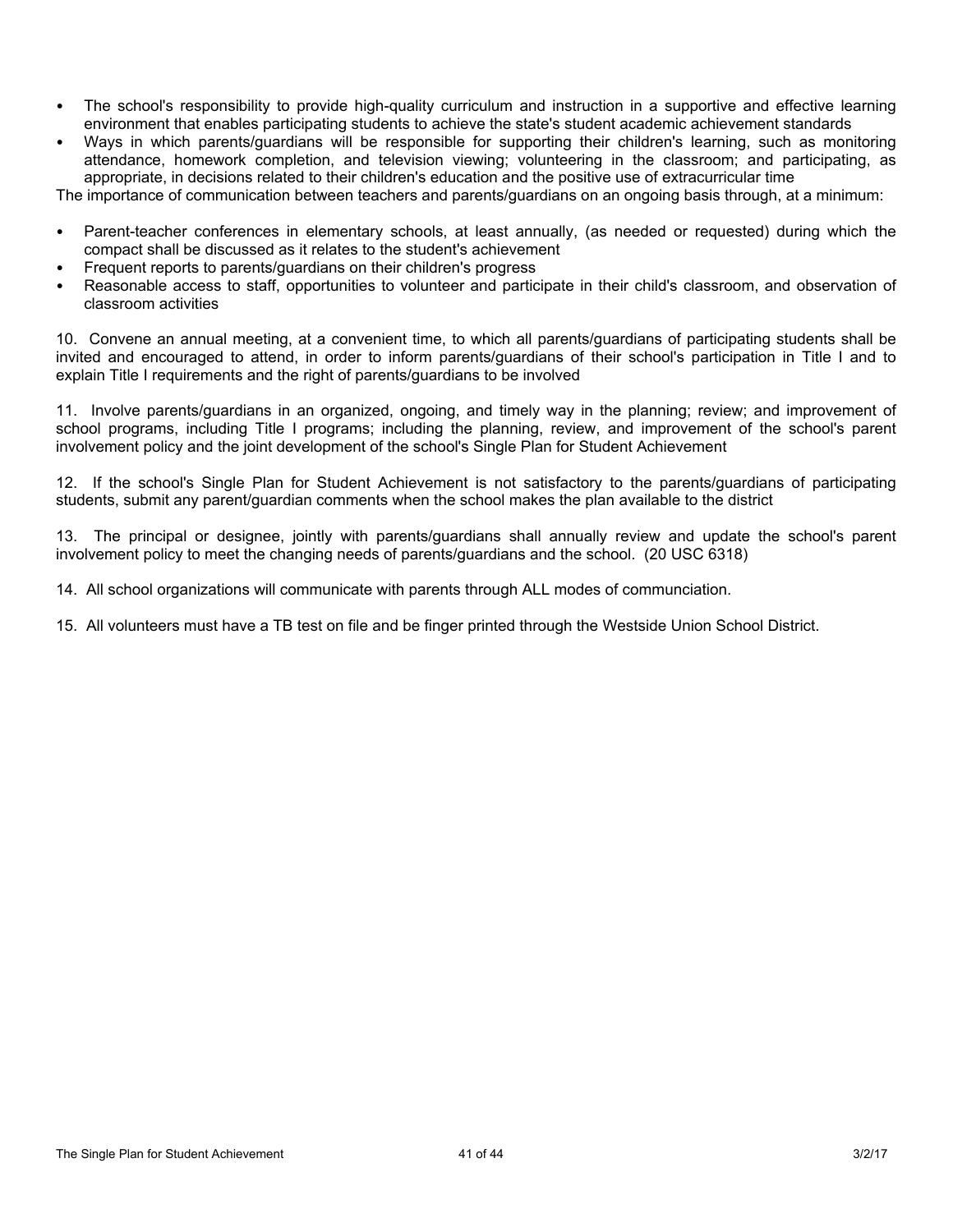- The school's responsibility to provide high-quality curriculum and instruction in a supportive and effective learning environment that enables participating students to achieve the state's student academic achievement standards
- Ways in which parents/guardians will be responsible for supporting their children's learning, such as monitoring attendance, homework completion, and television viewing; volunteering in the classroom; and participating, as appropriate, in decisions related to their children's education and the positive use of extracurricular time

The importance of communication between teachers and parents/guardians on an ongoing basis through, at a minimum:

- Parent-teacher conferences in elementary schools, at least annually, (as needed or requested) during which the compact shall be discussed as it relates to the student's achievement
- Frequent reports to parents/guardians on their children's progress
- Reasonable access to staff, opportunities to volunteer and participate in their child's classroom, and observation of classroom activities

10. Convene an annual meeting, at a convenient time, to which all parents/guardians of participating students shall be invited and encouraged to attend, in order to inform parents/guardians of their school's participation in Title I and to explain Title I requirements and the right of parents/guardians to be involved

11. Involve parents/guardians in an organized, ongoing, and timely way in the planning; review; and improvement of school programs, including Title I programs; including the planning, review, and improvement of the school's parent involvement policy and the joint development of the school's Single Plan for Student Achievement

12. If the school's Single Plan for Student Achievement is not satisfactory to the parents/guardians of participating students, submit any parent/guardian comments when the school makes the plan available to the district

13. The principal or designee, jointly with parents/guardians shall annually review and update the school's parent involvement policy to meet the changing needs of parents/guardians and the school. (20 USC 6318)

14. All school organizations will communicate with parents through ALL modes of communciation.

15. All volunteers must have a TB test on file and be finger printed through the Westside Union School District.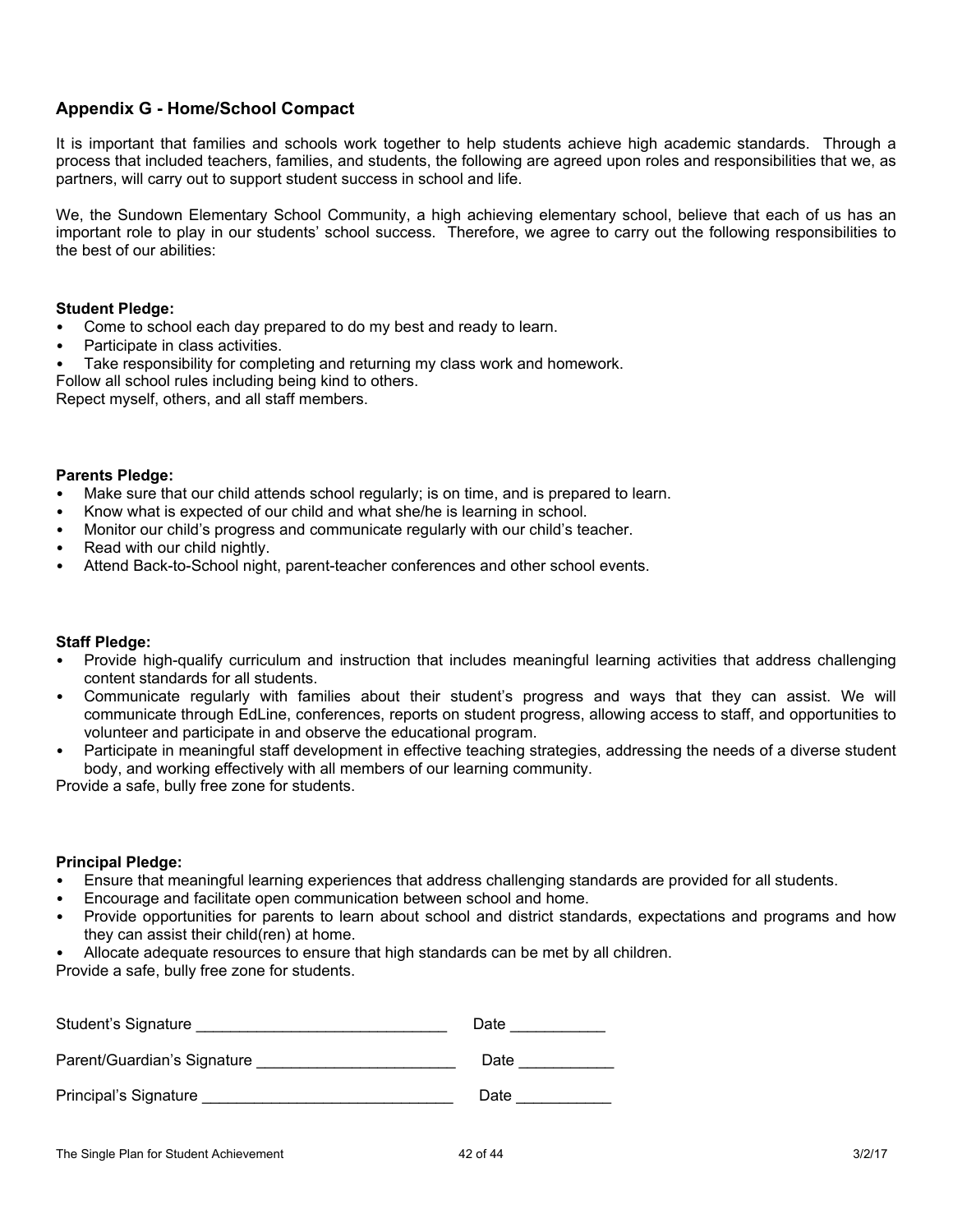## **Appendix G - Home/School Compact**

It is important that families and schools work together to help students achieve high academic standards. Through a process that included teachers, families, and students, the following are agreed upon roles and responsibilities that we, as partners, will carry out to support student success in school and life.

We, the Sundown Elementary School Community, a high achieving elementary school, believe that each of us has an important role to play in our students' school success. Therefore, we agree to carry out the following responsibilities to the best of our abilities:

### **Student Pledge:**

- Come to school each day prepared to do my best and ready to learn.
- Participate in class activities.
- Take responsibility for completing and returning my class work and homework.

Follow all school rules including being kind to others.

Repect myself, others, and all staff members.

#### **Parents Pledge:**

- Make sure that our child attends school regularly; is on time, and is prepared to learn.
- Know what is expected of our child and what she/he is learning in school.
- Monitor our child's progress and communicate regularly with our child's teacher.
- Read with our child nightly.
- Attend Back-to-School night, parent-teacher conferences and other school events.

### **Staff Pledge:**

- Provide high-qualify curriculum and instruction that includes meaningful learning activities that address challenging content standards for all students.
- Communicate regularly with families about their student's progress and ways that they can assist. We will communicate through EdLine, conferences, reports on student progress, allowing access to staff, and opportunities to volunteer and participate in and observe the educational program.
- Participate in meaningful staff development in effective teaching strategies, addressing the needs of a diverse student body, and working effectively with all members of our learning community.

Provide a safe, bully free zone for students.

#### **Principal Pledge:**

- Ensure that meaningful learning experiences that address challenging standards are provided for all students.
- Encourage and facilitate open communication between school and home.
- Provide opportunities for parents to learn about school and district standards, expectations and programs and how they can assist their child(ren) at home.
- Allocate adequate resources to ensure that high standards can be met by all children.

Provide a safe, bully free zone for students.

| Student's Signature         | Date |
|-----------------------------|------|
| Parent/Guardian's Signature | Date |
| Principal's Signature       | Date |